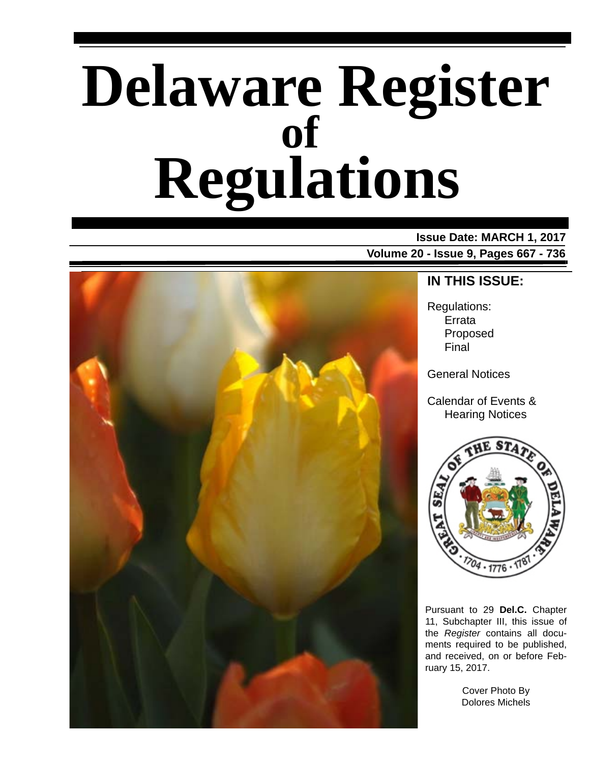# **Delaware Register Regulations of**

**Issue Date: MARCH 1, 2017 Volume 20 - Issue 9, Pages 667 - 736**



### **IN THIS ISSUE:**

Regulations: Errata Proposed Final

General Notices

Calendar of Events & Hearing Notices



Pursuant to 29 **Del.C.** Chapter 11, Subchapter III, this issue of the *Register* contains all documents required to be published, and received, on or before February 15, 2017.

> Cover Photo By Dolores Michels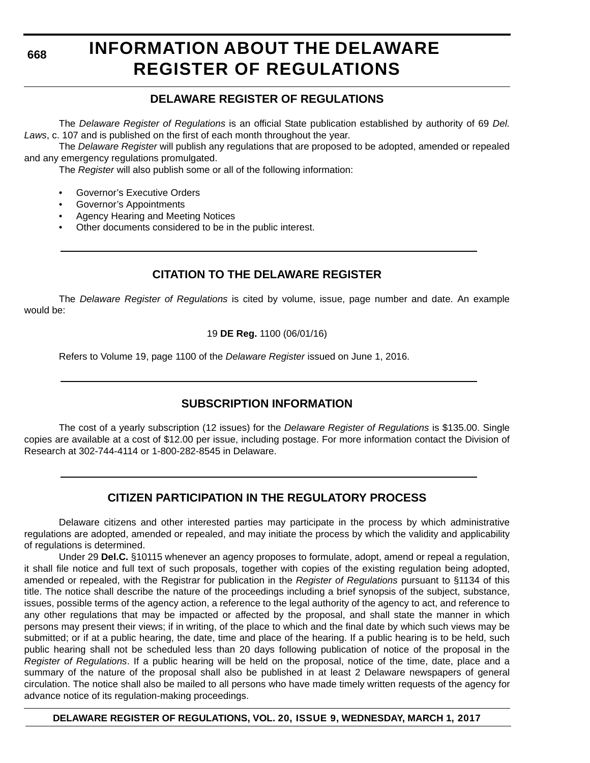**668**

# **INFORMATION ABOUT THE DELAWARE REGISTER OF REGULATIONS**

### **DELAWARE REGISTER OF REGULATIONS**

The *Delaware Register of Regulations* is an official State publication established by authority of 69 *Del. Laws*, c. 107 and is published on the first of each month throughout the year.

The *Delaware Register* will publish any regulations that are proposed to be adopted, amended or repealed and any emergency regulations promulgated.

The *Register* will also publish some or all of the following information:

- Governor's Executive Orders
- Governor's Appointments
- Agency Hearing and Meeting Notices
- Other documents considered to be in the public interest.

### **CITATION TO THE DELAWARE REGISTER**

The *Delaware Register of Regulations* is cited by volume, issue, page number and date. An example would be:

19 **DE Reg.** 1100 (06/01/16)

Refers to Volume 19, page 1100 of the *Delaware Register* issued on June 1, 2016.

### **SUBSCRIPTION INFORMATION**

The cost of a yearly subscription (12 issues) for the *Delaware Register of Regulations* is \$135.00. Single copies are available at a cost of \$12.00 per issue, including postage. For more information contact the Division of Research at 302-744-4114 or 1-800-282-8545 in Delaware.

### **CITIZEN PARTICIPATION IN THE REGULATORY PROCESS**

Delaware citizens and other interested parties may participate in the process by which administrative regulations are adopted, amended or repealed, and may initiate the process by which the validity and applicability of regulations is determined.

Under 29 **Del.C.** §10115 whenever an agency proposes to formulate, adopt, amend or repeal a regulation, it shall file notice and full text of such proposals, together with copies of the existing regulation being adopted, amended or repealed, with the Registrar for publication in the *Register of Regulations* pursuant to §1134 of this title. The notice shall describe the nature of the proceedings including a brief synopsis of the subject, substance, issues, possible terms of the agency action, a reference to the legal authority of the agency to act, and reference to any other regulations that may be impacted or affected by the proposal, and shall state the manner in which persons may present their views; if in writing, of the place to which and the final date by which such views may be submitted; or if at a public hearing, the date, time and place of the hearing. If a public hearing is to be held, such public hearing shall not be scheduled less than 20 days following publication of notice of the proposal in the *Register of Regulations*. If a public hearing will be held on the proposal, notice of the time, date, place and a summary of the nature of the proposal shall also be published in at least 2 Delaware newspapers of general circulation. The notice shall also be mailed to all persons who have made timely written requests of the agency for advance notice of its regulation-making proceedings.

**DELAWARE REGISTER OF REGULATIONS, VOL. 20, ISSUE 9, WEDNESDAY, MARCH 1, 2017**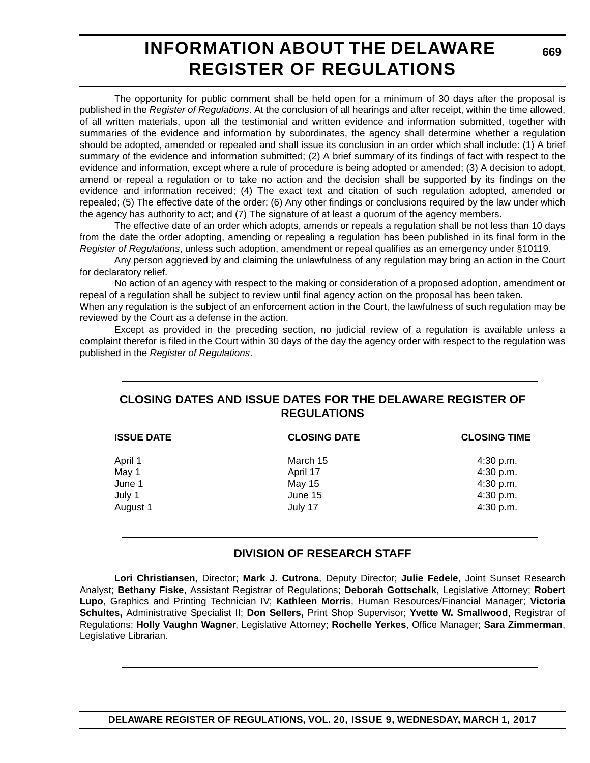# **INFORMATION ABOUT THE DELAWARE REGISTER OF REGULATIONS**

The opportunity for public comment shall be held open for a minimum of 30 days after the proposal is published in the *Register of Regulations*. At the conclusion of all hearings and after receipt, within the time allowed, of all written materials, upon all the testimonial and written evidence and information submitted, together with summaries of the evidence and information by subordinates, the agency shall determine whether a regulation should be adopted, amended or repealed and shall issue its conclusion in an order which shall include: (1) A brief summary of the evidence and information submitted; (2) A brief summary of its findings of fact with respect to the evidence and information, except where a rule of procedure is being adopted or amended; (3) A decision to adopt, amend or repeal a regulation or to take no action and the decision shall be supported by its findings on the evidence and information received; (4) The exact text and citation of such regulation adopted, amended or repealed; (5) The effective date of the order; (6) Any other findings or conclusions required by the law under which the agency has authority to act; and (7) The signature of at least a quorum of the agency members.

The effective date of an order which adopts, amends or repeals a regulation shall be not less than 10 days from the date the order adopting, amending or repealing a regulation has been published in its final form in the *Register of Regulations*, unless such adoption, amendment or repeal qualifies as an emergency under §10119.

Any person aggrieved by and claiming the unlawfulness of any regulation may bring an action in the Court for declaratory relief.

No action of an agency with respect to the making or consideration of a proposed adoption, amendment or repeal of a regulation shall be subject to review until final agency action on the proposal has been taken.

When any regulation is the subject of an enforcement action in the Court, the lawfulness of such regulation may be reviewed by the Court as a defense in the action.

Except as provided in the preceding section, no judicial review of a regulation is available unless a complaint therefor is filed in the Court within 30 days of the day the agency order with respect to the regulation was published in the *Register of Regulations*.

### **CLOSING DATES AND ISSUE DATES FOR THE DELAWARE REGISTER OF REGULATIONS**

| <b>ISSUE DATE</b> | <b>CLOSING DATE</b> |           |  | <b>CLOSING TIME</b> |  |
|-------------------|---------------------|-----------|--|---------------------|--|
| April 1           | March 15            | 4:30 p.m. |  |                     |  |
| May 1             | April 17            | 4:30 p.m. |  |                     |  |
| June 1            | May 15              | 4:30 p.m. |  |                     |  |
| July 1            | June 15             | 4:30 p.m. |  |                     |  |
| August 1          | July 17             | 4:30 p.m. |  |                     |  |

### **DIVISION OF RESEARCH STAFF**

**Lori Christiansen**, Director; **Mark J. Cutrona**, Deputy Director; **Julie Fedele**, Joint Sunset Research Analyst; **Bethany Fiske**, Assistant Registrar of Regulations; **Deborah Gottschalk**, Legislative Attorney; **Robert Lupo**, Graphics and Printing Technician IV; **Kathleen Morris**, Human Resources/Financial Manager; **Victoria Schultes,** Administrative Specialist II; **Don Sellers,** Print Shop Supervisor; **Yvette W. Smallwood**, Registrar of Regulations; **Holly Vaughn Wagner**, Legislative Attorney; **Rochelle Yerkes**, Office Manager; **Sara Zimmerman**, Legislative Librarian.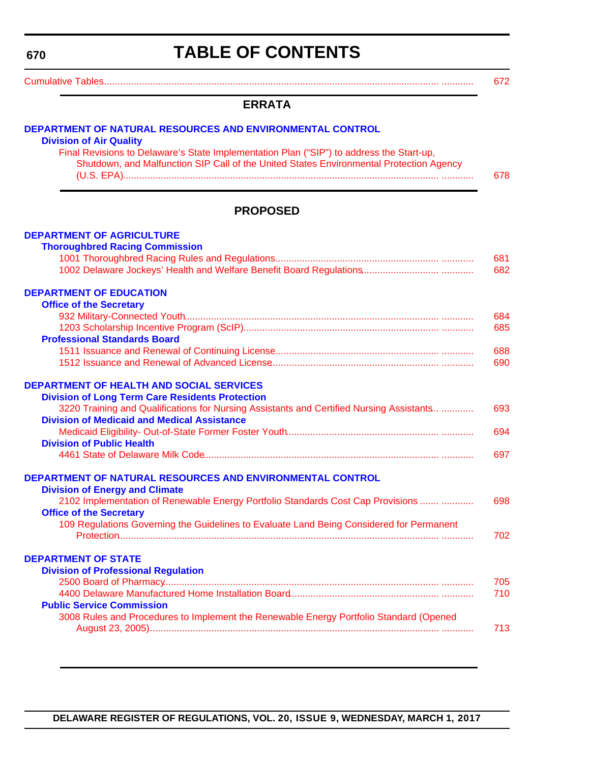<span id="page-3-0"></span>**670**

# **TABLE OF CONTENTS**

[Cumulative Tables............................................................................................................................. ............ 672](#page-5-0)

#### **ERRATA**

| DEPARTMENT OF NATURAL RESOURCES AND ENVIRONMENTAL CONTROL<br><b>Division of Air Quality</b>                                                                                                                                                                 |            |
|-------------------------------------------------------------------------------------------------------------------------------------------------------------------------------------------------------------------------------------------------------------|------------|
| Final Revisions to Delaware's State Implementation Plan ("SIP") to address the Start-up,<br>Shutdown, and Malfunction SIP Call of the United States Environmental Protection Agency                                                                         | 678        |
| <b>PROPOSED</b>                                                                                                                                                                                                                                             |            |
| <b>DEPARTMENT OF AGRICULTURE</b><br><b>Thoroughbred Racing Commission</b>                                                                                                                                                                                   | 681<br>682 |
| <b>DEPARTMENT OF EDUCATION</b><br><b>Office of the Secretary</b>                                                                                                                                                                                            | 684<br>685 |
| <b>Professional Standards Board</b>                                                                                                                                                                                                                         | 688<br>690 |
| <b>DEPARTMENT OF HEALTH AND SOCIAL SERVICES</b><br><b>Division of Long Term Care Residents Protection</b><br>3220 Training and Qualifications for Nursing Assistants and Certified Nursing Assistants<br><b>Division of Medicaid and Medical Assistance</b> | 693        |
| <b>Division of Public Health</b>                                                                                                                                                                                                                            | 694<br>697 |
| DEPARTMENT OF NATURAL RESOURCES AND ENVIRONMENTAL CONTROL<br><b>Division of Energy and Climate</b><br>2102 Implementation of Renewable Energy Portfolio Standards Cost Cap Provisions                                                                       | 698        |
| <b>Office of the Secretary</b><br>109 Regulations Governing the Guidelines to Evaluate Land Being Considered for Permanent                                                                                                                                  | 702        |
| <b>DEPARTMENT OF STATE</b><br><b>Division of Professional Regulation</b><br><b>Public Service Commission</b>                                                                                                                                                | 705<br>710 |
| 3008 Rules and Procedures to Implement the Renewable Energy Portfolio Standard (Opened                                                                                                                                                                      | 713        |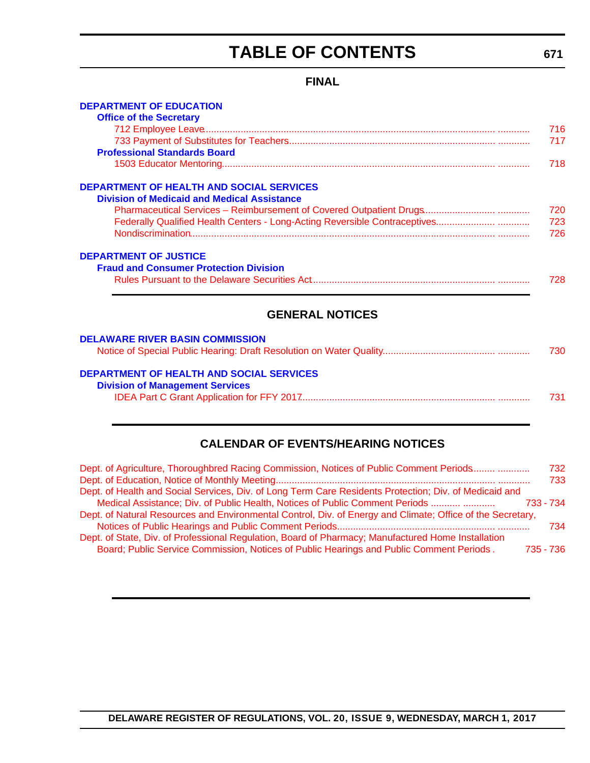# **TABLE OF CONTENTS**

### **FINAL**

<span id="page-4-0"></span>

| <b>DEPARTMENT OF EDUCATION</b>                     |     |
|----------------------------------------------------|-----|
| <b>Office of the Secretary</b>                     |     |
|                                                    | 716 |
|                                                    | 717 |
| <b>Professional Standards Board</b>                |     |
|                                                    | 718 |
| <b>DEPARTMENT OF HEALTH AND SOCIAL SERVICES</b>    |     |
| <b>Division of Medicaid and Medical Assistance</b> |     |
|                                                    | 720 |
|                                                    | 723 |
|                                                    | 726 |
|                                                    |     |
| <b>DEPARTMENT OF JUSTICE</b>                       |     |
| <b>Fraud and Consumer Protection Division</b>      |     |
|                                                    | 728 |
|                                                    |     |
|                                                    |     |
| <b>GENERAL NOTICES</b>                             |     |
| <b>DELAWARE RIVER BASIN COMMISSION</b>             |     |
|                                                    | 730 |
|                                                    |     |
| <b>DEPARTMENT OF HEALTH AND SOCIAL SERVICES</b>    |     |
| <b>Division of Management Services</b>             |     |
|                                                    | 731 |
|                                                    |     |

### **CALENDAR OF EVENTS/HEARING NOTICES**

| Dept. of Agriculture, Thoroughbred Racing Commission, Notices of Public Comment Periods                    | 732       |
|------------------------------------------------------------------------------------------------------------|-----------|
|                                                                                                            | 733       |
| Dept. of Health and Social Services, Div. of Long Term Care Residents Protection; Div. of Medicaid and     |           |
| Medical Assistance; Div. of Public Health, Notices of Public Comment Periods                               | 733 - 734 |
| Dept. of Natural Resources and Environmental Control, Div. of Energy and Climate; Office of the Secretary, |           |
|                                                                                                            | 734       |
| Dept. of State, Div. of Professional Regulation, Board of Pharmacy; Manufactured Home Installation         |           |
| Board; Public Service Commission, Notices of Public Hearings and Public Comment Periods.                   | 735 - 736 |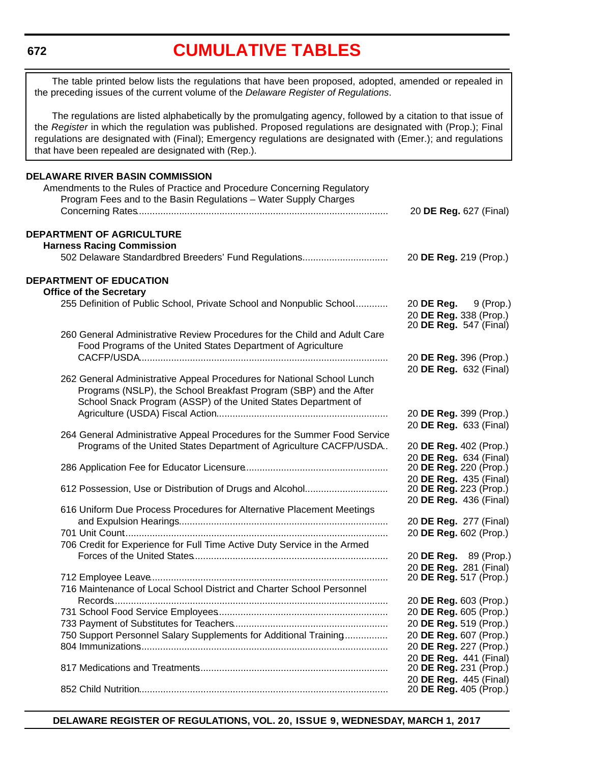#### <span id="page-5-0"></span>**672**

# **[CUMULATIVE TABLES](#page-3-0)**

The table printed below lists the regulations that have been proposed, adopted, amended or repealed in the preceding issues of the current volume of the *Delaware Register of Regulations*.

The regulations are listed alphabetically by the promulgating agency, followed by a citation to that issue of the *Register* in which the regulation was published. Proposed regulations are designated with (Prop.); Final regulations are designated with (Final); Emergency regulations are designated with (Emer.); and regulations that have been repealed are designated with (Rep.).

| <b>DELAWARE RIVER BASIN COMMISSION</b><br>Amendments to the Rules of Practice and Procedure Concerning Regulatory                                                                                             |                                                                            |
|---------------------------------------------------------------------------------------------------------------------------------------------------------------------------------------------------------------|----------------------------------------------------------------------------|
| Program Fees and to the Basin Regulations - Water Supply Charges                                                                                                                                              | 20 DE Reg. 627 (Final)                                                     |
| <b>DEPARTMENT OF AGRICULTURE</b><br><b>Harness Racing Commission</b>                                                                                                                                          |                                                                            |
| 502 Delaware Standardbred Breeders' Fund Regulations                                                                                                                                                          | 20 DE Reg. 219 (Prop.)                                                     |
| <b>DEPARTMENT OF EDUCATION</b>                                                                                                                                                                                |                                                                            |
| <b>Office of the Secretary</b><br>255 Definition of Public School, Private School and Nonpublic School                                                                                                        | 20 DE Reg. 9 (Prop.)<br>20 DE Reg. 338 (Prop.)<br>20 DE Reg. 547 (Final)   |
| 260 General Administrative Review Procedures for the Child and Adult Care<br>Food Programs of the United States Department of Agriculture                                                                     |                                                                            |
|                                                                                                                                                                                                               | 20 DE Reg. 396 (Prop.)<br>20 DE Reg. 632 (Final)                           |
| 262 General Administrative Appeal Procedures for National School Lunch<br>Programs (NSLP), the School Breakfast Program (SBP) and the After<br>School Snack Program (ASSP) of the United States Department of |                                                                            |
|                                                                                                                                                                                                               | 20 DE Reg. 399 (Prop.)<br>20 DE Reg. 633 (Final)                           |
| 264 General Administrative Appeal Procedures for the Summer Food Service<br>Programs of the United States Department of Agriculture CACFP/USDA                                                                | 20 DE Reg. 402 (Prop.)                                                     |
|                                                                                                                                                                                                               | 20 DE Reg. 634 (Final)<br>20 DE Reg. 220 (Prop.)                           |
| 612 Possession, Use or Distribution of Drugs and Alcohol                                                                                                                                                      | 20 DE Reg. 435 (Final)<br>20 DE Reg. 223 (Prop.)<br>20 DE Reg. 436 (Final) |
| 616 Uniform Due Process Procedures for Alternative Placement Meetings                                                                                                                                         | 20 DE Reg. 277 (Final)                                                     |
|                                                                                                                                                                                                               | 20 DE Reg. 602 (Prop.)                                                     |
| 706 Credit for Experience for Full Time Active Duty Service in the Armed                                                                                                                                      | 20 DE Reg. 89 (Prop.)                                                      |
|                                                                                                                                                                                                               | 20 DE Reg. 281 (Final)<br>20 <b>DE Reg.</b> 517 (Prop.)                    |
| 716 Maintenance of Local School District and Charter School Personnel                                                                                                                                         | 20 DE Reg. 603 (Prop.)                                                     |
|                                                                                                                                                                                                               | 20 DE Reg. 605 (Prop.)                                                     |
| 750 Support Personnel Salary Supplements for Additional Training                                                                                                                                              | 20 DE Reg. 519 (Prop.)<br>20 DE Reg. 607 (Prop.)                           |
|                                                                                                                                                                                                               | 20 DE Reg. 227 (Prop.)<br>20 DE Reg. 441 (Final)                           |
|                                                                                                                                                                                                               | 20 DE Reg. 231 (Prop.)                                                     |
|                                                                                                                                                                                                               | 20 DE Reg. 445 (Final)<br>20 DE Reg. 405 (Prop.)                           |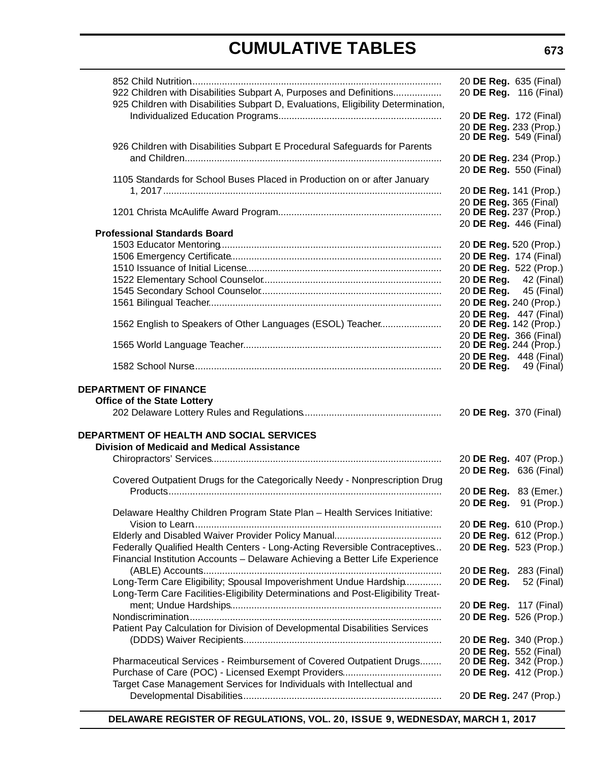|                                                                                   |            | 20 DE Reg. 635 (Final)                                 |
|-----------------------------------------------------------------------------------|------------|--------------------------------------------------------|
| 922 Children with Disabilities Subpart A, Purposes and Definitions                |            | 20 DE Reg. 116 (Final)                                 |
| 925 Children with Disabilities Subpart D, Evaluations, Eligibility Determination, |            |                                                        |
|                                                                                   |            | 20 DE Reg. 172 (Final)                                 |
|                                                                                   |            | 20 DE Reg. 233 (Prop.)                                 |
|                                                                                   |            | 20 <b>DE Reg.</b> 549 (Final)                          |
| 926 Children with Disabilities Subpart E Procedural Safeguards for Parents        |            |                                                        |
|                                                                                   |            | 20 DE Reg. 234 (Prop.)                                 |
|                                                                                   |            | 20 DE Reg. 550 (Final)                                 |
| 1105 Standards for School Buses Placed in Production on or after January          |            |                                                        |
|                                                                                   |            | 20 DE Reg. 141 (Prop.)                                 |
|                                                                                   |            | 20 DE Reg. 365 (Final)<br>20 DE Reg. 237 (Prop.)       |
|                                                                                   |            | 20 DE Reg. 446 (Final)                                 |
| <b>Professional Standards Board</b>                                               |            |                                                        |
|                                                                                   |            | 20 DE Reg. 520 (Prop.)                                 |
|                                                                                   |            | 20 DE Reg. 174 (Final)                                 |
|                                                                                   |            | 20 DE Reg. 522 (Prop.)                                 |
|                                                                                   |            | 20 DE Reg. 42 (Final)                                  |
|                                                                                   |            | 20 DE Reg. 45 (Final)                                  |
|                                                                                   |            | 20 DE Reg. 240 (Prop.)                                 |
|                                                                                   |            | 20 DE Reg. 447 (Final)                                 |
| 1562 English to Speakers of Other Languages (ESOL) Teacher                        |            | 20 DE Reg. 142 (Prop.)                                 |
|                                                                                   |            | 20 DE Reg. 366 (Final)                                 |
|                                                                                   |            | 20 DE Reg. 244 (Prop.)                                 |
|                                                                                   |            | 20 DE Reg. 448 (Final)<br>20 <b>DE Reg.</b> 49 (Final) |
|                                                                                   |            |                                                        |
| <b>DEPARTMENT OF FINANCE</b>                                                      |            |                                                        |
| <b>Office of the State Lottery</b>                                                |            |                                                        |
|                                                                                   |            | 20 DE Reg. 370 (Final)                                 |
|                                                                                   |            |                                                        |
| <b>DEPARTMENT OF HEALTH AND SOCIAL SERVICES</b>                                   |            |                                                        |
| <b>Division of Medicaid and Medical Assistance</b>                                |            |                                                        |
|                                                                                   |            | 20 DE Reg. 407 (Prop.)                                 |
|                                                                                   |            | 20 DE Reg. 636 (Final)                                 |
| Covered Outpatient Drugs for the Categorically Needy - Nonprescription Drug       |            |                                                        |
|                                                                                   |            | 20 DE Reg. 83 (Emer.)                                  |
|                                                                                   |            | 20 DE Reg. 91 (Prop.)                                  |
| Delaware Healthy Children Program State Plan - Health Services Initiative:        |            |                                                        |
|                                                                                   |            | 20 DE Reg. 610 (Prop.)<br>20 DE Reg. 612 (Prop.)       |
| Federally Qualified Health Centers - Long-Acting Reversible Contraceptives        |            | 20 DE Reg. 523 (Prop.)                                 |
| Financial Institution Accounts - Delaware Achieving a Better Life Experience      |            |                                                        |
|                                                                                   |            | 20 DE Reg. 283 (Final)                                 |
| Long-Term Care Eligibility; Spousal Impoverishment Undue Hardship                 | 20 DE Reg. | 52 (Final)                                             |
| Long-Term Care Facilities-Eligibility Determinations and Post-Eligibility Treat-  |            |                                                        |
|                                                                                   |            | 20 DE Reg. 117 (Final)                                 |
|                                                                                   |            | 20 DE Reg. 526 (Prop.)                                 |
| Patient Pay Calculation for Division of Developmental Disabilities Services       |            |                                                        |
|                                                                                   |            | 20 DE Reg. 340 (Prop.)                                 |
|                                                                                   |            | 20 DE Reg. 552 (Final)                                 |
| Pharmaceutical Services - Reimbursement of Covered Outpatient Drugs               |            | 20 DE Reg. 342 (Prop.)                                 |
|                                                                                   |            | 20 DE Reg. 412 (Prop.)                                 |
| Target Case Management Services for Individuals with Intellectual and             |            |                                                        |
|                                                                                   |            | 20 DE Reg. 247 (Prop.)                                 |
|                                                                                   |            |                                                        |

**DELAWARE REGISTER OF REGULATIONS, VOL. 20, ISSUE 9, WEDNESDAY, MARCH 1, 2017**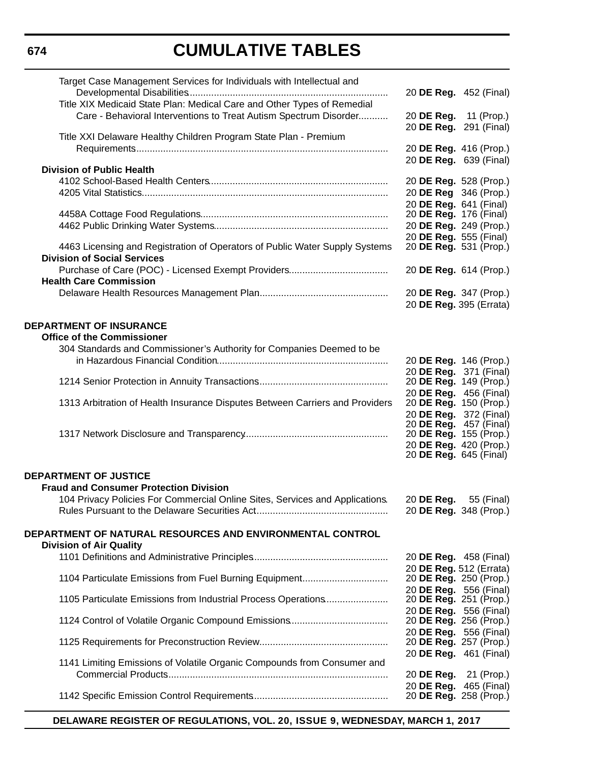| Target Case Management Services for Individuals with Intellectual and                                             |                                                         |
|-------------------------------------------------------------------------------------------------------------------|---------------------------------------------------------|
| Title XIX Medicaid State Plan: Medical Care and Other Types of Remedial                                           | 20 <b>DE Reg.</b> 452 (Final)                           |
| Care - Behavioral Interventions to Treat Autism Spectrum Disorder                                                 | 20 DE Reg. 11 (Prop.)<br>20 DE Reg. 291 (Final)         |
| Title XXI Delaware Healthy Children Program State Plan - Premium                                                  |                                                         |
|                                                                                                                   | 20 DE Reg. 416 (Prop.)                                  |
|                                                                                                                   | 20 DE Reg. 639 (Final)                                  |
| <b>Division of Public Health</b>                                                                                  |                                                         |
|                                                                                                                   | 20 DE Reg. 528 (Prop.)                                  |
|                                                                                                                   | 20 DE Reg 346 (Prop.)                                   |
|                                                                                                                   | 20 DE Reg. 641 (Final)<br>20 <b>DE Reg.</b> 176 (Final) |
|                                                                                                                   | 20 DE Reg. 249 (Prop.)                                  |
|                                                                                                                   | 20 DE Reg. 555 (Final)                                  |
| 4463 Licensing and Registration of Operators of Public Water Supply Systems<br><b>Division of Social Services</b> | 20 DE Reg. 531 (Prop.)                                  |
|                                                                                                                   | 20 DE Reg. 614 (Prop.)                                  |
| <b>Health Care Commission</b>                                                                                     |                                                         |
|                                                                                                                   | 20 DE Reg. 347 (Prop.)                                  |
|                                                                                                                   | 20 DE Reg. 395 (Errata)                                 |
| <b>DEPARTMENT OF INSURANCE</b>                                                                                    |                                                         |
| <b>Office of the Commissioner</b>                                                                                 |                                                         |
| 304 Standards and Commissioner's Authority for Companies Deemed to be                                             |                                                         |
|                                                                                                                   | 20 DE Reg. 146 (Prop.)                                  |
|                                                                                                                   | 20 DE Reg. 371 (Final)                                  |
|                                                                                                                   | 20 DE Reg. 149 (Prop.)                                  |
|                                                                                                                   | 20 DE Reg. 456 (Final)                                  |
| 1313 Arbitration of Health Insurance Disputes Between Carriers and Providers                                      | 20 DE Reg. 150 (Prop.)<br>20 DE Reg. 372 (Final)        |
|                                                                                                                   | 20 DE Reg. 457 (Final)                                  |
|                                                                                                                   | 20 DE Reg. 155 (Prop.)                                  |
|                                                                                                                   | 20 DE Reg. 420 (Prop.)                                  |
|                                                                                                                   | 20 <b>DE Reg.</b> 645 (Final)                           |
| <b>DEPARTMENT OF JUSTICE</b>                                                                                      |                                                         |
| <b>Fraud and Consumer Protection Division</b>                                                                     |                                                         |
| 104 Privacy Policies For Commercial Online Sites, Services and Applications.                                      | 20 DE Reg.<br>55 (Final)                                |
|                                                                                                                   | 20 DE Reg. 348 (Prop.)                                  |
|                                                                                                                   |                                                         |
| DEPARTMENT OF NATURAL RESOURCES AND ENVIRONMENTAL CONTROL                                                         |                                                         |
| <b>Division of Air Quality</b>                                                                                    |                                                         |
|                                                                                                                   | 20 DE Reg. 458 (Final)                                  |
| 1104 Particulate Emissions from Fuel Burning Equipment                                                            | 20 DE Reg. 512 (Errata)<br>20 DE Reg. 250 (Prop.)       |
|                                                                                                                   | 20 DE Reg. 556 (Final)                                  |
| 1105 Particulate Emissions from Industrial Process Operations                                                     | 20 DE Reg. 251 (Prop.)                                  |
|                                                                                                                   | 20 DE Reg. 556 (Final)                                  |
|                                                                                                                   | 20 DE Reg. 256 (Prop.)                                  |
|                                                                                                                   | 20 DE Reg. 556 (Final)<br>20 DE Reg. 257 (Prop.)        |
|                                                                                                                   | 20 DE Reg. 461 (Final)                                  |
| 1141 Limiting Emissions of Volatile Organic Compounds from Consumer and                                           |                                                         |
|                                                                                                                   | 20 <b>DE Reg.</b> 21 (Prop.)                            |
|                                                                                                                   | 20 DE Reg. 465 (Final)                                  |
|                                                                                                                   | 20 DE Reg. 258 (Prop.)                                  |

**DELAWARE REGISTER OF REGULATIONS, VOL. 20, ISSUE 9, WEDNESDAY, MARCH 1, 2017**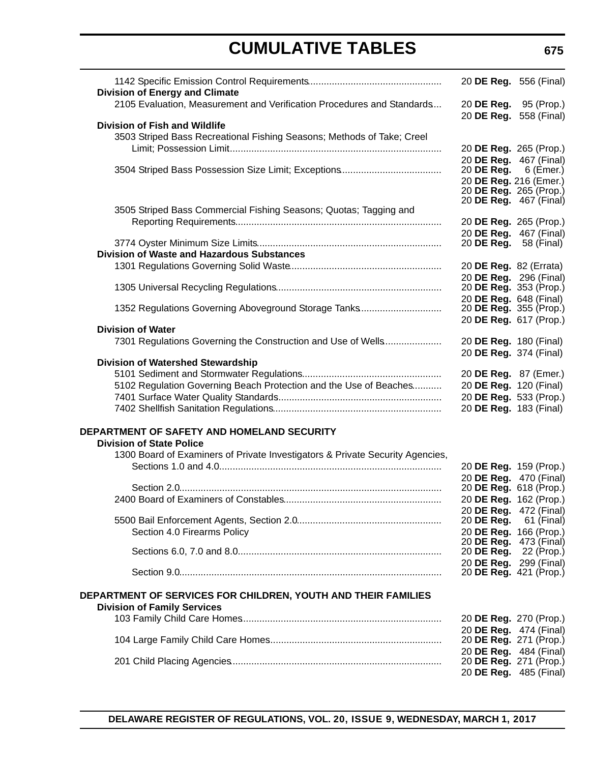| <b>Division of Energy and Climate</b>                                                               | 20 DE Reg. 556 (Final)                           |            |
|-----------------------------------------------------------------------------------------------------|--------------------------------------------------|------------|
| 2105 Evaluation, Measurement and Verification Procedures and Standards                              | 20 DE Reg. 95 (Prop.)<br>20 DE Reg. 558 (Final)  |            |
| <b>Division of Fish and Wildlife</b>                                                                |                                                  |            |
| 3503 Striped Bass Recreational Fishing Seasons; Methods of Take; Creel                              |                                                  |            |
|                                                                                                     | 20 DE Reg. 265 (Prop.)                           |            |
|                                                                                                     | 20 DE Reg. 467 (Final)                           |            |
|                                                                                                     | 20 DE Reg. $6$ (Emer.)                           |            |
|                                                                                                     | 20 DE Reg. 216 (Emer.)                           |            |
|                                                                                                     | 20 DE Reg. 265 (Prop.)                           |            |
|                                                                                                     | 20 <b>DE Reg.</b> 467 (Final)                    |            |
| 3505 Striped Bass Commercial Fishing Seasons; Quotas; Tagging and                                   |                                                  |            |
|                                                                                                     | 20 DE Reg. 265 (Prop.)                           |            |
|                                                                                                     | 20 DE Reg. 467 (Final)                           |            |
|                                                                                                     | 20 <b>DE Reg.</b> 58 (Final)                     |            |
| <b>Division of Waste and Hazardous Substances</b>                                                   |                                                  |            |
|                                                                                                     | 20 DE Reg. 82 (Errata)                           |            |
|                                                                                                     | 20 DE Reg. 296 (Final)<br>20 DE Reg. 353 (Prop.) |            |
|                                                                                                     |                                                  |            |
| 1352 Regulations Governing Aboveground Storage Tanks                                                | 20 DE Reg. 648 (Final)<br>20 DE Reg. 355 (Prop.) |            |
|                                                                                                     | 20 DE Reg. 617 (Prop.)                           |            |
| <b>Division of Water</b>                                                                            |                                                  |            |
| 7301 Regulations Governing the Construction and Use of Wells                                        | 20 DE Reg. 180 (Final)                           |            |
|                                                                                                     | 20 DE Reg. 374 (Final)                           |            |
| <b>Division of Watershed Stewardship</b>                                                            |                                                  |            |
|                                                                                                     | 20 DE Reg. 87 (Emer.)                            |            |
| 5102 Regulation Governing Beach Protection and the Use of Beaches                                   | 20 DE Reg. 120 (Final)                           |            |
|                                                                                                     | 20 DE Reg. 533 (Prop.)                           |            |
|                                                                                                     | 20 DE Reg. 183 (Final)                           |            |
|                                                                                                     |                                                  |            |
| DEPARTMENT OF SAFETY AND HOMELAND SECURITY                                                          |                                                  |            |
| <b>Division of State Police</b>                                                                     |                                                  |            |
| 1300 Board of Examiners of Private Investigators & Private Security Agencies,                       |                                                  |            |
|                                                                                                     | 20 DE Reg. 159 (Prop.)                           |            |
|                                                                                                     | 20 DE Reg. 470 (Final)                           |            |
|                                                                                                     | 20 DE Reg. 618 (Prop.)                           |            |
|                                                                                                     | 20 DE Reg. 162 (Prop.)                           |            |
|                                                                                                     | 20 DE Reg. 472 (Final)                           |            |
|                                                                                                     | 20 DE Reg.                                       | 61 (Final) |
| Section 4.0 Firearms Policy                                                                         | 20 DE Reg. 166 (Prop.)                           |            |
|                                                                                                     | 20 <b>DE Reg.</b> 473 (Final)                    |            |
|                                                                                                     | 20 DE Reg. 22 (Prop.)                            |            |
|                                                                                                     | 20 DE Reg. 299 (Final)                           |            |
|                                                                                                     | 20 DE Reg. 421 (Prop.)                           |            |
| DEPARTMENT OF SERVICES FOR CHILDREN, YOUTH AND THEIR FAMILIES<br><b>Division of Family Services</b> |                                                  |            |
|                                                                                                     |                                                  |            |
|                                                                                                     | 20 DE Reg. 270 (Prop.)<br>20 DE Reg. 474 (Final) |            |
|                                                                                                     | 20 <b>DE Reg.</b> 271 (Prop.)                    |            |
|                                                                                                     | 20 DE Reg. 484 (Final)                           |            |
|                                                                                                     | 20 DE Reg. 271 (Prop.)                           |            |
|                                                                                                     | 20 DE Reg. 485 (Final)                           |            |
|                                                                                                     |                                                  |            |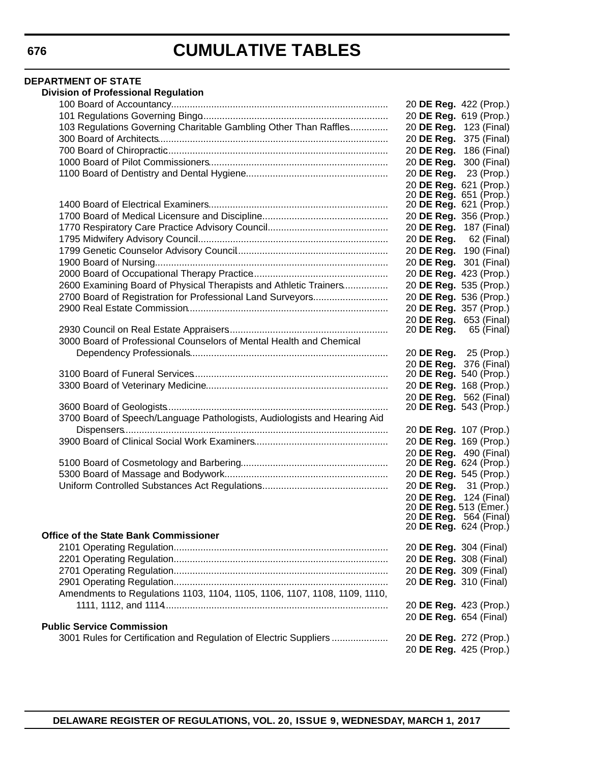#### **DEPARTMENT OF STATE Division of Professional Regulation** 100 Board of Accountancy................................................................................. 20 **DE Reg.** 422 (Prop.) 101 Regulations Governing Bingo...................................................................... 20 **DE Reg.** 619 (Prop.) 103 Regulations Governing Charitable Gambling Other Than Raffles............... 20 **DE Reg.** 123 (Final) 300 Board of Architects...................................................................................... 20 **DE Reg.** 375 (Final) 700 Board of Chiropractic................................................................................... 20 **DE Reg.** 186 (Final) 1000 Board of Pilot Commissioners................................................................... 20 **DE Reg.** 300 (Final) 1100 Board of Dentistry and Dental Hygiene..................................................... 20 **DE Reg.** 23 (Prop.) 20 **DE Reg.** 621 (Prop.) 20 **DE Reg.** 651 (Prop.) 1400 Board of Electrical Examiners................................................................... 20 **DE Reg.** 621 (Prop.) 1700 Board of Medical Licensure and Discipline................................................ 20 **DE Reg.** 356 (Prop.) 1770 Respiratory Care Practice Advisory Council.............................................. 20 **DE Reg.** 187 (Final) 1795 Midwifery Advisory Council........................................................................ 20 **DE Reg.** 62 (Final) 1799 Genetic Counselor Advisory Council......................................................... 20 **DE Reg.** 190 (Final) 1900 Board of Nursing....................................................................................... 20 **DE Reg.** 301 (Final) 2000 Board of Occupational Therapy Practice................................................... 20 **DE Reg.** 423 (Prop.) 2600 Examining Board of Physical Therapists and Athletic Trainers................. 20 **DE Reg.** 535 (Prop.) 2700 Board of Registration for Professional Land Surveyors............................. 20 **DE Reg.** 536 (Prop.) 2900 Real Estate Commission........................................................................... 20 **DE Reg.** 357 (Prop.) 20 **DE Reg.** 653 (Final) 2930 Council on Real Estate Appraisers............................................................ 20 **DE Reg.** 65 (Final) 3000 Board of Professional Counselors of Mental Health and Chemical Dependency Professionals.......................................................................... 20 **DE Reg.** 25 (Prop.) 20 **DE Reg.** 376 (Final) 3100 Board of Funeral Services......................................................................... 20 **DE Reg.** 540 (Prop.) 3300 Board of Veterinary Medicine.................................................................... 20 **DE Reg.** 168 (Prop.) 20 **DE Reg.** 562 (Final) 3600 Board of Geologists................................................................................... 20 **DE Reg.** 543 (Prop.) 3700 Board of Speech/Language Pathologists, Audiologists and Hearing Aid Dispensers................................................................................................... 20 **DE Reg.** 107 (Prop.) 3900 Board of Clinical Social Work Examiners.................................................. 20 **DE Reg.** 169 (Prop.) 20 **DE Reg.** 490 (Final) 5100 Board of Cosmetology and Barbering....................................................... 20 **DE Reg.** 624 (Prop.) 5300 Board of Massage and Bodywork............................................................. 20 **DE Reg.** 545 (Prop.) Uniform Controlled Substances Act Regulations................................................ 20 **DE Reg.** 31 (Prop.) 20 **DE Reg.** 124 (Final) 20 **DE Reg.** 513 (Emer.) 20 **DE Reg.** 564 (Final) 20 **DE Reg.** 624 (Prop.) **Office of the State Bank Commissioner** 2101 Operating Regulation................................................................................ 20 **DE Reg.** 304 (Final) 2201 Operating Regulation................................................................................ 20 **DE Reg.** 308 (Final) 2701 Operating Regulation................................................................................ 20 **DE Reg.** 309 (Final) 2901 Operating Regulation................................................................................ 20 **DE Reg.** 310 (Final) Amendments to Regulations 1103, 1104, 1105, 1106, 1107, 1108, 1109, 1110, 1111, 1112, and 1114.................................................................................... 20 **DE Reg.** 423 (Prop.) 20 **DE Reg.** 654 (Final) **Public Service Commission** 3001 Rules for Certification and Regulation of Electric Suppliers ..................... 20 **DE Reg.** 272 (Prop.) 20 **DE Reg.** 425 (Prop.)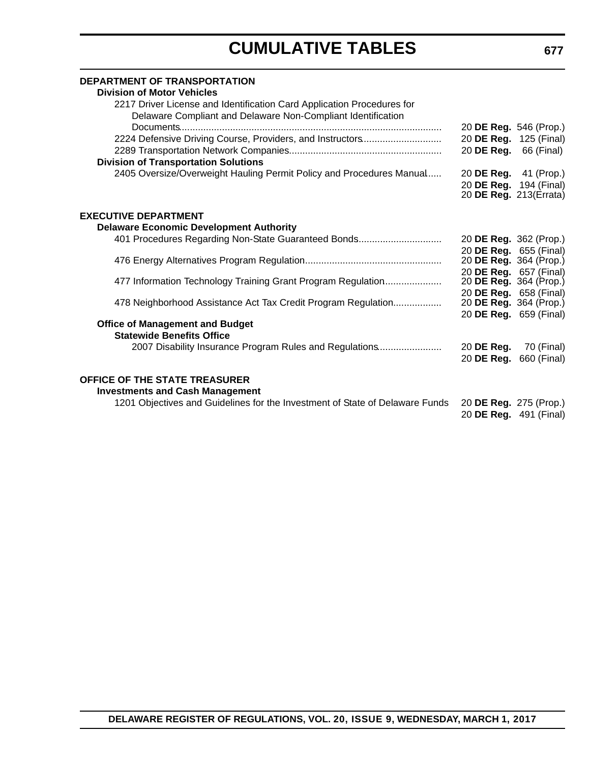| <b>DEPARTMENT OF TRANSPORTATION</b><br><b>Division of Motor Vehicles</b>                                                               |                               |             |
|----------------------------------------------------------------------------------------------------------------------------------------|-------------------------------|-------------|
| 2217 Driver License and Identification Card Application Procedures for<br>Delaware Compliant and Delaware Non-Compliant Identification |                               |             |
|                                                                                                                                        | 20 DE Reg. 546 (Prop.)        |             |
| 2224 Defensive Driving Course, Providers, and Instructors                                                                              | 20 DE Reg. 125 (Final)        |             |
| <b>Division of Transportation Solutions</b>                                                                                            | 20 DE Reg.                    | 66 (Final)  |
| 2405 Oversize/Overweight Hauling Permit Policy and Procedures Manual                                                                   | 20 <b>DE Reg.</b> 41 (Prop.)  |             |
|                                                                                                                                        | 20 DE Reg. 194 (Final)        |             |
|                                                                                                                                        | 20 <b>DE Reg.</b> 213(Errata) |             |
| <b>EXECUTIVE DEPARTMENT</b>                                                                                                            |                               |             |
| <b>Delaware Economic Development Authority</b>                                                                                         |                               |             |
| 401 Procedures Regarding Non-State Guaranteed Bonds                                                                                    | 20 DE Reg. 362 (Prop.)        |             |
|                                                                                                                                        | 20 DE Reg. 655 (Final)        |             |
|                                                                                                                                        | 20 DE Reg. 364 (Prop.)        |             |
|                                                                                                                                        | 20 DE Reg. 657 (Final)        |             |
| 477 Information Technology Training Grant Program Regulation                                                                           | 20 DE Reg. 364 (Prop.)        |             |
|                                                                                                                                        | 20 DE Reg. 658 (Final)        |             |
| 478 Neighborhood Assistance Act Tax Credit Program Regulation                                                                          | 20 DE Reg. 364 (Prop.)        |             |
| <b>Office of Management and Budget</b>                                                                                                 | 20 DE Reg. 659 (Final)        |             |
| <b>Statewide Benefits Office</b>                                                                                                       |                               |             |
| 2007 Disability Insurance Program Rules and Regulations                                                                                | 20 DE Reg.                    | 70 (Final)  |
|                                                                                                                                        | 20 DE Reg.                    | 660 (Final) |
| <b>OFFICE OF THE STATE TREASURER</b>                                                                                                   |                               |             |
| <b>Investments and Cash Management</b>                                                                                                 |                               |             |
| 1201 Objectives and Guidelines for the Investment of State of Delaware Funds                                                           | 20 DE Reg. 275 (Prop.)        |             |
|                                                                                                                                        | 20 DE Reg. 491 (Final)        |             |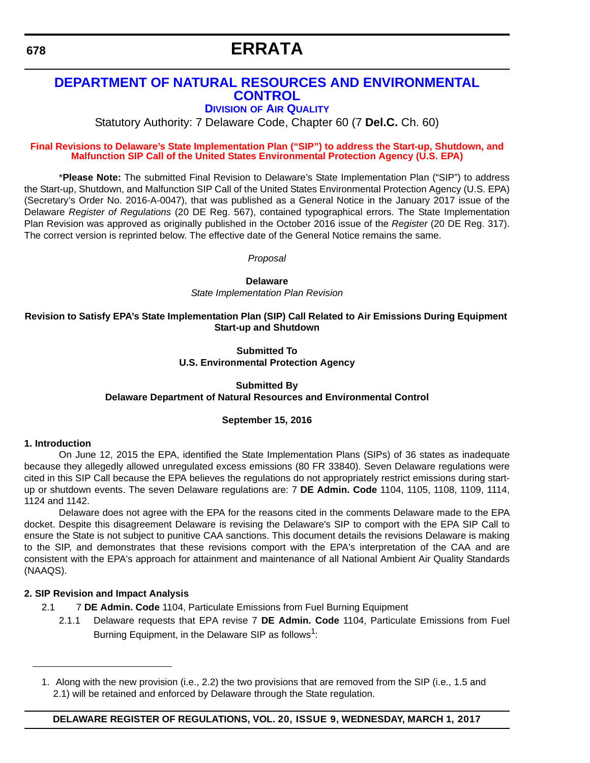# **ERRATA**

### <span id="page-11-0"></span>**[DEPARTMENT OF NATURAL RESOURCES AND ENVIRONMENTAL](http://www.dnrec.delaware.gov/Pages/Portal.aspx)  CONTROL**

#### **DIVISION [OF AIR QUALITY](http://www.dnrec.delaware.gov/air/Pages/Default.aspx)**

Statutory Authority: 7 Delaware Code, Chapter 60 (7 **Del.C.** Ch. 60)

#### **[Final Revisions to Delaware's State Implementation Plan \("SIP"\) to address the Start-up, Shutdown, and](#page-3-0)  Malfunction SIP Call of the United States Environmental Protection Agency (U.S. EPA)**

\***Please Note:** The submitted Final Revision to Delaware's State Implementation Plan ("SIP") to address the Start-up, Shutdown, and Malfunction SIP Call of the United States Environmental Protection Agency (U.S. EPA) (Secretary's Order No. 2016-A-0047), that was published as a General Notice in the January 2017 issue of the Delaware *Register of Regulations* (20 DE Reg. 567), contained typographical errors. The State Implementation Plan Revision was approved as originally published in the October 2016 issue of the *Register* (20 DE Reg. 317). The correct version is reprinted below. The effective date of the General Notice remains the same.

*Proposal*

**Delaware**

*State Implementation Plan Revision*

#### **Revision to Satisfy EPA's State Implementation Plan (SIP) Call Related to Air Emissions During Equipment Start-up and Shutdown**

#### **Submitted To U.S. Environmental Protection Agency**

#### **Submitted By Delaware Department of Natural Resources and Environmental Control**

#### **September 15, 2016**

#### **1. Introduction**

On June 12, 2015 the EPA, identified the State Implementation Plans (SIPs) of 36 states as inadequate because they allegedly allowed unregulated excess emissions (80 FR 33840). Seven Delaware regulations were cited in this SIP Call because the EPA believes the regulations do not appropriately restrict emissions during startup or shutdown events. The seven Delaware regulations are: 7 **DE Admin. Code** 1104, 1105, 1108, 1109, 1114, 1124 and 1142.

Delaware does not agree with the EPA for the reasons cited in the comments Delaware made to the EPA docket. Despite this disagreement Delaware is revising the Delaware's SIP to comport with the EPA SIP Call to ensure the State is not subject to punitive CAA sanctions. This document details the revisions Delaware is making to the SIP, and demonstrates that these revisions comport with the EPA's interpretation of the CAA and are consistent with the EPA's approach for attainment and maintenance of all National Ambient Air Quality Standards (NAAQS).

#### **2. SIP Revision and Impact Analysis**

- 2.1 7 **DE Admin. Code** 1104, Particulate Emissions from Fuel Burning Equipment
	- 2.1.1 Delaware requests that EPA revise 7 **DE Admin. Code** 1104, Particulate Emissions from Fuel Burning Equipment, in the Delaware SIP as follows<sup>1</sup>:

<sup>1.</sup> Along with the new provision (i.e., 2.2) the two provisions that are removed from the SIP (i.e., 1.5 and 2.1) will be retained and enforced by Delaware through the State regulation.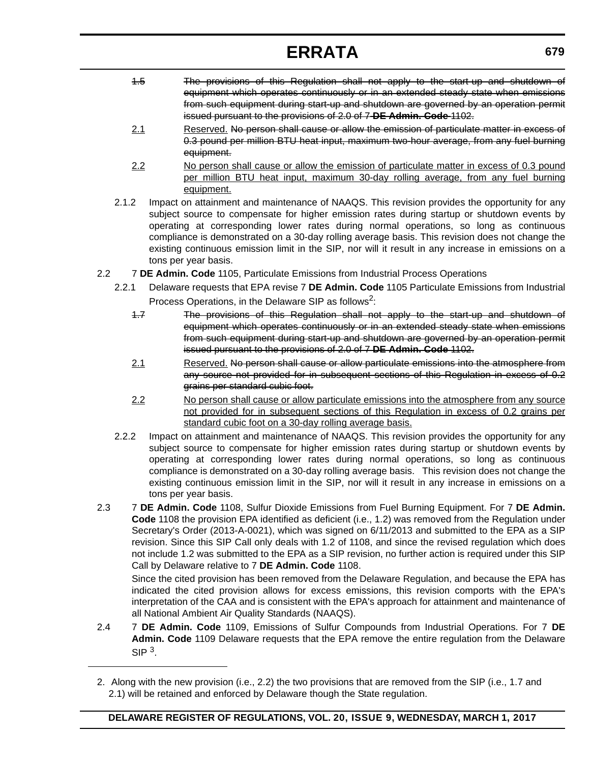# **ERRATA**

- 1.5 The provisions of this Regulation shall not apply to the start-up and shutdown of equipment which operates continuously or in an extended steady state when emissions from such equipment during start-up and shutdown are governed by an operation permit issued pursuant to the provisions of 2.0 of 7 **DE Admin. Code** 1102.
- 2.1 Reserved. No person shall cause or allow the emission of particulate matter in excess of 0.3 pound per million BTU heat input, maximum two-hour average, from any fuel burning equipment.
- 2.2 No person shall cause or allow the emission of particulate matter in excess of 0.3 pound per million BTU heat input, maximum 30-day rolling average, from any fuel burning equipment.
- 2.1.2 Impact on attainment and maintenance of NAAQS. This revision provides the opportunity for any subject source to compensate for higher emission rates during startup or shutdown events by operating at corresponding lower rates during normal operations, so long as continuous compliance is demonstrated on a 30-day rolling average basis. This revision does not change the existing continuous emission limit in the SIP, nor will it result in any increase in emissions on a tons per year basis.
- 2.2 7 **DE Admin. Code** 1105, Particulate Emissions from Industrial Process Operations
	- 2.2.1 Delaware requests that EPA revise 7 **DE Admin. Code** 1105 Particulate Emissions from Industrial Process Operations, in the Delaware SIP as follows<sup>2</sup>:
		- 1.7 The provisions of this Regulation shall not apply to the start-up and shutdown of equipment which operates continuously or in an extended steady state when emissions from such equipment during start-up and shutdown are governed by an operation permit issued pursuant to the provisions of 2.0 of 7 **DE Admin. Code** 1102.
		- 2.1 Reserved. No person shall cause or allow particulate emissions into the atmosphere from any source not provided for in subsequent sections of this Regulation in excess of 0.2 grains per standard cubic foot.
		- 2.2 No person shall cause or allow particulate emissions into the atmosphere from any source not provided for in subsequent sections of this Regulation in excess of 0.2 grains per standard cubic foot on a 30-day rolling average basis.
	- 2.2.2 Impact on attainment and maintenance of NAAQS. This revision provides the opportunity for any subject source to compensate for higher emission rates during startup or shutdown events by operating at corresponding lower rates during normal operations, so long as continuous compliance is demonstrated on a 30-day rolling average basis. This revision does not change the existing continuous emission limit in the SIP, nor will it result in any increase in emissions on a tons per year basis.
- 2.3 7 **DE Admin. Code** 1108, Sulfur Dioxide Emissions from Fuel Burning Equipment. For 7 **DE Admin. Code** 1108 the provision EPA identified as deficient (i.e., 1.2) was removed from the Regulation under Secretary's Order (2013-A-0021), which was signed on 6/11/2013 and submitted to the EPA as a SIP revision. Since this SIP Call only deals with 1.2 of 1108, and since the revised regulation which does not include 1.2 was submitted to the EPA as a SIP revision, no further action is required under this SIP Call by Delaware relative to 7 **DE Admin. Code** 1108.

Since the cited provision has been removed from the Delaware Regulation, and because the EPA has indicated the cited provision allows for excess emissions, this revision comports with the EPA's interpretation of the CAA and is consistent with the EPA's approach for attainment and maintenance of all National Ambient Air Quality Standards (NAAQS).

2.4 7 **DE Admin. Code** 1109, Emissions of Sulfur Compounds from Industrial Operations. For 7 **DE Admin. Code** 1109 Delaware requests that the EPA remove the entire regulation from the Delaware  $SIP<sup>3</sup>$ 

<sup>2.</sup> Along with the new provision (i.e., 2.2) the two provisions that are removed from the SIP (i.e., 1.7 and 2.1) will be retained and enforced by Delaware though the State regulation.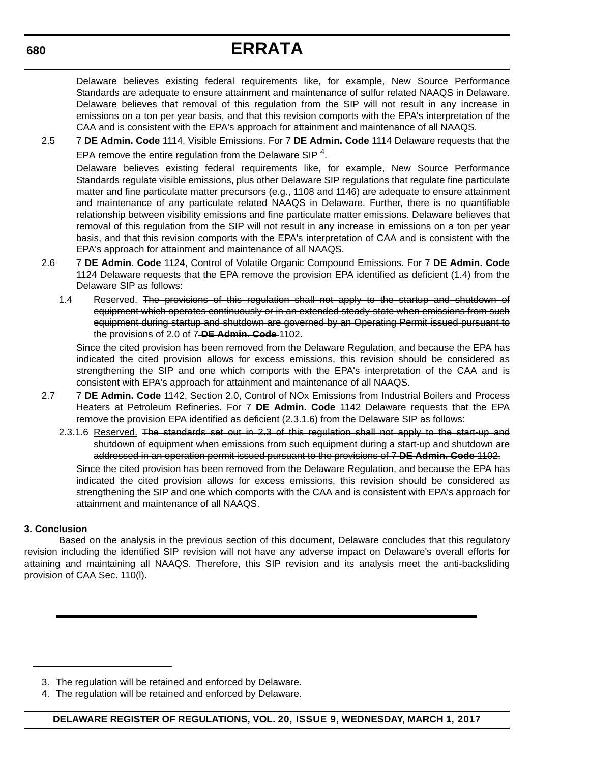# **ERRATA**

Delaware believes existing federal requirements like, for example, New Source Performance Standards are adequate to ensure attainment and maintenance of sulfur related NAAQS in Delaware. Delaware believes that removal of this regulation from the SIP will not result in any increase in emissions on a ton per year basis, and that this revision comports with the EPA's interpretation of the CAA and is consistent with the EPA's approach for attainment and maintenance of all NAAQS.

2.5 7 **DE Admin. Code** 1114, Visible Emissions. For 7 **DE Admin. Code** 1114 Delaware requests that the EPA remove the entire regulation from the Delaware SIP  $4$ .

Delaware believes existing federal requirements like, for example, New Source Performance Standards regulate visible emissions, plus other Delaware SIP regulations that regulate fine particulate matter and fine particulate matter precursors (e.g., 1108 and 1146) are adequate to ensure attainment and maintenance of any particulate related NAAQS in Delaware. Further, there is no quantifiable relationship between visibility emissions and fine particulate matter emissions. Delaware believes that removal of this regulation from the SIP will not result in any increase in emissions on a ton per year basis, and that this revision comports with the EPA's interpretation of CAA and is consistent with the EPA's approach for attainment and maintenance of all NAAQS.

- 2.6 7 **DE Admin. Code** 1124, Control of Volatile Organic Compound Emissions. For 7 **DE Admin. Code** 1124 Delaware requests that the EPA remove the provision EPA identified as deficient (1.4) from the Delaware SIP as follows:
	- 1.4 Reserved. The provisions of this regulation shall not apply to the startup and shutdown of equipment which operates continuously or in an extended steady-state when emissions from such equipment during startup and shutdown are governed by an Operating Permit issued pursuant to the provisions of 2.0 of 7 **DE Admin. Code** 1102.

Since the cited provision has been removed from the Delaware Regulation, and because the EPA has indicated the cited provision allows for excess emissions, this revision should be considered as strengthening the SIP and one which comports with the EPA's interpretation of the CAA and is consistent with EPA's approach for attainment and maintenance of all NAAQS.

- 2.7 7 **DE Admin. Code** 1142, Section 2.0, Control of NOx Emissions from Industrial Boilers and Process Heaters at Petroleum Refineries. For 7 **DE Admin. Code** 1142 Delaware requests that the EPA remove the provision EPA identified as deficient (2.3.1.6) from the Delaware SIP as follows:
	- 2.3.1.6 Reserved. The standards set out in 2.3 of this regulation shall not apply to the start-up and shutdown of equipment when emissions from such equipment during a start-up and shutdown are addressed in an operation permit issued pursuant to the provisions of 7 **DE Admin. Code** 1102.

Since the cited provision has been removed from the Delaware Regulation, and because the EPA has indicated the cited provision allows for excess emissions, this revision should be considered as strengthening the SIP and one which comports with the CAA and is consistent with EPA's approach for attainment and maintenance of all NAAQS.

#### **3. Conclusion**

Based on the analysis in the previous section of this document, Delaware concludes that this regulatory revision including the identified SIP revision will not have any adverse impact on Delaware's overall efforts for attaining and maintaining all NAAQS. Therefore, this SIP revision and its analysis meet the anti-backsliding provision of CAA Sec. 110(l).

<sup>3.</sup> The regulation will be retained and enforced by Delaware.

<sup>4.</sup> The regulation will be retained and enforced by Delaware.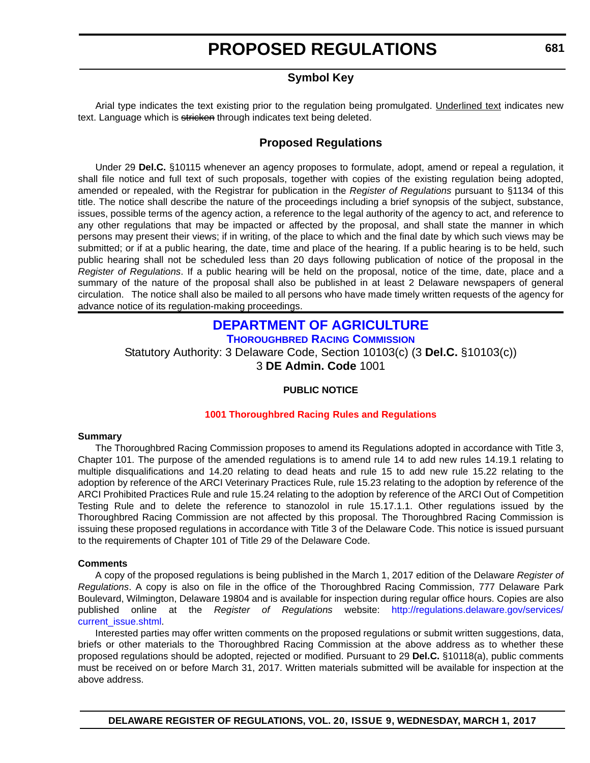### **Symbol Key**

<span id="page-14-0"></span>Arial type indicates the text existing prior to the regulation being promulgated. Underlined text indicates new text. Language which is stricken through indicates text being deleted.

### **Proposed Regulations**

Under 29 **Del.C.** §10115 whenever an agency proposes to formulate, adopt, amend or repeal a regulation, it shall file notice and full text of such proposals, together with copies of the existing regulation being adopted, amended or repealed, with the Registrar for publication in the *Register of Regulations* pursuant to §1134 of this title. The notice shall describe the nature of the proceedings including a brief synopsis of the subject, substance, issues, possible terms of the agency action, a reference to the legal authority of the agency to act, and reference to any other regulations that may be impacted or affected by the proposal, and shall state the manner in which persons may present their views; if in writing, of the place to which and the final date by which such views may be submitted; or if at a public hearing, the date, time and place of the hearing. If a public hearing is to be held, such public hearing shall not be scheduled less than 20 days following publication of notice of the proposal in the *Register of Regulations*. If a public hearing will be held on the proposal, notice of the time, date, place and a summary of the nature of the proposal shall also be published in at least 2 Delaware newspapers of general circulation. The notice shall also be mailed to all persons who have made timely written requests of the agency for advance notice of its regulation-making proceedings.

### **[DEPARTMENT OF AGRICULTURE](http://dda.delaware.gov/)**

**[THOROUGHBRED RACING COMMISSION](http://dda.delaware.gov/thoroughbred/index.shtml)**

Statutory Authority: 3 Delaware Code, Section 10103(c) (3 **Del.C.** §10103(c)) 3 **DE Admin. Code** 1001

#### **PUBLIC NOTICE**

#### **[1001 Thoroughbred Racing](#page-3-0) Rules and Regulations**

#### **Summary**

The Thoroughbred Racing Commission proposes to amend its Regulations adopted in accordance with Title 3, Chapter 101. The purpose of the amended regulations is to amend rule 14 to add new rules 14.19.1 relating to multiple disqualifications and 14.20 relating to dead heats and rule 15 to add new rule 15.22 relating to the adoption by reference of the ARCI Veterinary Practices Rule, rule 15.23 relating to the adoption by reference of the ARCI Prohibited Practices Rule and rule 15.24 relating to the adoption by reference of the ARCI Out of Competition Testing Rule and to delete the reference to stanozolol in rule 15.17.1.1. Other regulations issued by the Thoroughbred Racing Commission are not affected by this proposal. The Thoroughbred Racing Commission is issuing these proposed regulations in accordance with Title 3 of the Delaware Code. This notice is issued pursuant to the requirements of Chapter 101 of Title 29 of the Delaware Code.

#### **Comments**

A copy of the proposed regulations is being published in the March 1, 2017 edition of the Delaware *Register of Regulations*. A copy is also on file in the office of the Thoroughbred Racing Commission, 777 Delaware Park Boulevard, Wilmington, Delaware 19804 and is available for inspection during regular office hours. Copies are also published online at the *Register of Regulations* website: http://regulations.delaware.gov/services/ current\_issue.shtml

Interested parties may offer written comments on the proposed regulations or submit written suggestions, data, briefs or other materials to the Thoroughbred Racing Commission at the above address as to whether these proposed regulations should be adopted, rejected or modified. Pursuant to 29 **Del.C.** §10118(a), public comments must be received on or before March 31, 2017. Written materials submitted will be available for inspection at the above address.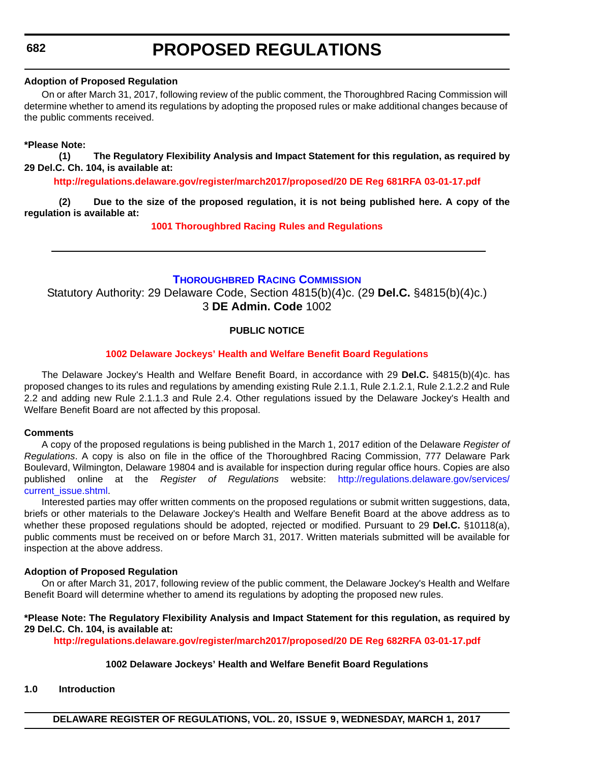#### <span id="page-15-0"></span>**Adoption of Proposed Regulation**

On or after March 31, 2017, following review of the public comment, the Thoroughbred Racing Commission will determine whether to amend its regulations by adopting the proposed rules or make additional changes because of the public comments received.

#### **\*Please Note:**

**(1) The Regulatory Flexibility Analysis and Impact Statement for this regulation, as required by 29 Del.C. Ch. 104, is available at:**

**<http://regulations.delaware.gov/register/march2017/proposed/20 DE Reg 681RFA 03-01-17.pdf>**

**(2) Due to the size of the proposed regulation, it is not being published here. A copy of the regulation is available at:**

**[1001 Thoroughbred Racin](http://regulations.delaware.gov/register/march2017/proposed/20 DE Reg 681 03-01-17.htm)[g](http://regulations.delaware.gov/) Rules and Regulations**

#### **[THOROUGHBRED RACING COMMISSION](http://dda.delaware.gov/thoroughbred/index.shtml)**

Statutory Authority: 29 Delaware Code, Section 4815(b)(4)c. (29 **Del.C.** §4815(b)(4)c.) 3 **DE Admin. Code** 1002

#### **PUBLIC NOTICE**

#### **[1002 Delaware Jockeys' Health and Welfare Benefit Board Regulations](#page-3-0)**

The Delaware Jockey's Health and Welfare Benefit Board, in accordance with 29 **Del.C.** §4815(b)(4)c. has proposed changes to its rules and regulations by amending existing Rule 2.1.1, Rule 2.1.2.1, Rule 2.1.2.2 and Rule 2.2 and adding new Rule 2.1.1.3 and Rule 2.4. Other regulations issued by the Delaware Jockey's Health and Welfare Benefit Board are not affected by this proposal.

#### **Comments**

A copy of the proposed regulations is being published in the March 1, 2017 edition of the Delaware *Register of Regulations*. A copy is also on file in the office of the Thoroughbred Racing Commission, 777 Delaware Park Boulevard, Wilmington, Delaware 19804 and is available for inspection during regular office hours. Copies are also published online at the *Register of Regulations* website: http://regulations.delaware.gov/services/ current\_issue.shtml.

Interested parties may offer written comments on the proposed regulations or submit written suggestions, data, briefs or other materials to the Delaware Jockey's Health and Welfare Benefit Board at the above address as to whether these proposed regulations should be adopted, rejected or modified. Pursuant to 29 **Del.C.** §10118(a), public comments must be received on or before March 31, 2017. Written materials submitted will be available for inspection at the above address.

#### **Adoption of Proposed Regulation**

On or after March 31, 2017, following review of the public comment, the Delaware Jockey's Health and Welfare Benefit Board will determine whether to amend its regulations by adopting the proposed new rules.

#### **\*Please Note: The Regulatory Flexibility Analysis and Impact Statement for this regulation, as required by 29 Del.C. Ch. 104, is available at:**

**<http://regulations.delaware.gov/register/march2017/proposed/20 DE Reg 682RFA 03-01-17.pdf>**

#### **1002 Delaware Jockeys' Health and Welfare Benefit Board Regulations**

#### **1.0 Introduction**

**DELAWARE REGISTER OF REGULATIONS, VOL. 20, ISSUE 9, WEDNESDAY, MARCH 1, 2017**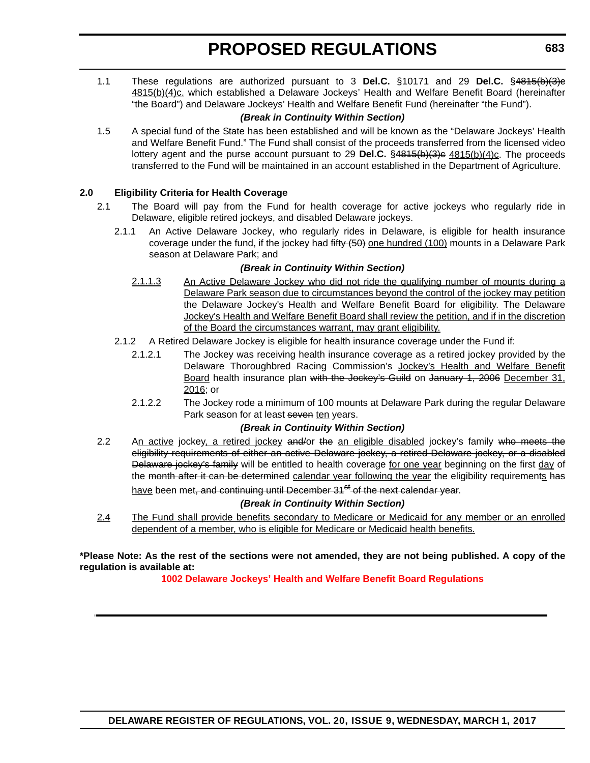1.1 These regulations are authorized pursuant to 3 **Del.C.** §10171 and 29 **Del.C.** §4815(b)(3)c 4815(b)(4)c. which established a Delaware Jockeys' Health and Welfare Benefit Board (hereinafter "the Board") and Delaware Jockeys' Health and Welfare Benefit Fund (hereinafter "the Fund").

#### *(Break in Continuity Within Section)*

1.5 A special fund of the State has been established and will be known as the "Delaware Jockeys' Health and Welfare Benefit Fund." The Fund shall consist of the proceeds transferred from the licensed video lottery agent and the purse account pursuant to 29 Del.C. §4815(b)(3)c 4815(b)(4)c. The proceeds transferred to the Fund will be maintained in an account established in the Department of Agriculture.

#### **2.0 Eligibility Criteria for Health Coverage**

- 2.1 The Board will pay from the Fund for health coverage for active jockeys who regularly ride in Delaware, eligible retired jockeys, and disabled Delaware jockeys.
	- 2.1.1 An Active Delaware Jockey, who regularly rides in Delaware, is eligible for health insurance coverage under the fund, if the jockey had fifty (50) one hundred (100) mounts in a Delaware Park season at Delaware Park; and

#### *(Break in Continuity Within Section)*

- 2.1.1.3 An Active Delaware Jockey who did not ride the qualifying number of mounts during a Delaware Park season due to circumstances beyond the control of the jockey may petition the Delaware Jockey's Health and Welfare Benefit Board for eligibility. The Delaware Jockey's Health and Welfare Benefit Board shall review the petition, and if in the discretion of the Board the circumstances warrant, may grant eligibility.
- 2.1.2 A Retired Delaware Jockey is eligible for health insurance coverage under the Fund if:
	- 2.1.2.1 The Jockey was receiving health insurance coverage as a retired jockey provided by the Delaware Thoroughbred Racing Commission's Jockey's Health and Welfare Benefit Board health insurance plan with the Jockey's Guild on January 1, 2006 December 31, 2016; or
	- 2.1.2.2 The Jockey rode a minimum of 100 mounts at Delaware Park during the regular Delaware Park season for at least seven ten years.

#### *(Break in Continuity Within Section)*

2.2 An active jockey, a retired jockey and/or the an eligible disabled jockey's family who meets the eligibility requirements of either an active Delaware jockey, a retired Delaware jockey, or a disabled Delaware jockey's family will be entitled to health coverage for one year beginning on the first day of the month after it can be determined calendar year following the year the eligibility requirements has have been met, and continuing until December 31<sup>st</sup> of the next calendar vear.

*(Break in Continuity Within Section)*

2.4 The Fund shall provide benefits secondary to Medicare or Medicaid for any member or an enrolled dependent of a member, who is eligible for Medicare or Medicaid health benefits.

**\*Please Note: As the rest of the sections were not amended, they are not being published. A copy of the regulation is available at:**

**[1002 Delaware Jockeys' Health and Welfare Benefit Board Regulations](http://regulations.delaware.gov/register/march2017/proposed/20 DE Reg 682 03-01-17.htm)**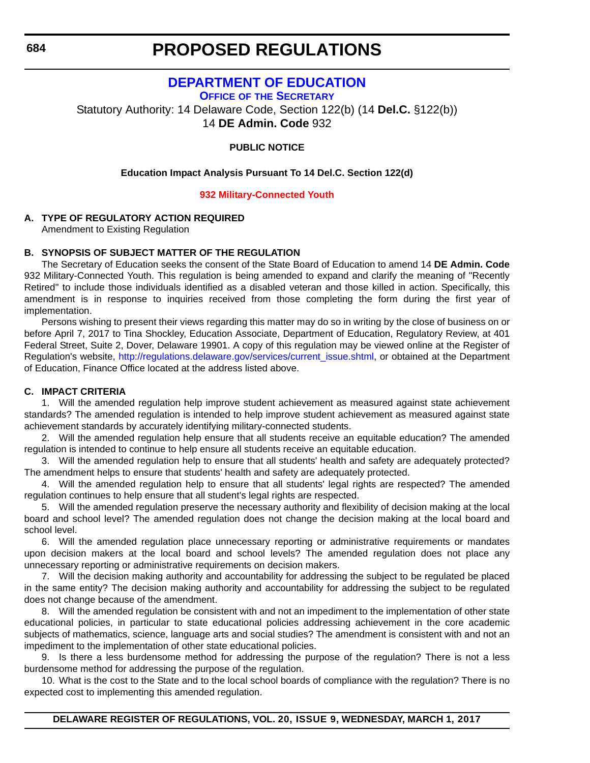### **[DEPARTMENT OF EDUCATION](http://www.doe.k12.de.us/)**

**OFFICE OF [THE SECRETARY](https://pubapps.doe.k12.de.us/EducationalDirectoryPublic/pages/DDOE/Branches.aspx?page=branches&BID=1)**

<span id="page-17-0"></span>Statutory Authority: 14 Delaware Code, Section 122(b) (14 **Del.C.** §122(b)) 14 **DE Admin. Code** 932

#### **PUBLIC NOTICE**

**Education Impact Analysis Pursuant To 14 Del.C. Section 122(d)**

#### **[932 Military-Connected Youth](#page-3-0)**

#### **A. TYPE OF REGULATORY ACTION REQUIRED**

Amendment to Existing Regulation

#### **B. SYNOPSIS OF SUBJECT MATTER OF THE REGULATION**

The Secretary of Education seeks the consent of the State Board of Education to amend 14 **DE Admin. Code** 932 Military-Connected Youth. This regulation is being amended to expand and clarify the meaning of "Recently Retired" to include those individuals identified as a disabled veteran and those killed in action. Specifically, this amendment is in response to inquiries received from those completing the form during the first year of implementation.

Persons wishing to present their views regarding this matter may do so in writing by the close of business on or before April 7, 2017 to Tina Shockley, Education Associate, Department of Education, Regulatory Review, at 401 Federal Street, Suite 2, Dover, Delaware 19901. A copy of this regulation may be viewed online at the Register of Regulation's website, http://regulations.delaware.gov/services/current\_issue.shtml, or obtained at the Department of Education, Finance Office located at the address listed above.

#### **C. IMPACT CRITERIA**

1. Will the amended regulation help improve student achievement as measured against state achievement standards? The amended regulation is intended to help improve student achievement as measured against state achievement standards by accurately identifying military-connected students.

2. Will the amended regulation help ensure that all students receive an equitable education? The amended regulation is intended to continue to help ensure all students receive an equitable education.

3. Will the amended regulation help to ensure that all students' health and safety are adequately protected? The amendment helps to ensure that students' health and safety are adequately protected.

4. Will the amended regulation help to ensure that all students' legal rights are respected? The amended regulation continues to help ensure that all student's legal rights are respected.

5. Will the amended regulation preserve the necessary authority and flexibility of decision making at the local board and school level? The amended regulation does not change the decision making at the local board and school level.

6. Will the amended regulation place unnecessary reporting or administrative requirements or mandates upon decision makers at the local board and school levels? The amended regulation does not place any unnecessary reporting or administrative requirements on decision makers.

7. Will the decision making authority and accountability for addressing the subject to be regulated be placed in the same entity? The decision making authority and accountability for addressing the subject to be regulated does not change because of the amendment.

8. Will the amended regulation be consistent with and not an impediment to the implementation of other state educational policies, in particular to state educational policies addressing achievement in the core academic subjects of mathematics, science, language arts and social studies? The amendment is consistent with and not an impediment to the implementation of other state educational policies.

9. Is there a less burdensome method for addressing the purpose of the regulation? There is not a less burdensome method for addressing the purpose of the regulation.

10. What is the cost to the State and to the local school boards of compliance with the regulation? There is no expected cost to implementing this amended regulation.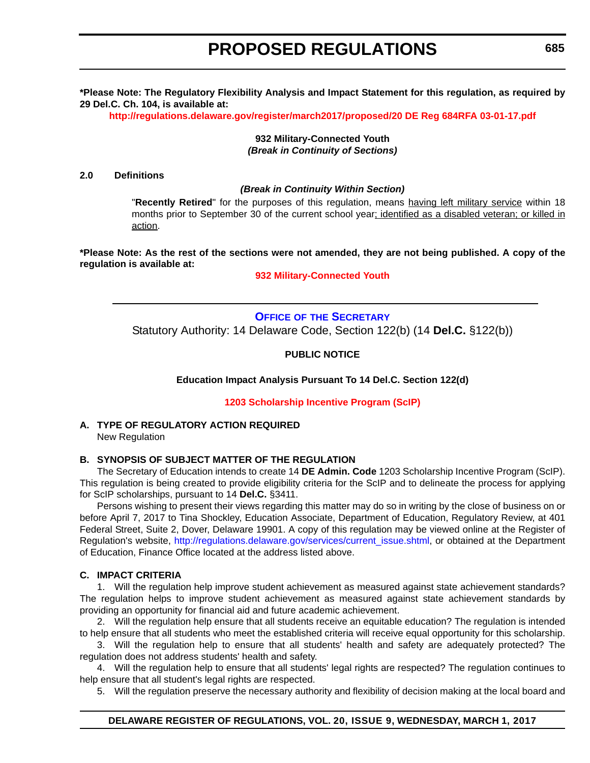<span id="page-18-0"></span>**\*Please Note: The Regulatory Flexibility Analysis and Impact Statement for this regulation, as required by 29 Del.C. Ch. 104, is available at:**

**<http://regulations.delaware.gov/register/march2017/proposed/20 DE Reg 684RFA 03-01-17.pdf>**

**932 Military-Connected Youth** *(Break in Continuity of Sections)*

#### **2.0 Definitions**

#### *(Break in Continuity Within Section)*

"**Recently Retired**" for the purposes of this regulation, means having left military service within 18 months prior to September 30 of the current school year; identified as a disabled veteran; or killed in action.

**\*Please Note: As the rest of the sections were not amended, they are not being published. A copy of the regulation is available at:**

**[932 Military-Connected Youth](http://regulations.delaware.gov/register/march2017/proposed/20 DE Reg 684 03-01-17.htm)**

### **OFFICE OF [THE SECRETARY](https://pubapps.doe.k12.de.us/EducationalDirectoryPublic/pages/DDOE/Branches.aspx?page=branches&BID=1)** Statutory Authority: 14 Delaware Code, Section 122(b) (14 **Del.C.** §122(b))

#### **PUBLIC NOTICE**

**Education Impact Analysis Pursuant To 14 Del.C. Section 122(d)**

**[1203 Scholarship Incentive Program \(ScIP\)](#page-3-0)**

#### **A. TYPE OF REGULATORY ACTION REQUIRED** New Regulation

#### **B. SYNOPSIS OF SUBJECT MATTER OF THE REGULATION**

The Secretary of Education intends to create 14 **DE Admin. Code** 1203 Scholarship Incentive Program (ScIP). This regulation is being created to provide eligibility criteria for the ScIP and to delineate the process for applying for ScIP scholarships, pursuant to 14 **Del.C.** §3411.

Persons wishing to present their views regarding this matter may do so in writing by the close of business on or before April 7, 2017 to Tina Shockley, Education Associate, Department of Education, Regulatory Review, at 401 Federal Street, Suite 2, Dover, Delaware 19901. A copy of this regulation may be viewed online at the Register of Regulation's website, http://regulations.delaware.gov/services/current\_issue.shtml, or obtained at the Department of Education, Finance Office located at the address listed above.

#### **C. IMPACT CRITERIA**

1. Will the regulation help improve student achievement as measured against state achievement standards? The regulation helps to improve student achievement as measured against state achievement standards by providing an opportunity for financial aid and future academic achievement.

2. Will the regulation help ensure that all students receive an equitable education? The regulation is intended to help ensure that all students who meet the established criteria will receive equal opportunity for this scholarship.

3. Will the regulation help to ensure that all students' health and safety are adequately protected? The regulation does not address students' health and safety.

4. Will the regulation help to ensure that all students' legal rights are respected? The regulation continues to help ensure that all student's legal rights are respected.

5. Will the regulation preserve the necessary authority and flexibility of decision making at the local board and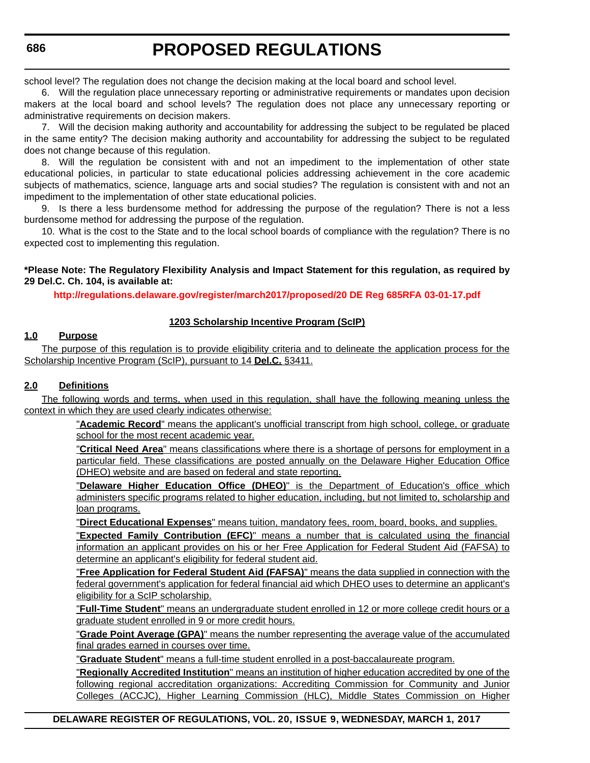school level? The regulation does not change the decision making at the local board and school level.

6. Will the regulation place unnecessary reporting or administrative requirements or mandates upon decision makers at the local board and school levels? The regulation does not place any unnecessary reporting or administrative requirements on decision makers.

7. Will the decision making authority and accountability for addressing the subject to be regulated be placed in the same entity? The decision making authority and accountability for addressing the subject to be regulated does not change because of this regulation.

8. Will the regulation be consistent with and not an impediment to the implementation of other state educational policies, in particular to state educational policies addressing achievement in the core academic subjects of mathematics, science, language arts and social studies? The regulation is consistent with and not an impediment to the implementation of other state educational policies.

9. Is there a less burdensome method for addressing the purpose of the regulation? There is not a less burdensome method for addressing the purpose of the regulation.

10. What is the cost to the State and to the local school boards of compliance with the regulation? There is no expected cost to implementing this regulation.

**\*Please Note: The Regulatory Flexibility Analysis and Impact Statement for this regulation, as required by 29 Del.C. Ch. 104, is available at:**

**<http://regulations.delaware.gov/register/march2017/proposed/20 DE Reg 685RFA 03-01-17.pdf>**

#### **1203 Scholarship Incentive Program (ScIP)**

#### **1.0 Purpose**

The purpose of this regulation is to provide eligibility criteria and to delineate the application process for the Scholarship Incentive Program (ScIP), pursuant to 14 **Del.C.** §3411.

#### **2.0 Definitions**

The following words and terms, when used in this regulation, shall have the following meaning unless the context in which they are used clearly indicates otherwise:

> "**Academic Record**" means the applicant's unofficial transcript from high school, college, or graduate school for the most recent academic year.

> "**Critical Need Area**" means classifications where there is a shortage of persons for employment in a particular field. These classifications are posted annually on the Delaware Higher Education Office (DHEO) website and are based on federal and state reporting.

> "**Delaware Higher Education Office (DHEO)**" is the Department of Education's office which administers specific programs related to higher education, including, but not limited to, scholarship and loan programs.

"**Direct Educational Expenses**" means tuition, mandatory fees, room, board, books, and supplies.

"**Expected Family Contribution (EFC)**" means a number that is calculated using the financial information an applicant provides on his or her Free Application for Federal Student Aid (FAFSA) to determine an applicant's eligibility for federal student aid.

"**Free Application for Federal Student Aid (FAFSA)**" means the data supplied in connection with the federal government's application for federal financial aid which DHEO uses to determine an applicant's eligibility for a ScIP scholarship.

"**Full-Time Student**" means an undergraduate student enrolled in 12 or more college credit hours or a graduate student enrolled in 9 or more credit hours.

"**Grade Point Average (GPA)**" means the number representing the average value of the accumulated final grades earned in courses over time.

"**Graduate Student**" means a full-time student enrolled in a post-baccalaureate program.

"**Regionally Accredited Institution**" means an institution of higher education accredited by one of the following regional accreditation organizations: Accrediting Commission for Community and Junior Colleges (ACCJC), Higher Learning Commission (HLC), Middle States Commission on Higher

**DELAWARE REGISTER OF REGULATIONS, VOL. 20, ISSUE 9, WEDNESDAY, MARCH 1, 2017**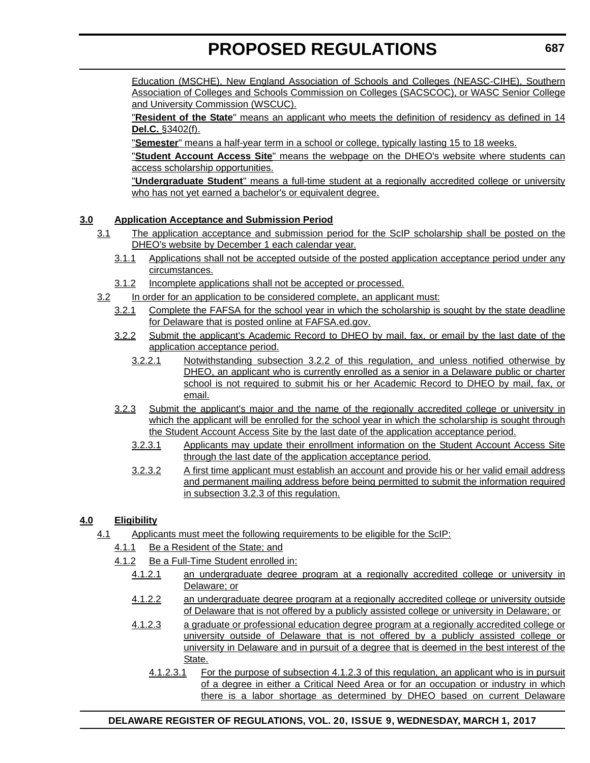Education (MSCHE), New England Association of Schools and Colleges (NEASC-CIHE), Southern Association of Colleges and Schools Commission on Colleges (SACSCOC), or WASC Senior College and University Commission (WSCUC).

"**Resident of the State**" means an applicant who meets the definition of residency as defined in 14 **Del.C.** §3402(f).

"**Semester**" means a half-year term in a school or college, typically lasting 15 to 18 weeks.

"**Student Account Access Site**" means the webpage on the DHEO's website where students can access scholarship opportunities.

"**Undergraduate Student**" means a full-time student at a regionally accredited college or university who has not yet earned a bachelor's or equivalent degree.

#### **3.0 Application Acceptance and Submission Period**

- 3.1 The application acceptance and submission period for the ScIP scholarship shall be posted on the DHEO's website by December 1 each calendar year.
	- 3.1.1 Applications shall not be accepted outside of the posted application acceptance period under any circumstances.
	- 3.1.2 Incomplete applications shall not be accepted or processed.
- 3.2 In order for an application to be considered complete, an applicant must:
	- 3.2.1 Complete the FAFSA for the school year in which the scholarship is sought by the state deadline for Delaware that is posted online at FAFSA.ed.gov.
	- 3.2.2 Submit the applicant's Academic Record to DHEO by mail, fax, or email by the last date of the application acceptance period.
		- 3.2.2.1 Notwithstanding subsection 3.2.2 of this regulation, and unless notified otherwise by DHEO, an applicant who is currently enrolled as a senior in a Delaware public or charter school is not required to submit his or her Academic Record to DHEO by mail, fax, or email.
	- 3.2.3 Submit the applicant's major and the name of the regionally accredited college or university in which the applicant will be enrolled for the school year in which the scholarship is sought through the Student Account Access Site by the last date of the application acceptance period.
		- 3.2.3.1 Applicants may update their enrollment information on the Student Account Access Site through the last date of the application acceptance period.
		- 3.2.3.2 A first time applicant must establish an account and provide his or her valid email address and permanent mailing address before being permitted to submit the information required in subsection 3.2.3 of this regulation.

#### **4.0 Eligibility**

- 4.1 Applicants must meet the following requirements to be eligible for the ScIP:
	- 4.1.1 Be a Resident of the State; and
	- 4.1.2 Be a Full-Time Student enrolled in:
		- 4.1.2.1 an undergraduate degree program at a regionally accredited college or university in Delaware; or
		- 4.1.2.2 an undergraduate degree program at a regionally accredited college or university outside of Delaware that is not offered by a publicly assisted college or university in Delaware; or
		- 4.1.2.3 a graduate or professional education degree program at a regionally accredited college or university outside of Delaware that is not offered by a publicly assisted college or university in Delaware and in pursuit of a degree that is deemed in the best interest of the State.
			- 4.1.2.3.1 For the purpose of subsection 4.1.2.3 of this regulation, an applicant who is in pursuit of a degree in either a Critical Need Area or for an occupation or industry in which there is a labor shortage as determined by DHEO based on current Delaware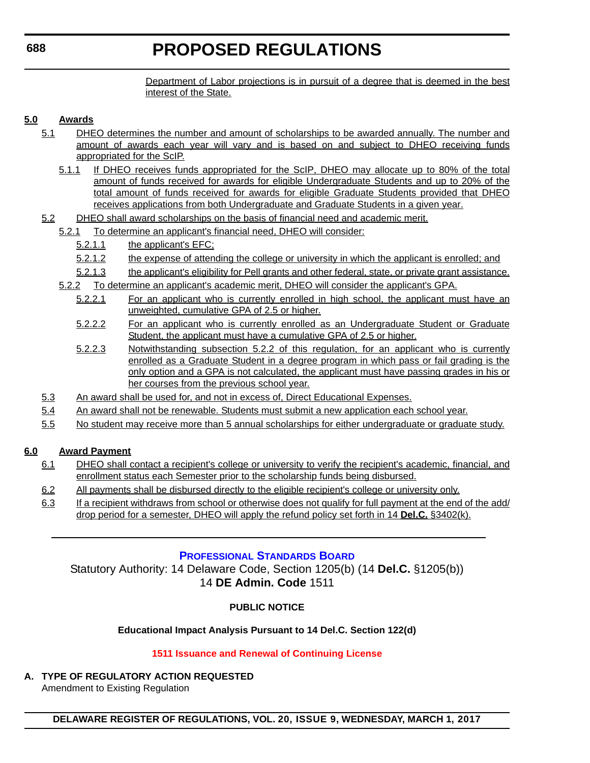Department of Labor projections is in pursuit of a degree that is deemed in the best interest of the State.

#### <span id="page-21-0"></span>**5.0 Awards**

- 5.1 DHEO determines the number and amount of scholarships to be awarded annually. The number and amount of awards each year will vary and is based on and subject to DHEO receiving funds appropriated for the ScIP.
	- 5.1.1 If DHEO receives funds appropriated for the ScIP, DHEO may allocate up to 80% of the total amount of funds received for awards for eligible Undergraduate Students and up to 20% of the total amount of funds received for awards for eligible Graduate Students provided that DHEO receives applications from both Undergraduate and Graduate Students in a given year.
- 5.2 DHEO shall award scholarships on the basis of financial need and academic merit.
	- 5.2.1 To determine an applicant's financial need, DHEO will consider:
		- 5.2.1.1 the applicant's EFC;
		- 5.2.1.2 the expense of attending the college or university in which the applicant is enrolled; and
		- 5.2.1.3 the applicant's eligibility for Pell grants and other federal, state, or private grant assistance.
	- 5.2.2 To determine an applicant's academic merit, DHEO will consider the applicant's GPA.
		- 5.2.2.1 For an applicant who is currently enrolled in high school, the applicant must have an unweighted, cumulative GPA of 2.5 or higher.
		- 5.2.2.2 For an applicant who is currently enrolled as an Undergraduate Student or Graduate Student, the applicant must have a cumulative GPA of 2.5 or higher.
		- 5.2.2.3 Notwithstanding subsection 5.2.2 of this regulation, for an applicant who is currently enrolled as a Graduate Student in a degree program in which pass or fail grading is the only option and a GPA is not calculated, the applicant must have passing grades in his or her courses from the previous school year.
- 5.3 An award shall be used for, and not in excess of, Direct Educational Expenses.
- 5.4 An award shall not be renewable. Students must submit a new application each school year.
- 5.5 No student may receive more than 5 annual scholarships for either undergraduate or graduate study.

#### **6.0 Award Payment**

- 6.1 DHEO shall contact a recipient's college or university to verify the recipient's academic, financial, and enrollment status each Semester prior to the scholarship funds being disbursed.
- 6.2 All payments shall be disbursed directly to the eligible recipient's college or university only.
- 6.3 If a recipient withdraws from school or otherwise does not qualify for full payment at the end of the add/ drop period for a semester, DHEO will apply the refund policy set forth in 14 **Del.C.** §3402(k).

#### **[PROFESSIONAL STANDARDS BOARD](https://pubapps.doe.k12.de.us/EducationalDirectoryPublic/pages/DDOE/WorkGroupStaff.aspx?page=branches&WGID=75&BID=1)**

Statutory Authority: 14 Delaware Code, Section 1205(b) (14 **Del.C.** §1205(b)) 14 **DE Admin. Code** 1511

#### **PUBLIC NOTICE**

#### **Educational Impact Analysis Pursuant to 14 Del.C. Section 122(d)**

#### **[1511 Issuance and Renewal of Continuing License](#page-3-0)**

**A. TYPE OF REGULATORY ACTION REQUESTED**

Amendment to Existing Regulation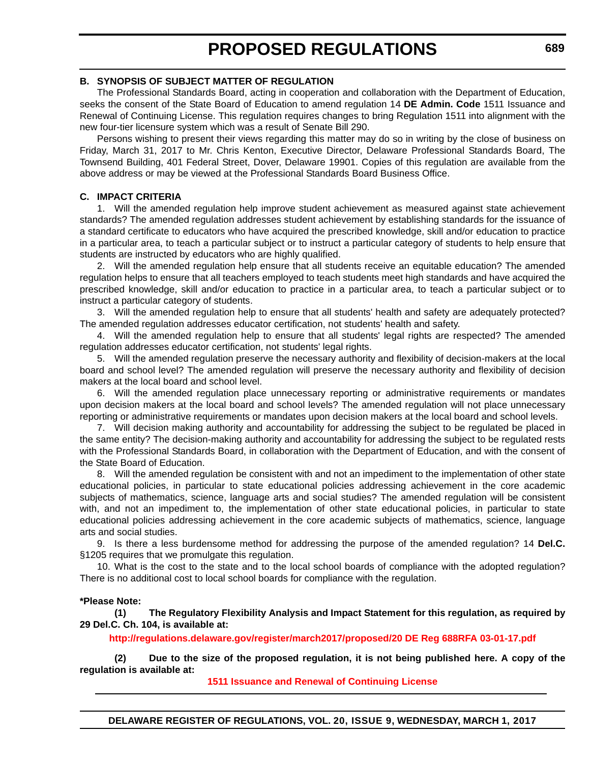#### **B. SYNOPSIS OF SUBJECT MATTER OF REGULATION**

The Professional Standards Board, acting in cooperation and collaboration with the Department of Education, seeks the consent of the State Board of Education to amend regulation 14 **DE Admin. Code** 1511 Issuance and Renewal of Continuing License. This regulation requires changes to bring Regulation 1511 into alignment with the new four-tier licensure system which was a result of Senate Bill 290.

Persons wishing to present their views regarding this matter may do so in writing by the close of business on Friday, March 31, 2017 to Mr. Chris Kenton, Executive Director, Delaware Professional Standards Board, The Townsend Building, 401 Federal Street, Dover, Delaware 19901. Copies of this regulation are available from the above address or may be viewed at the Professional Standards Board Business Office.

#### **C. IMPACT CRITERIA**

1. Will the amended regulation help improve student achievement as measured against state achievement standards? The amended regulation addresses student achievement by establishing standards for the issuance of a standard certificate to educators who have acquired the prescribed knowledge, skill and/or education to practice in a particular area, to teach a particular subject or to instruct a particular category of students to help ensure that students are instructed by educators who are highly qualified.

2. Will the amended regulation help ensure that all students receive an equitable education? The amended regulation helps to ensure that all teachers employed to teach students meet high standards and have acquired the prescribed knowledge, skill and/or education to practice in a particular area, to teach a particular subject or to instruct a particular category of students.

3. Will the amended regulation help to ensure that all students' health and safety are adequately protected? The amended regulation addresses educator certification, not students' health and safety.

4. Will the amended regulation help to ensure that all students' legal rights are respected? The amended regulation addresses educator certification, not students' legal rights.

5. Will the amended regulation preserve the necessary authority and flexibility of decision-makers at the local board and school level? The amended regulation will preserve the necessary authority and flexibility of decision makers at the local board and school level.

6. Will the amended regulation place unnecessary reporting or administrative requirements or mandates upon decision makers at the local board and school levels? The amended regulation will not place unnecessary reporting or administrative requirements or mandates upon decision makers at the local board and school levels.

7. Will decision making authority and accountability for addressing the subject to be regulated be placed in the same entity? The decision-making authority and accountability for addressing the subject to be regulated rests with the Professional Standards Board, in collaboration with the Department of Education, and with the consent of the State Board of Education.

8. Will the amended regulation be consistent with and not an impediment to the implementation of other state educational policies, in particular to state educational policies addressing achievement in the core academic subjects of mathematics, science, language arts and social studies? The amended regulation will be consistent with, and not an impediment to, the implementation of other state educational policies, in particular to state educational policies addressing achievement in the core academic subjects of mathematics, science, language arts and social studies.

9. Is there a less burdensome method for addressing the purpose of the amended regulation? 14 **Del.C.** §1205 requires that we promulgate this regulation.

10. What is the cost to the state and to the local school boards of compliance with the adopted regulation? There is no additional cost to local school boards for compliance with the regulation.

#### **\*Please Note:**

**(1) The Regulatory Flexibility Analysis and Impact Statement for this regulation, as required by 29 Del.C. Ch. 104, is available at:**

**<http://regulations.delaware.gov/register/march2017/proposed/20 DE Reg 688RFA 03-01-17.pdf>**

**(2) Due to the size of the proposed regulation, it is not being published here. A copy of the regulation is available at:**

**[1511 Issuance and Renewal of Continuing License](http://regulations.delaware.gov/register/march2017/proposed/20 DE Reg 688 03-01-17.htm)**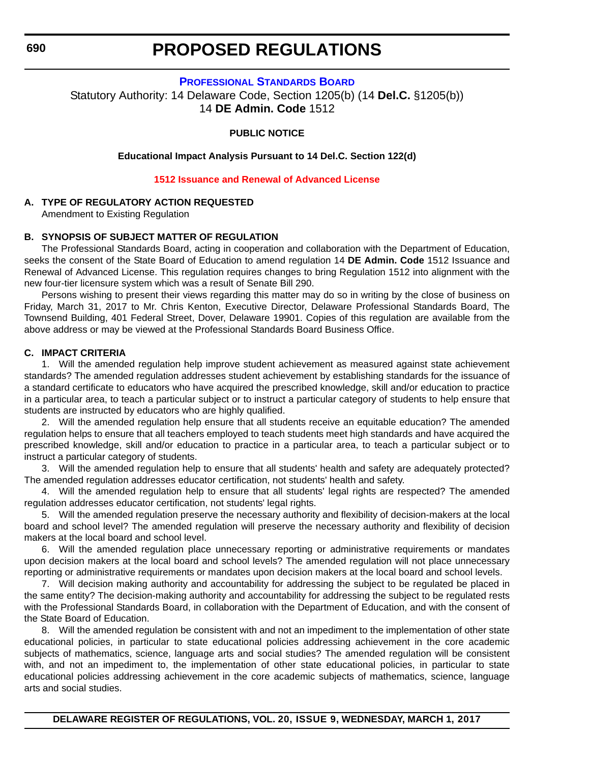<span id="page-23-0"></span>**690**

### **PROPOSED REGULATIONS**

#### **[PROFESSIONAL STANDARDS BOARD](https://pubapps.doe.k12.de.us/EducationalDirectoryPublic/pages/DDOE/WorkGroupStaff.aspx?page=branches&WGID=75&BID=1)**

Statutory Authority: 14 Delaware Code, Section 1205(b) (14 **Del.C.** §1205(b)) 14 **DE Admin. Code** 1512

#### **PUBLIC NOTICE**

**Educational Impact Analysis Pursuant to 14 Del.C. Section 122(d)**

#### **[1512 Issuance and Renewal of Advanced License](#page-3-0)**

#### **A. TYPE OF REGULATORY ACTION REQUESTED**

Amendment to Existing Regulation

#### **B. SYNOPSIS OF SUBJECT MATTER OF REGULATION**

The Professional Standards Board, acting in cooperation and collaboration with the Department of Education, seeks the consent of the State Board of Education to amend regulation 14 **DE Admin. Code** 1512 Issuance and Renewal of Advanced License. This regulation requires changes to bring Regulation 1512 into alignment with the new four-tier licensure system which was a result of Senate Bill 290.

Persons wishing to present their views regarding this matter may do so in writing by the close of business on Friday, March 31, 2017 to Mr. Chris Kenton, Executive Director, Delaware Professional Standards Board, The Townsend Building, 401 Federal Street, Dover, Delaware 19901. Copies of this regulation are available from the above address or may be viewed at the Professional Standards Board Business Office.

#### **C. IMPACT CRITERIA**

1. Will the amended regulation help improve student achievement as measured against state achievement standards? The amended regulation addresses student achievement by establishing standards for the issuance of a standard certificate to educators who have acquired the prescribed knowledge, skill and/or education to practice in a particular area, to teach a particular subject or to instruct a particular category of students to help ensure that students are instructed by educators who are highly qualified.

2. Will the amended regulation help ensure that all students receive an equitable education? The amended regulation helps to ensure that all teachers employed to teach students meet high standards and have acquired the prescribed knowledge, skill and/or education to practice in a particular area, to teach a particular subject or to instruct a particular category of students.

3. Will the amended regulation help to ensure that all students' health and safety are adequately protected? The amended regulation addresses educator certification, not students' health and safety.

4. Will the amended regulation help to ensure that all students' legal rights are respected? The amended regulation addresses educator certification, not students' legal rights.

5. Will the amended regulation preserve the necessary authority and flexibility of decision-makers at the local board and school level? The amended regulation will preserve the necessary authority and flexibility of decision makers at the local board and school level.

6. Will the amended regulation place unnecessary reporting or administrative requirements or mandates upon decision makers at the local board and school levels? The amended regulation will not place unnecessary reporting or administrative requirements or mandates upon decision makers at the local board and school levels.

7. Will decision making authority and accountability for addressing the subject to be regulated be placed in the same entity? The decision-making authority and accountability for addressing the subject to be regulated rests with the Professional Standards Board, in collaboration with the Department of Education, and with the consent of the State Board of Education.

8. Will the amended regulation be consistent with and not an impediment to the implementation of other state educational policies, in particular to state educational policies addressing achievement in the core academic subjects of mathematics, science, language arts and social studies? The amended regulation will be consistent with, and not an impediment to, the implementation of other state educational policies, in particular to state educational policies addressing achievement in the core academic subjects of mathematics, science, language arts and social studies.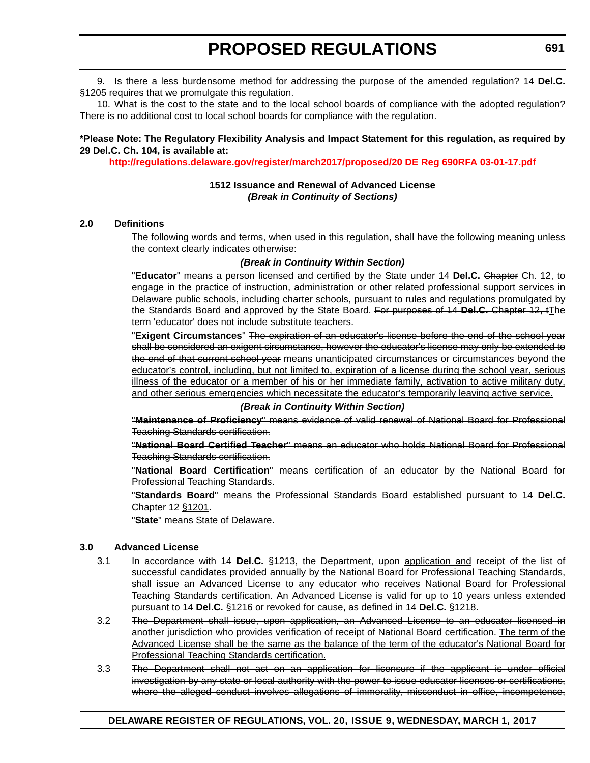9. Is there a less burdensome method for addressing the purpose of the amended regulation? 14 **Del.C.** §1205 requires that we promulgate this regulation.

10. What is the cost to the state and to the local school boards of compliance with the adopted regulation? There is no additional cost to local school boards for compliance with the regulation.

#### **\*Please Note: The Regulatory Flexibility Analysis and Impact Statement for this regulation, as required by 29 Del.C. Ch. 104, is available at:**

**<http://regulations.delaware.gov/register/march2017/proposed/20 DE Reg 690RFA 03-01-17.pdf>**

#### **1512 Issuance and Renewal of Advanced License** *(Break in Continuity of Sections)*

#### **2.0 Definitions**

The following words and terms, when used in this regulation, shall have the following meaning unless the context clearly indicates otherwise:

#### *(Break in Continuity Within Section)*

"**Educator**" means a person licensed and certified by the State under 14 **Del.C.** Chapter Ch. 12, to engage in the practice of instruction, administration or other related professional support services in Delaware public schools, including charter schools, pursuant to rules and regulations promulgated by the Standards Board and approved by the State Board. For purposes of 14 **Del.C.** Chapter 12, tThe term 'educator' does not include substitute teachers.

"**Exigent Circumstances**" The expiration of an educator's license before the end of the school year shall be considered an exigent circumstance, however the educator's license may only be extended to the end of that current school year means unanticipated circumstances or circumstances beyond the educator's control, including, but not limited to, expiration of a license during the school year, serious illness of the educator or a member of his or her immediate family, activation to active military duty, and other serious emergencies which necessitate the educator's temporarily leaving active service.

#### *(Break in Continuity Within Section)*

"**Maintenance of Proficiency**" means evidence of valid renewal of National Board for Professional Teaching Standards certification.

"**National Board Certified Teacher**" means an educator who holds National Board for Professional Teaching Standards certification.

"**National Board Certification**" means certification of an educator by the National Board for Professional Teaching Standards.

"**Standards Board**" means the Professional Standards Board established pursuant to 14 **Del.C.** Chapter 12 §1201.

"**State**" means State of Delaware.

#### **3.0 Advanced License**

- 3.1 In accordance with 14 **Del.C.** §1213, the Department, upon application and receipt of the list of successful candidates provided annually by the National Board for Professional Teaching Standards, shall issue an Advanced License to any educator who receives National Board for Professional Teaching Standards certification. An Advanced License is valid for up to 10 years unless extended pursuant to 14 **Del.C.** §1216 or revoked for cause, as defined in 14 **Del.C.** §1218.
- 3.2 The Department shall issue, upon application, an Advanced License to an educator licensed in another jurisdiction who provides verification of receipt of National Board certification. The term of the Advanced License shall be the same as the balance of the term of the educator's National Board for Professional Teaching Standards certification.
- 3.3 The Department shall not act on an application for licensure if the applicant is under official investigation by any state or local authority with the power to issue educator licenses or certifications, where the alleged conduct involves allegations of immorality, misconduct in office, incompetence,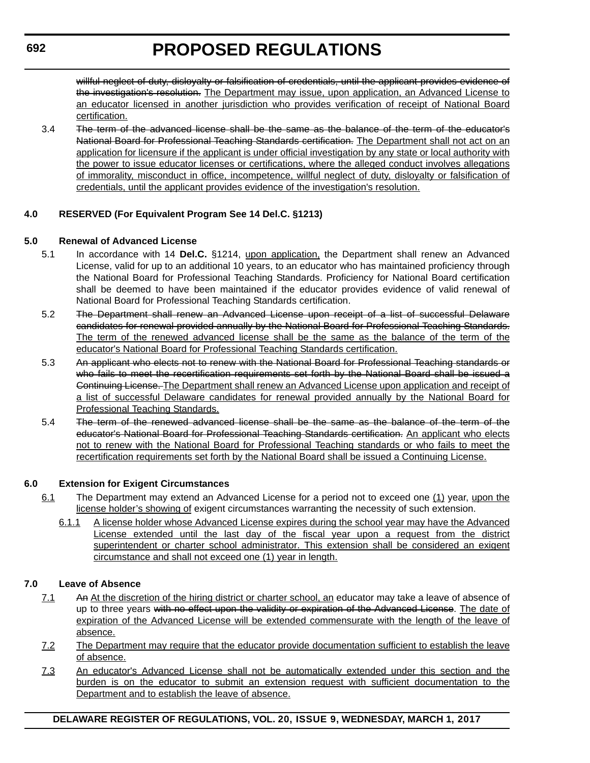willful neglect of duty, disloyalty or falsification of credentials, until the applicant provides evidence of the investigation's resolution. The Department may issue, upon application, an Advanced License to an educator licensed in another jurisdiction who provides verification of receipt of National Board certification.

3.4 The term of the advanced license shall be the same as the balance of the term of the educator's National Board for Professional Teaching Standards certification. The Department shall not act on an application for licensure if the applicant is under official investigation by any state or local authority with the power to issue educator licenses or certifications, where the alleged conduct involves allegations of immorality, misconduct in office, incompetence, willful neglect of duty, disloyalty or falsification of credentials, until the applicant provides evidence of the investigation's resolution.

#### **4.0 RESERVED (For Equivalent Program See 14 Del.C. §1213)**

#### **5.0 Renewal of Advanced License**

- 5.1 In accordance with 14 **Del.C.** §1214, upon application, the Department shall renew an Advanced License, valid for up to an additional 10 years, to an educator who has maintained proficiency through the National Board for Professional Teaching Standards. Proficiency for National Board certification shall be deemed to have been maintained if the educator provides evidence of valid renewal of National Board for Professional Teaching Standards certification.
- 5.2 The Department shall renew an Advanced License upon receipt of a list of successful Delaware candidates for renewal provided annually by the National Board for Professional Teaching Standards. The term of the renewed advanced license shall be the same as the balance of the term of the educator's National Board for Professional Teaching Standards certification.
- 5.3 An applicant who elects not to renew with the National Board for Professional Teaching standards or who fails to meet the recertification requirements set forth by the National Board shall be issued a Continuing License. The Department shall renew an Advanced License upon application and receipt of a list of successful Delaware candidates for renewal provided annually by the National Board for Professional Teaching Standards.
- 5.4 The term of the renewed advanced license shall be the same as the balance of the term of the educator's National Board for Professional Teaching Standards certification. An applicant who elects not to renew with the National Board for Professional Teaching standards or who fails to meet the recertification requirements set forth by the National Board shall be issued a Continuing License.

#### **6.0 Extension for Exigent Circumstances**

- 6.1 The Department may extend an Advanced License for a period not to exceed one (1) year, upon the license holder's showing of exigent circumstances warranting the necessity of such extension.
	- 6.1.1 A license holder whose Advanced License expires during the school year may have the Advanced License extended until the last day of the fiscal year upon a request from the district superintendent or charter school administrator. This extension shall be considered an exigent circumstance and shall not exceed one (1) year in length.

#### **7.0 Leave of Absence**

- 7.1 An At the discretion of the hiring district or charter school, an educator may take a leave of absence of up to three years with no effect upon the validity or expiration of the Advanced License. The date of expiration of the Advanced License will be extended commensurate with the length of the leave of absence.
- 7.2 The Department may require that the educator provide documentation sufficient to establish the leave of absence.
- 7.3 An educator's Advanced License shall not be automatically extended under this section and the burden is on the educator to submit an extension request with sufficient documentation to the Department and to establish the leave of absence.

#### **DELAWARE REGISTER OF REGULATIONS, VOL. 20, ISSUE 9, WEDNESDAY, MARCH 1, 2017**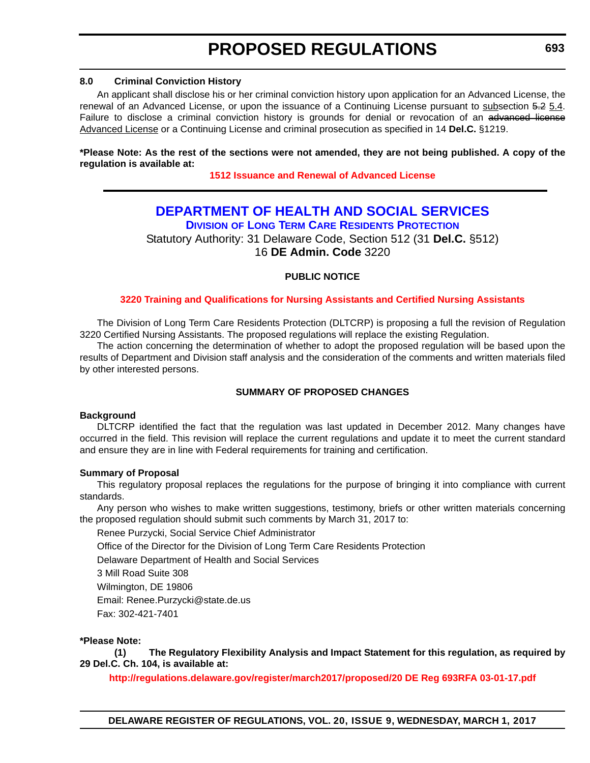#### <span id="page-26-0"></span>**8.0 Criminal Conviction History**

An applicant shall disclose his or her criminal conviction history upon application for an Advanced License, the renewal of an Advanced License, or upon the issuance of a Continuing License pursuant to subsection 5.2 5.4. Failure to disclose a criminal conviction history is grounds for denial or revocation of an advanced license Advanced License or a Continuing License and criminal prosecution as specified in 14 **Del.C.** §1219.

**\*Please Note: As the rest of the sections were not amended, they are not being published. A copy of the regulation is available at:**

**[1512 Issuance and Renewal of Advanced License](http://regulations.delaware.gov/register/march2017/proposed/20 DE Reg 690 03-01-17.htm)** 

#### **[DEPARTMENT OF HEALTH AND SOCIAL SERVICES](http://www.dhss.delaware.gov/dhss/index.html) DIVISION [OF LONG TERM CARE RESIDENTS PROTECTION](http://www.dhss.delaware.gov/dhss/dltcrp/)**

Statutory Authority: 31 Delaware Code, Section 512 (31 **Del.C.** §512) 16 **DE Admin. Code** 3220

#### **PUBLIC NOTICE**

#### **[3220 Training and Qualifications for Nursing Assistants and Certified Nursing Assistants](#page-3-0)**

The Division of Long Term Care Residents Protection (DLTCRP) is proposing a full the revision of Regulation 3220 Certified Nursing Assistants. The proposed regulations will replace the existing Regulation.

The action concerning the determination of whether to adopt the proposed regulation will be based upon the results of Department and Division staff analysis and the consideration of the comments and written materials filed by other interested persons.

#### **SUMMARY OF PROPOSED CHANGES**

#### **Background**

DLTCRP identified the fact that the regulation was last updated in December 2012. Many changes have occurred in the field. This revision will replace the current regulations and update it to meet the current standard and ensure they are in line with Federal requirements for training and certification.

#### **Summary of Proposal**

This regulatory proposal replaces the regulations for the purpose of bringing it into compliance with current standards.

Any person who wishes to make written suggestions, testimony, briefs or other written materials concerning the proposed regulation should submit such comments by March 31, 2017 to:

Renee Purzycki, Social Service Chief Administrator

Office of the Director for the Division of Long Term Care Residents Protection

Delaware Department of Health and Social Services

3 Mill Road Suite 308

Wilmington, DE 19806

Email: Renee.Purzycki@state.de.us

Fax: 302-421-7401

#### **\*Please Note:**

**(1) The Regulatory Flexibility Analysis and Impact Statement for this regulation, as required by 29 Del.C. Ch. 104, is available at:**

**<http://regulations.delaware.gov/register/march2017/proposed/20 DE Reg 693RFA 03-01-17.pdf>**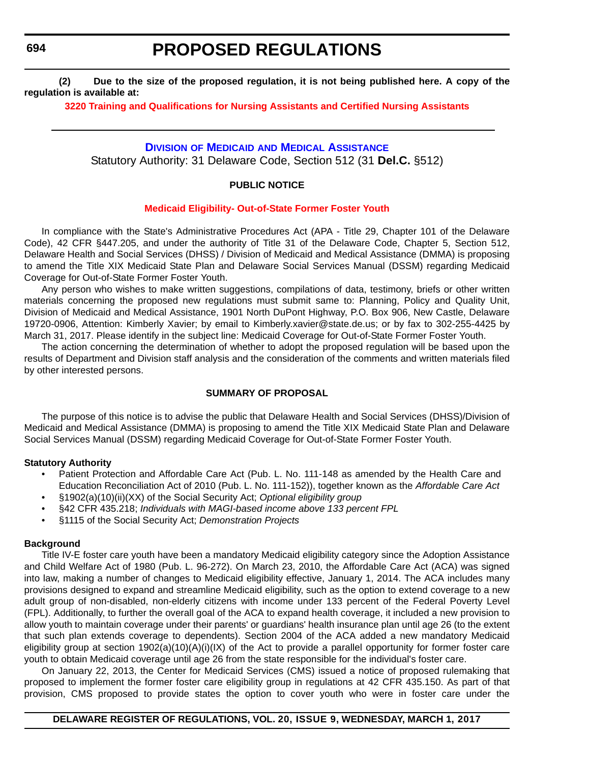<span id="page-27-0"></span>**694**

### **PROPOSED REGULATIONS**

**(2) Due to the size of the proposed regulation, it is not being published here. A copy of the regulation is available at:**

**[3220 Training and Qualifications for Nursing Assistants and Certified Nursing Assistants](http://regulations.delaware.gov/register/march2017/proposed/20 DE Reg 693 03-01-17.htm)** 

#### **DIVISION OF MEDICAID [AND MEDICAL ASSISTANCE](http://www.dhss.delaware.gov/dhss/dmma/)**

Statutory Authority: 31 Delaware Code, Section 512 (31 **Del.C.** §512)

#### **PUBLIC NOTICE**

#### **[Medicaid Eligibility- Out-of-State Former Foster Youth](#page-3-0)**

In compliance with the State's Administrative Procedures Act (APA - Title 29, Chapter 101 of the Delaware Code), 42 CFR §447.205, and under the authority of Title 31 of the Delaware Code, Chapter 5, Section 512, Delaware Health and Social Services (DHSS) / Division of Medicaid and Medical Assistance (DMMA) is proposing to amend the Title XIX Medicaid State Plan and Delaware Social Services Manual (DSSM) regarding Medicaid Coverage for Out-of-State Former Foster Youth.

Any person who wishes to make written suggestions, compilations of data, testimony, briefs or other written materials concerning the proposed new regulations must submit same to: Planning, Policy and Quality Unit, Division of Medicaid and Medical Assistance, 1901 North DuPont Highway, P.O. Box 906, New Castle, Delaware 19720-0906, Attention: Kimberly Xavier; by email to Kimberly.xavier@state.de.us; or by fax to 302-255-4425 by March 31, 2017. Please identify in the subject line: Medicaid Coverage for Out-of-State Former Foster Youth.

The action concerning the determination of whether to adopt the proposed regulation will be based upon the results of Department and Division staff analysis and the consideration of the comments and written materials filed by other interested persons.

#### **SUMMARY OF PROPOSAL**

The purpose of this notice is to advise the public that Delaware Health and Social Services (DHSS)/Division of Medicaid and Medical Assistance (DMMA) is proposing to amend the Title XIX Medicaid State Plan and Delaware Social Services Manual (DSSM) regarding Medicaid Coverage for Out-of-State Former Foster Youth.

#### **Statutory Authority**

- Patient Protection and Affordable Care Act (Pub. L. No. 111-148 as amended by the Health Care and Education Reconciliation Act of 2010 (Pub. L. No. 111-152)), together known as the *Affordable Care Act*
- §1902(a)(10)(ii)(XX) of the Social Security Act; *Optional eligibility group*
- §42 CFR 435.218; *Individuals with MAGI-based income above 133 percent FPL*
- §1115 of the Social Security Act; *Demonstration Projects*

#### **Background**

Title IV-E foster care youth have been a mandatory Medicaid eligibility category since the Adoption Assistance and Child Welfare Act of 1980 (Pub. L. 96-272). On March 23, 2010, the Affordable Care Act (ACA) was signed into law, making a number of changes to Medicaid eligibility effective, January 1, 2014. The ACA includes many provisions designed to expand and streamline Medicaid eligibility, such as the option to extend coverage to a new adult group of non-disabled, non-elderly citizens with income under 133 percent of the Federal Poverty Level (FPL). Additionally, to further the overall goal of the ACA to expand health coverage, it included a new provision to allow youth to maintain coverage under their parents' or guardians' health insurance plan until age 26 (to the extent that such plan extends coverage to dependents). Section 2004 of the ACA added a new mandatory Medicaid eligibility group at section 1902(a)(10)(A)(i)(IX) of the Act to provide a parallel opportunity for former foster care youth to obtain Medicaid coverage until age 26 from the state responsible for the individual's foster care.

On January 22, 2013, the Center for Medicaid Services (CMS) issued a notice of proposed rulemaking that proposed to implement the former foster care eligibility group in regulations at 42 CFR 435.150. As part of that provision, CMS proposed to provide states the option to cover youth who were in foster care under the

#### **DELAWARE REGISTER OF REGULATIONS, VOL. 20, ISSUE 9, WEDNESDAY, MARCH 1, 2017**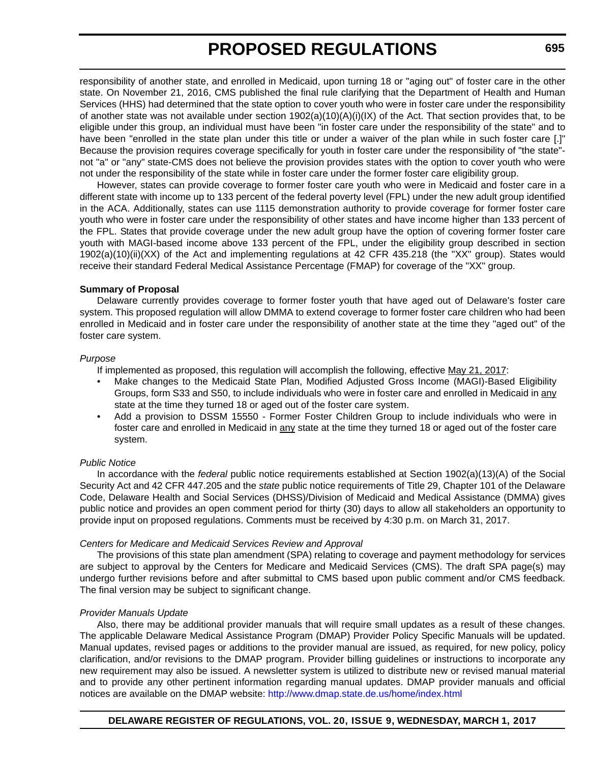responsibility of another state, and enrolled in Medicaid, upon turning 18 or "aging out" of foster care in the other state. On November 21, 2016, CMS published the final rule clarifying that the Department of Health and Human Services (HHS) had determined that the state option to cover youth who were in foster care under the responsibility of another state was not available under section 1902(a)(10)(A)(i)(IX) of the Act. That section provides that, to be eligible under this group, an individual must have been "in foster care under the responsibility of the state" and to have been "enrolled in the state plan under this title or under a waiver of the plan while in such foster care [.]" Because the provision requires coverage specifically for youth in foster care under the responsibility of "the state" not "a" or "any" state-CMS does not believe the provision provides states with the option to cover youth who were not under the responsibility of the state while in foster care under the former foster care eligibility group.

However, states can provide coverage to former foster care youth who were in Medicaid and foster care in a different state with income up to 133 percent of the federal poverty level (FPL) under the new adult group identified in the ACA. Additionally, states can use 1115 demonstration authority to provide coverage for former foster care youth who were in foster care under the responsibility of other states and have income higher than 133 percent of the FPL. States that provide coverage under the new adult group have the option of covering former foster care youth with MAGI-based income above 133 percent of the FPL, under the eligibility group described in section 1902(a)(10)(ii)(XX) of the Act and implementing regulations at 42 CFR 435.218 (the "XX" group). States would receive their standard Federal Medical Assistance Percentage (FMAP) for coverage of the "XX" group.

#### **Summary of Proposal**

Delaware currently provides coverage to former foster youth that have aged out of Delaware's foster care system. This proposed regulation will allow DMMA to extend coverage to former foster care children who had been enrolled in Medicaid and in foster care under the responsibility of another state at the time they "aged out" of the foster care system.

#### *Purpose*

If implemented as proposed, this regulation will accomplish the following, effective May 21, 2017:

- Make changes to the Medicaid State Plan, Modified Adjusted Gross Income (MAGI)-Based Eligibility Groups, form S33 and S50, to include individuals who were in foster care and enrolled in Medicaid in any state at the time they turned 18 or aged out of the foster care system.
- Add a provision to DSSM 15550 Former Foster Children Group to include individuals who were in foster care and enrolled in Medicaid in any state at the time they turned 18 or aged out of the foster care system.

#### *Public Notice*

In accordance with the *federal* public notice requirements established at Section 1902(a)(13)(A) of the Social Security Act and 42 CFR 447.205 and the *state* public notice requirements of Title 29, Chapter 101 of the Delaware Code, Delaware Health and Social Services (DHSS)/Division of Medicaid and Medical Assistance (DMMA) gives public notice and provides an open comment period for thirty (30) days to allow all stakeholders an opportunity to provide input on proposed regulations. Comments must be received by 4:30 p.m. on March 31, 2017.

#### *Centers for Medicare and Medicaid Services Review and Approval*

The provisions of this state plan amendment (SPA) relating to coverage and payment methodology for services are subject to approval by the Centers for Medicare and Medicaid Services (CMS). The draft SPA page(s) may undergo further revisions before and after submittal to CMS based upon public comment and/or CMS feedback. The final version may be subject to significant change.

#### *Provider Manuals Update*

Also, there may be additional provider manuals that will require small updates as a result of these changes. The applicable Delaware Medical Assistance Program (DMAP) Provider Policy Specific Manuals will be updated. Manual updates, revised pages or additions to the provider manual are issued, as required, for new policy, policy clarification, and/or revisions to the DMAP program. Provider billing guidelines or instructions to incorporate any new requirement may also be issued. A newsletter system is utilized to distribute new or revised manual material and to provide any other pertinent information regarding manual updates. DMAP provider manuals and official notices are available on the DMAP website: http://www.dmap.state.de.us/home/index.html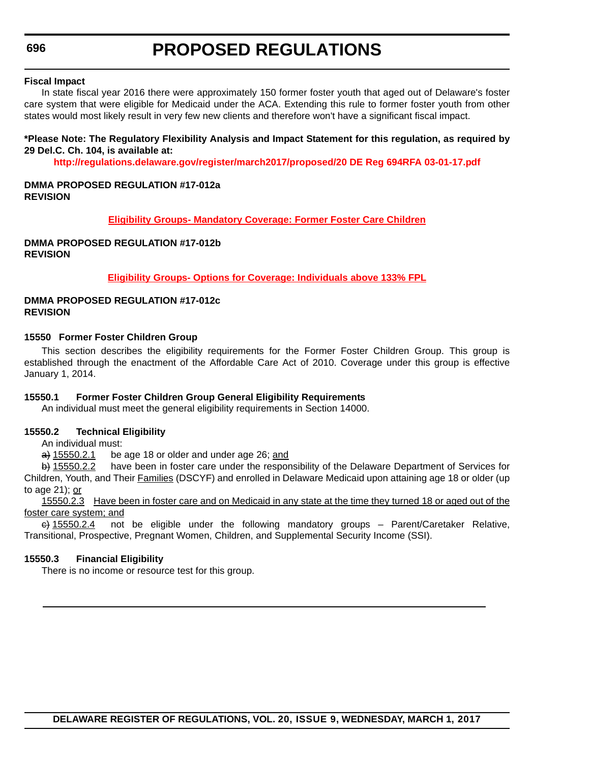#### **Fiscal Impact**

In state fiscal year 2016 there were approximately 150 former foster youth that aged out of Delaware's foster care system that were eligible for Medicaid under the ACA. Extending this rule to former foster youth from other states would most likely result in very few new clients and therefore won't have a significant fiscal impact.

#### **\*Please Note: The Regulatory Flexibility Analysis and Impact Statement for this regulation, as required by 29 Del.C. Ch. 104, is available at:**

**<http://regulations.delaware.gov/register/march2017/proposed/20 DE Reg 694RFA 03-01-17.pdf>**

#### **DMMA PROPOSED REGULATION #17-012a REVISION**

#### **[Eligibility Groups- Mandatory Coverage: Former Foster Care Children](http://regulations.delaware.gov/register/march2017/proposed/DMMA-17-012a)**

#### **DMMA PROPOSED REGULATION #17-012b REVISION**

**[Eligibility Groups- Options for Coverage: Individuals above 133% FPL](http://regulations.delaware.gov/register/march2017/proposed/DMMA-17-012b)**

#### **DMMA PROPOSED REGULATION #17-012c REVISION**

#### **15550 Former Foster Children Group**

This section describes the eligibility requirements for the Former Foster Children Group. This group is established through the enactment of the Affordable Care Act of 2010. Coverage under this group is effective January 1, 2014.

#### **15550.1 Former Foster Children Group General Eligibility Requirements**

An individual must meet the general eligibility requirements in Section 14000.

#### **15550.2 Technical Eligibility**

An individual must:

 $\Rightarrow$  15550.2.1 be age 18 or older and under age 26; and

b) 15550.2.2 have been in foster care under the responsibility of the Delaware Department of Services for Children, Youth, and Their Families (DSCYF) and enrolled in Delaware Medicaid upon attaining age 18 or older (up to age 21); or

15550.2.3 Have been in foster care and on Medicaid in any state at the time they turned 18 or aged out of the foster care system; and

 $\leftrightarrow$  15550.2.4 not be eligible under the following mandatory groups – Parent/Caretaker Relative, Transitional, Prospective, Pregnant Women, Children, and Supplemental Security Income (SSI).

#### **15550.3 Financial Eligibility**

There is no income or resource test for this group.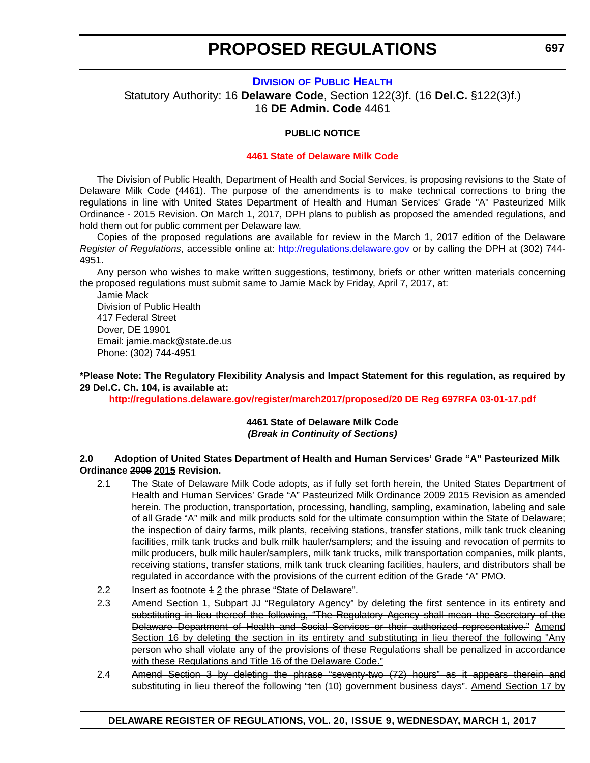#### **DIVISION [OF PUBLIC HEALTH](http://www.dhss.delaware.gov/dhss/dph/index.html)**

<span id="page-30-0"></span>Statutory Authority: 16 **Delaware Code**, Section 122(3)f. (16 **Del.C.** §122(3)f.) 16 **DE Admin. Code** 4461

#### **PUBLIC NOTICE**

#### **[4461 State of Delaware Milk Code](#page-3-0)**

The Division of Public Health, Department of Health and Social Services, is proposing revisions to the State of Delaware Milk Code (4461). The purpose of the amendments is to make technical corrections to bring the regulations in line with United States Department of Health and Human Services' Grade "A" Pasteurized Milk Ordinance - 2015 Revision. On March 1, 2017, DPH plans to publish as proposed the amended regulations, and hold them out for public comment per Delaware law.

Copies of the proposed regulations are available for review in the March 1, 2017 edition of the Delaware *Register of Regulations*, accessible online at: http://regulations.delaware.gov or by calling the DPH at (302) 744- 4951.

Any person who wishes to make written suggestions, testimony, briefs or other written materials concerning the proposed regulations must submit same to Jamie Mack by Friday, April 7, 2017, at:

Jamie Mack Division of Public Health 417 Federal Street Dover, DE 19901 Email: jamie.mack@state.de.us Phone: (302) 744-4951

**\*Please Note: The Regulatory Flexibility Analysis and Impact Statement for this regulation, as required by 29 Del.C. Ch. 104, is available at:**

**<http://regulations.delaware.gov/register/march2017/proposed/20 DE Reg 697RFA 03-01-17.pdf>**

#### **4461 State of Delaware Milk Code** *(Break in Continuity of Sections)*

#### **2.0 Adoption of United States Department of Health and Human Services' Grade "A" Pasteurized Milk Ordinance 2009 2015 Revision.**

- 2.1 The State of Delaware Milk Code adopts, as if fully set forth herein, the United States Department of Health and Human Services' Grade "A" Pasteurized Milk Ordinance 2009 2015 Revision as amended herein. The production, transportation, processing, handling, sampling, examination, labeling and sale of all Grade "A" milk and milk products sold for the ultimate consumption within the State of Delaware; the inspection of dairy farms, milk plants, receiving stations, transfer stations, milk tank truck cleaning facilities, milk tank trucks and bulk milk hauler/samplers; and the issuing and revocation of permits to milk producers, bulk milk hauler/samplers, milk tank trucks, milk transportation companies, milk plants, receiving stations, transfer stations, milk tank truck cleaning facilities, haulers, and distributors shall be regulated in accordance with the provisions of the current edition of the Grade "A" PMO.
- 2.2 Insert as footnote 4 2 the phrase "State of Delaware".
- 2.3 Amend Section 1, Subpart JJ "Regulatory Agency" by deleting the first sentence in its entirety and substituting in lieu thereof the following, "The Regulatory Agency shall mean the Secretary of the Delaware Department of Health and Social Services or their authorized representative." Amend Section 16 by deleting the section in its entirety and substituting in lieu thereof the following "Any person who shall violate any of the provisions of these Regulations shall be penalized in accordance with these Regulations and Title 16 of the Delaware Code."
- 2.4 Amend Section 3 by deleting the phrase "seventy-two (72) hours" as it appears therein and substituting in lieu thereof the following "ten (10) government business days". Amend Section 17 by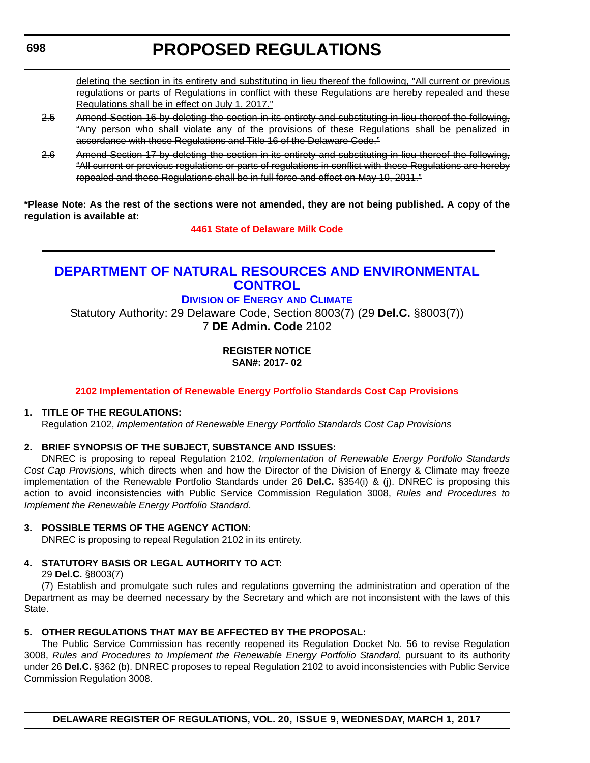### <span id="page-31-0"></span>**698**

# **PROPOSED REGULATIONS**

deleting the section in its entirety and substituting in lieu thereof the following, "All current or previous regulations or parts of Regulations in conflict with these Regulations are hereby repealed and these Regulations shall be in effect on July 1, 2017."

- 2.5 Amend Section 16 by deleting the section in its entirety and substituting in lieu thereof the following, "Any person who shall violate any of the provisions of these Regulations shall be penalized in accordance with these Regulations and Title 16 of the Delaware Code."
- 2.6 Amend Section 17 by deleting the section in its entirety and substituting in lieu thereof the following, "All current or previous regulations or parts of regulations in conflict with these Regulations are hereby repealed and these Regulations shall be in full force and effect on May 10, 2011."

**\*Please Note: As the rest of the sections were not amended, they are not being published. A copy of the regulation is available at:**

**[4461 State of Delaware Milk Code](http://regulations.delaware.gov/register/march2017/proposed/20 DE Reg 697 03-01-17.htm)** 

### **[DEPARTMENT OF NATURAL RESOURCES AND ENVIRONMENTAL](http://www.dnrec.delaware.gov/Pages/Portal.aspx)  CONTROL**

#### **DIVISION OF ENERGY [AND CLIMATE](http://www.dnrec.delaware.gov/energy/Pages/portal.aspx)**

Statutory Authority: 29 Delaware Code, Section 8003(7) (29 **Del.C.** §8003(7)) 7 **DE Admin. Code** 2102

> **REGISTER NOTICE SAN#: 2017- 02**

#### **[2102 Implementation of Renewable Energy Portfolio Standards Cost Cap Provisions](#page-3-0)**

#### **1. TITLE OF THE REGULATIONS:**

Regulation 2102, *Implementation of Renewable Energy Portfolio Standards Cost Cap Provisions*

#### **2. BRIEF SYNOPSIS OF THE SUBJECT, SUBSTANCE AND ISSUES:**

DNREC is proposing to repeal Regulation 2102, *Implementation of Renewable Energy Portfolio Standards Cost Cap Provisions*, which directs when and how the Director of the Division of Energy & Climate may freeze implementation of the Renewable Portfolio Standards under 26 **Del.C.** §354(i) & (j). DNREC is proposing this action to avoid inconsistencies with Public Service Commission Regulation 3008, *Rules and Procedures to Implement the Renewable Energy Portfolio Standard*.

#### **3. POSSIBLE TERMS OF THE AGENCY ACTION:**

DNREC is proposing to repeal Regulation 2102 in its entirety.

#### **4. STATUTORY BASIS OR LEGAL AUTHORITY TO ACT:**

29 **Del.C.** §8003(7)

(7) Establish and promulgate such rules and regulations governing the administration and operation of the Department as may be deemed necessary by the Secretary and which are not inconsistent with the laws of this State.

#### **5. OTHER REGULATIONS THAT MAY BE AFFECTED BY THE PROPOSAL:**

The Public Service Commission has recently reopened its Regulation Docket No. 56 to revise Regulation 3008, *Rules and Procedures to Implement the Renewable Energy Portfolio Standard*, pursuant to its authority under 26 **Del.C.** §362 (b). DNREC proposes to repeal Regulation 2102 to avoid inconsistencies with Public Service Commission Regulation 3008.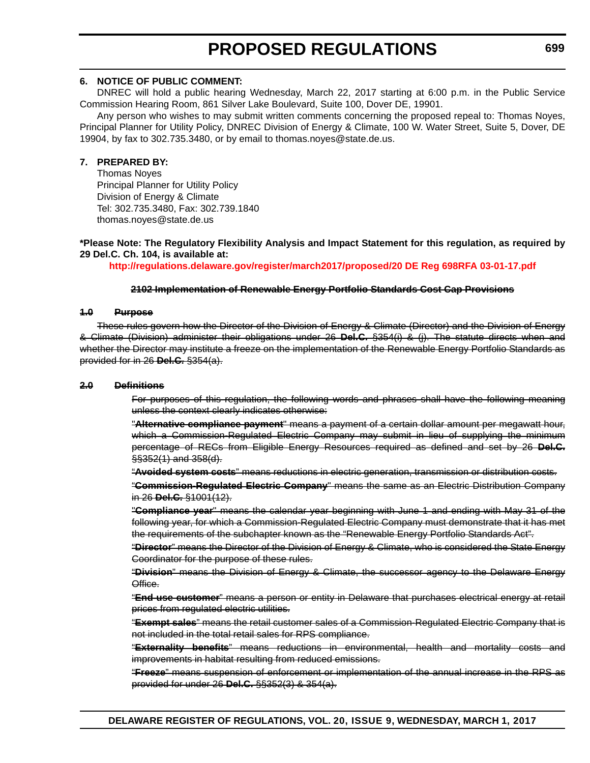#### **6. NOTICE OF PUBLIC COMMENT:**

DNREC will hold a public hearing Wednesday, March 22, 2017 starting at 6:00 p.m. in the Public Service Commission Hearing Room, 861 Silver Lake Boulevard, Suite 100, Dover DE, 19901.

Any person who wishes to may submit written comments concerning the proposed repeal to: Thomas Noyes, Principal Planner for Utility Policy, DNREC Division of Energy & Climate, 100 W. Water Street, Suite 5, Dover, DE 19904, by fax to 302.735.3480, or by email to thomas.noyes@state.de.us.

#### **7. PREPARED BY:**

Thomas Noyes Principal Planner for Utility Policy Division of Energy & Climate Tel: 302.735.3480, Fax: 302.739.1840 thomas.noyes@state.de.us

**\*Please Note: The Regulatory Flexibility Analysis and Impact Statement for this regulation, as required by 29 Del.C. Ch. 104, is available at:**

**<http://regulations.delaware.gov/register/march2017/proposed/20 DE Reg 698RFA 03-01-17.pdf>**

#### **2102 Implementation of Renewable Energy Portfolio Standards Cost Cap Provisions**

#### **1.0 Purpose**

These rules govern how the Director of the Division of Energy & Climate (Director) and the Division of Energy & Climate (Division) administer their obligations under 26 **Del.C.** §354(i) & (j). The statute directs when and whether the Director may institute a freeze on the implementation of the Renewable Energy Portfolio Standards as provided for in 26 **Del.C.** §354(a).

#### **2.0 Definitions**

For purposes of this regulation, the following words and phrases shall have the following meaning unless the context clearly indicates otherwise:

"**Alternative compliance payment**" means a payment of a certain dollar amount per megawatt hour, which a Commission-Regulated Electric Company may submit in lieu of supplying the minimum percentage of RECs from Eligible Energy Resources required as defined and set by 26 **Del.C.**  $\frac{1}{2}\frac{1}{2}\left(1\right)$  and 358(d).

"**Avoided system costs**" means reductions in electric generation, transmission or distribution costs.

"**Commission-Regulated Electric Company**" means the same as an Electric Distribution Company in 26 **Del.C.** §1001(12).

"**Compliance year**" means the calendar year beginning with June 1 and ending with May 31 of the following year, for which a Commission-Regulated Electric Company must demonstrate that it has met the requirements of the subchapter known as the "Renewable Energy Portfolio Standards Act".

"**Director**" means the Director of the Division of Energy & Climate, who is considered the State Energy Coordinator for the purpose of these rules.

"**Division**" means the Division of Energy & Climate, the successor agency to the Delaware Energy Office.

"**End-use customer**" means a person or entity in Delaware that purchases electrical energy at retail prices from regulated electric utilities.

"**Exempt sales**" means the retail customer sales of a Commission-Regulated Electric Company that is not included in the total retail sales for RPS compliance.

"**Externality benefits**" means reductions in environmental, health and mortality costs and improvements in habitat resulting from reduced emissions.

"**Freeze**" means suspension of enforcement or implementation of the annual increase in the RPS as provided for under 26 **Del.C.** §§352(3) & 354(a).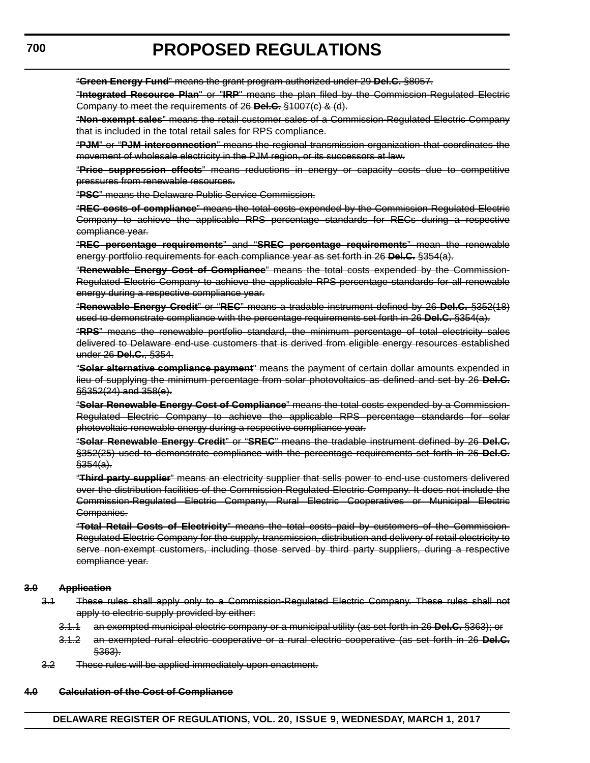"**Green Energy Fund**" means the grant program authorized under 29 **Del.C.** §8057.

"**Integrated Resource Plan**" or "**IRP**" means the plan filed by the Commission-Regulated Electric Company to meet the requirements of 26 **Del.C.** §1007(c) & (d).

"**Non-exempt sales**" means the retail customer sales of a Commission-Regulated Electric Company that is included in the total retail sales for RPS compliance.

"**PJM**" or "**PJM interconnection**" means the regional transmission organization that coordinates the movement of wholesale electricity in the PJM region, or its successors at law.

"**Price suppression effects**" means reductions in energy or capacity costs due to competitive pressures from renewable resources.

"**PSC**" means the Delaware Public Service Commission.

"**REC costs of compliance**" means the total costs expended by the Commission-Regulated Electric Company to achieve the applicable RPS percentage standards for RECs during a respective compliance year.

"**REC percentage requirements**" and "**SREC percentage requirements**" mean the renewable energy portfolio requirements for each compliance year as set forth in 26 **Del.C.** §354(a).

"**Renewable Energy Cost of Compliance**" means the total costs expended by the Commission-Regulated Electric Company to achieve the applicable RPS percentage standards for all renewable energy during a respective compliance year.

"**Renewable Energy Credit**" or "**REC**" means a tradable instrument defined by 26 **Del.C.** §352(18) used to demonstrate compliance with the percentage requirements set forth in 26 **Del.C.** §354(a).

"**RPS**" means the renewable portfolio standard, the minimum percentage of total electricity sales delivered to Delaware end-use customers that is derived from eligible energy resources established under 26 **Del.C.**, §354.

"**Solar alternative compliance payment**" means the payment of certain dollar amounts expended in lieu of supplying the minimum percentage from solar photovoltaics as defined and set by 26 **Del.C.** §§352(24) and 358(e).

"**Solar Renewable Energy Cost of Compliance**" means the total costs expended by a Commission-Regulated Electric Company to achieve the applicable RPS percentage standards for solar photovoltaic renewable energy during a respective compliance year.

"**Solar Renewable Energy Credit**" or "**SREC**" means the tradable instrument defined by 26 **Del.C.** §352(25) used to demonstrate compliance with the percentage requirements set forth in 26 **Del.C.**  $$354(a).$ 

"**Third party supplier**" means an electricity supplier that sells power to end-use customers delivered over the distribution facilities of the Commission-Regulated Electric Company. It does not include the Commission-Regulated Electric Company, Rural Electric Cooperatives or Municipal Electric Companies.

"**Total Retail Costs of Electricity**" means the total costs paid by customers of the Commission-Regulated Electric Company for the supply, transmission, distribution and delivery of retail electricity to serve non-exempt customers, including those served by third party suppliers, during a respective compliance year.

#### **3.0 Application**

- 3.1 These rules shall apply only to a Commission-Regulated Electric Company. These rules shall not apply to electric supply provided by either:
	- 3.1.1 an exempted municipal electric company or a municipal utility (as set forth in 26 **Del.C.** §363); or
	- 3.1.2 an exempted rural electric cooperative or a rural electric cooperative (as set forth in 26 **Del.C.** §363).
- 3.2 These rules will be applied immediately upon enactment.

#### **4.0 Calculation of the Cost of Compliance**

**DELAWARE REGISTER OF REGULATIONS, VOL. 20, ISSUE 9, WEDNESDAY, MARCH 1, 2017**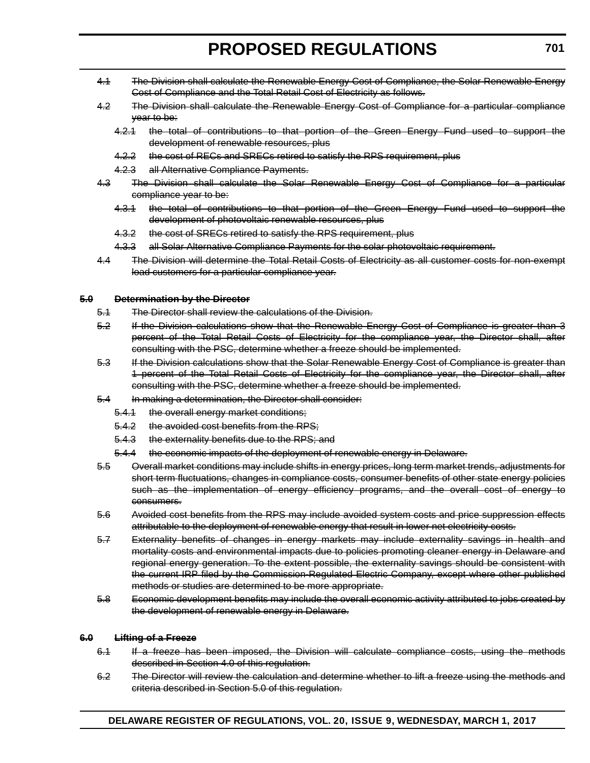- 4.1 The Division shall calculate the Renewable Energy Cost of Compliance, the Solar Renewable Energy Cost of Compliance and the Total Retail Cost of Electricity as follows.
- 4.2 The Division shall calculate the Renewable Energy Cost of Compliance for a particular compliance year to be:
	- 4.2.1 the total of contributions to that portion of the Green Energy Fund used to support the development of renewable resources, plus
	- 4.2.2 the cost of RECs and SRECs retired to satisfy the RPS requirement, plus
	- 4.2.3 all Alternative Compliance Payments.
- 4.3 The Division shall calculate the Solar Renewable Energy Cost of Compliance for a particular compliance year to be:
	- 4.3.1 the total of contributions to that portion of the Green Energy Fund used to support the development of photovoltaic renewable resources, plus
	- 4.3.2 the cost of SRECs retired to satisfy the RPS requirement, plus
	- 4.3.3 all Solar Alternative Compliance Payments for the solar photovoltaic requirement.
- 4.4 The Division will determine the Total Retail Costs of Electricity as all customer costs for non-exempt load customers for a particular compliance year.

#### **5.0 Determination by the Director**

- 5.1 The Director shall review the calculations of the Division.
- 5.2 If the Division calculations show that the Renewable Energy Cost of Compliance is greater than 3 percent of the Total Retail Costs of Electricity for the compliance year, the Director shall, after consulting with the PSC, determine whether a freeze should be implemented.
- 5.3 If the Division calculations show that the Solar Renewable Energy Cost of Compliance is greater than 1 percent of the Total Retail Costs of Electricity for the compliance year, the Director shall, after consulting with the PSC, determine whether a freeze should be implemented.
- 5.4 In making a determination, the Director shall consider:
	- 5.4.1 the overall energy market conditions;
	- 5.4.2 the avoided cost benefits from the RPS;
	- 5.4.3 the externality benefits due to the RPS; and
	- 5.4.4 the economic impacts of the deployment of renewable energy in Delaware.
- 5.5 Overall market conditions may include shifts in energy prices, long term market trends, adjustments for short term fluctuations, changes in compliance costs, consumer benefits of other state energy policies such as the implementation of energy efficiency programs, and the overall cost of energy to consumers.
- 5.6 Avoided cost benefits from the RPS may include avoided system costs and price suppression effects attributable to the deployment of renewable energy that result in lower net electricity costs.
- 5.7 Externality benefits of changes in energy markets may include externality savings in health and mortality costs and environmental impacts due to policies promoting cleaner energy in Delaware and regional energy generation. To the extent possible, the externality savings should be consistent with the current IRP filed by the Commission-Regulated Electric Company, except where other published methods or studies are determined to be more appropriate.
- 5.8 Economic development benefits may include the overall economic activity attributed to jobs created by the development of renewable energy in Delaware.

#### **6.0 Lifting of a Freeze**

- 6.1 If a freeze has been imposed, the Division will calculate compliance costs, using the methods described in Section 4.0 of this regulation.
- 6.2 The Director will review the calculation and determine whether to lift a freeze using the methods and criteria described in Section 5.0 of this regulation.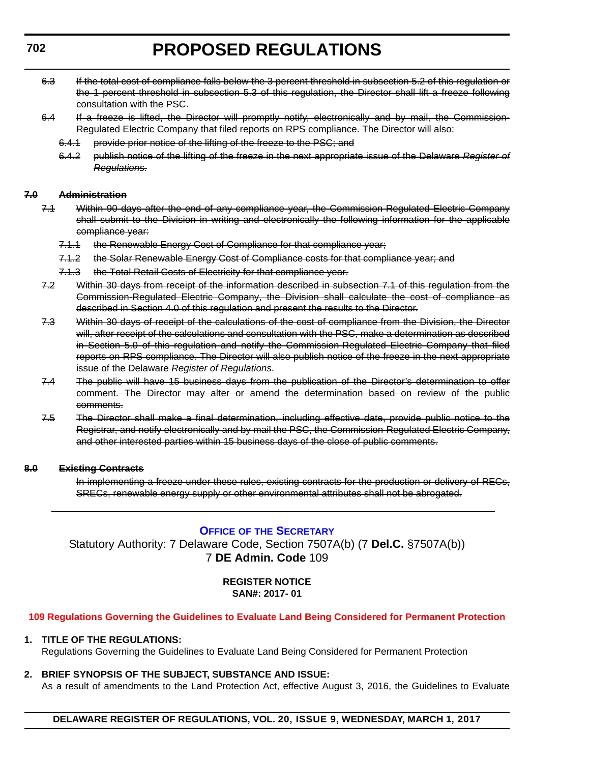- <span id="page-35-0"></span>6.3 If the total cost of compliance falls below the 3 percent threshold in subsection 5.2 of this regulation or the 1 percent threshold in subsection 5.3 of this regulation, the Director shall lift a freeze following consultation with the PSC.
- 6.4 If a freeze is lifted, the Director will promptly notify, electronically and by mail, the Commission-Regulated Electric Company that filed reports on RPS compliance. The Director will also:
	- 6.4.1 provide prior notice of the lifting of the freeze to the PSC; and
	- 6.4.2 publish notice of the lifting of the freeze in the next appropriate issue of the Delaware *Register of Regulations*.

#### **7.0 Administration**

- 7.1 Within 90 days after the end of any compliance year, the Commission-Regulated Electric Company shall submit to the Division in writing and electronically the following information for the applicable compliance year:
	- 7.1.1 the Renewable Energy Cost of Compliance for that compliance year;
	- 7.1.2 the Solar Renewable Energy Cost of Compliance costs for that compliance year; and
	- 7.1.3 the Total Retail Costs of Electricity for that compliance year.
- 7.2 Within 30 days from receipt of the information described in subsection 7.1 of this regulation from the Commission-Regulated Electric Company, the Division shall calculate the cost of compliance as described in Section 4.0 of this regulation and present the results to the Director.
- 7.3 Within 30 days of receipt of the calculations of the cost of compliance from the Division, the Director will, after receipt of the calculations and consultation with the PSC, make a determination as described in Section 5.0 of this regulation and notify the Commission-Regulated Electric Company that filed reports on RPS compliance. The Director will also publish notice of the freeze in the next appropriate issue of the Delaware *Register of Regulations*.
- 7.4 The public will have 15 business days from the publication of the Director's determination to offer comment. The Director may alter or amend the determination based on review of the public comments.
- 7.5 The Director shall make a final determination, including effective date, provide public notice to the Registrar, and notify electronically and by mail the PSC, the Commission-Regulated Electric Company, and other interested parties within 15 business days of the close of public comments.

#### **8.0 Existing Contracts**

In implementing a freeze under these rules, existing contracts for the production or delivery of RECs, SRECs, renewable energy supply or other environmental attributes shall not be abrogated.

#### **OFFICE OF [THE SECRETARY](http://www.dnrec.delaware.gov/Admin/Pages/ots.aspx)**

Statutory Authority: 7 Delaware Code, Section 7507A(b) (7 **Del.C.** §7507A(b)) 7 **DE Admin. Code** 109

#### **REGISTER NOTICE SAN#: 2017- 01**

#### **[109 Regulations Governing the Guidelines to Evaluate Land Being Considered for Permanent Protection](#page-3-0)**

#### **1. TITLE OF THE REGULATIONS:**

Regulations Governing the Guidelines to Evaluate Land Being Considered for Permanent Protection

**2. BRIEF SYNOPSIS OF THE SUBJECT, SUBSTANCE AND ISSUE:**

As a result of amendments to the Land Protection Act, effective August 3, 2016, the Guidelines to Evaluate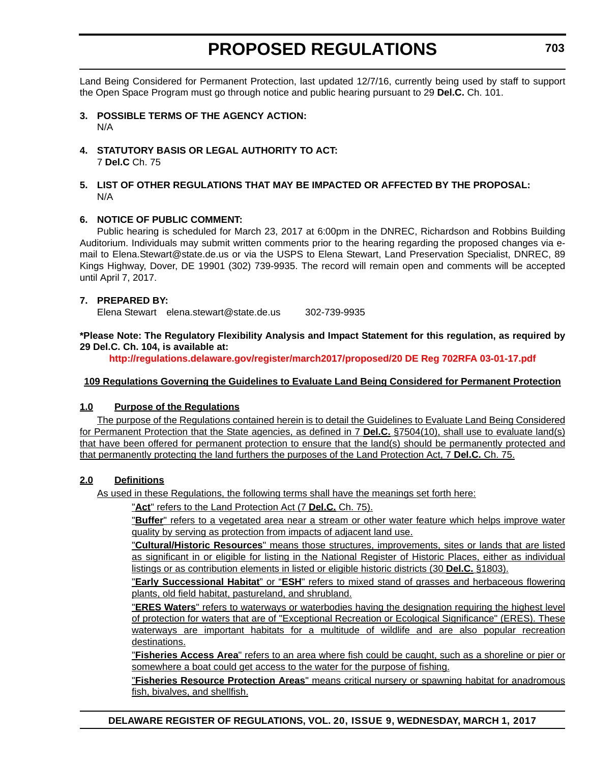Land Being Considered for Permanent Protection, last updated 12/7/16, currently being used by staff to support the Open Space Program must go through notice and public hearing pursuant to 29 **Del.C.** Ch. 101.

- **3. POSSIBLE TERMS OF THE AGENCY ACTION:** N/A
- **4. STATUTORY BASIS OR LEGAL AUTHORITY TO ACT:** 7 **Del.C** Ch. 75
- **5. LIST OF OTHER REGULATIONS THAT MAY BE IMPACTED OR AFFECTED BY THE PROPOSAL:** N/A

#### **6. NOTICE OF PUBLIC COMMENT:**

Public hearing is scheduled for March 23, 2017 at 6:00pm in the DNREC, Richardson and Robbins Building Auditorium. Individuals may submit written comments prior to the hearing regarding the proposed changes via email to Elena.Stewart@state.de.us or via the USPS to Elena Stewart, Land Preservation Specialist, DNREC, 89 Kings Highway, Dover, DE 19901 (302) 739-9935. The record will remain open and comments will be accepted until April 7, 2017.

#### **7. PREPARED BY:**

Elena Stewart elena.stewart@state.de.us 302-739-9935

**\*Please Note: The Regulatory Flexibility Analysis and Impact Statement for this regulation, as required by 29 Del.C. Ch. 104, is available at:**

**<http://regulations.delaware.gov/register/march2017/proposed/20 DE Reg 702RFA 03-01-17.pdf>**

#### **109 Regulations Governing the Guidelines to Evaluate Land Being Considered for Permanent Protection**

#### **1.0 Purpose of the Regulations**

The purpose of the Regulations contained herein is to detail the Guidelines to Evaluate Land Being Considered for Permanent Protection that the State agencies, as defined in 7 **Del.C.** §7504(10), shall use to evaluate land(s) that have been offered for permanent protection to ensure that the land(s) should be permanently protected and that permanently protecting the land furthers the purposes of the Land Protection Act, 7 **Del.C.** Ch. 75.

#### **2.0 Definitions**

As used in these Regulations, the following terms shall have the meanings set forth here:

"**Act**" refers to the Land Protection Act (7 **Del.C.** Ch. 75).

"**Buffer**" refers to a vegetated area near a stream or other water feature which helps improve water quality by serving as protection from impacts of adjacent land use.

"**Cultural/Historic Resources**" means those structures, improvements, sites or lands that are listed as significant in or eligible for listing in the National Register of Historic Places, either as individual listings or as contribution elements in listed or eligible historic districts (30 **Del.C.** §1803).

"**Early Successional Habitat**" or "**ESH**" refers to mixed stand of grasses and herbaceous flowering plants, old field habitat, pastureland, and shrubland.

"**ERES Waters**" refers to waterways or waterbodies having the designation requiring the highest level of protection for waters that are of "Exceptional Recreation or Ecological Significance" (ERES). These waterways are important habitats for a multitude of wildlife and are also popular recreation destinations.

"**Fisheries Access Area**" refers to an area where fish could be caught, such as a shoreline or pier or somewhere a boat could get access to the water for the purpose of fishing.

"**Fisheries Resource Protection Areas**" means critical nursery or spawning habitat for anadromous fish, bivalves, and shellfish.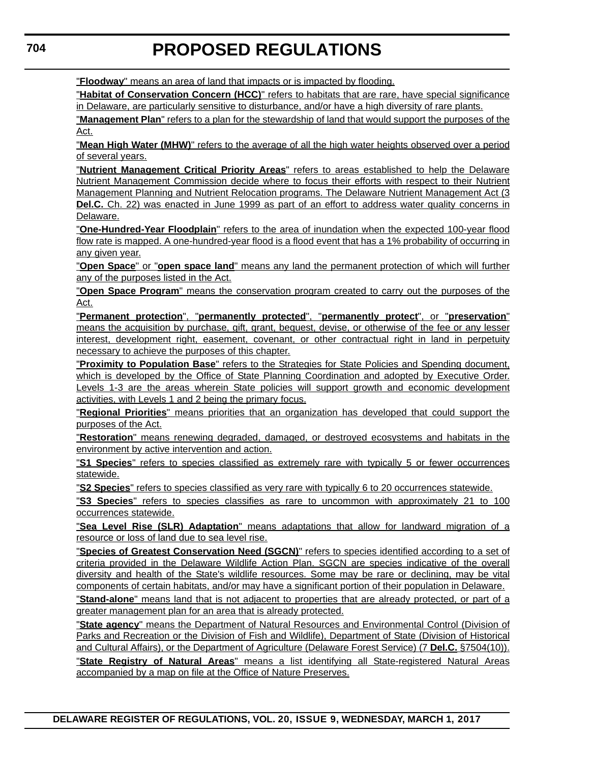"**Floodway**" means an area of land that impacts or is impacted by flooding.

"**Habitat of Conservation Concern (HCC)**" refers to habitats that are rare, have special significance in Delaware, are particularly sensitive to disturbance, and/or have a high diversity of rare plants.

"**Management Plan**" refers to a plan for the stewardship of land that would support the purposes of the Act.

"**Mean High Water (MHW)**" refers to the average of all the high water heights observed over a period of several years.

"**Nutrient Management Critical Priority Areas**" refers to areas established to help the Delaware Nutrient Management Commission decide where to focus their efforts with respect to their Nutrient Management Planning and Nutrient Relocation programs. The Delaware Nutrient Management Act (3 **Del.C.** Ch. 22) was enacted in June 1999 as part of an effort to address water quality concerns in Delaware.

"**One-Hundred-Year Floodplain**" refers to the area of inundation when the expected 100-year flood flow rate is mapped. A one-hundred-year flood is a flood event that has a 1% probability of occurring in any given year.

"**Open Space**" or "**open space land**" means any land the permanent protection of which will further any of the purposes listed in the Act.

"**Open Space Program**" means the conservation program created to carry out the purposes of the Act.

"**Permanent protection**", "**permanently protected**", "**permanently protect**", or "**preservation**" means the acquisition by purchase, gift, grant, bequest, devise, or otherwise of the fee or any lesser interest, development right, easement, covenant, or other contractual right in land in perpetuity necessary to achieve the purposes of this chapter.

"**Proximity to Population Base**" refers to the Strategies for State Policies and Spending document, which is developed by the Office of State Planning Coordination and adopted by Executive Order. Levels 1-3 are the areas wherein State policies will support growth and economic development activities, with Levels 1 and 2 being the primary focus.

"**Regional Priorities**" means priorities that an organization has developed that could support the purposes of the Act.

"**Restoration**" means renewing degraded, damaged, or destroyed ecosystems and habitats in the environment by active intervention and action.

"**S1 Species**" refers to species classified as extremely rare with typically 5 or fewer occurrences statewide.

"**S2 Species**" refers to species classified as very rare with typically 6 to 20 occurrences statewide.

"**S3 Species**" refers to species classifies as rare to uncommon with approximately 21 to 100 occurrences statewide.

"**Sea Level Rise (SLR) Adaptation**" means adaptations that allow for landward migration of a resource or loss of land due to sea level rise.

"**Species of Greatest Conservation Need (SGCN)**" refers to species identified according to a set of criteria provided in the Delaware Wildlife Action Plan. SGCN are species indicative of the overall diversity and health of the State's wildlife resources. Some may be rare or declining, may be vital components of certain habitats, and/or may have a significant portion of their population in Delaware.

"**Stand-alone**" means land that is not adjacent to properties that are already protected, or part of a greater management plan for an area that is already protected.

"**State agency**" means the Department of Natural Resources and Environmental Control (Division of Parks and Recreation or the Division of Fish and Wildlife), Department of State (Division of Historical and Cultural Affairs), or the Department of Agriculture (Delaware Forest Service) (7 **Del.C.** §7504(10)).

"**State Registry of Natural Areas**" means a list identifying all State-registered Natural Areas accompanied by a map on file at the Office of Nature Preserves.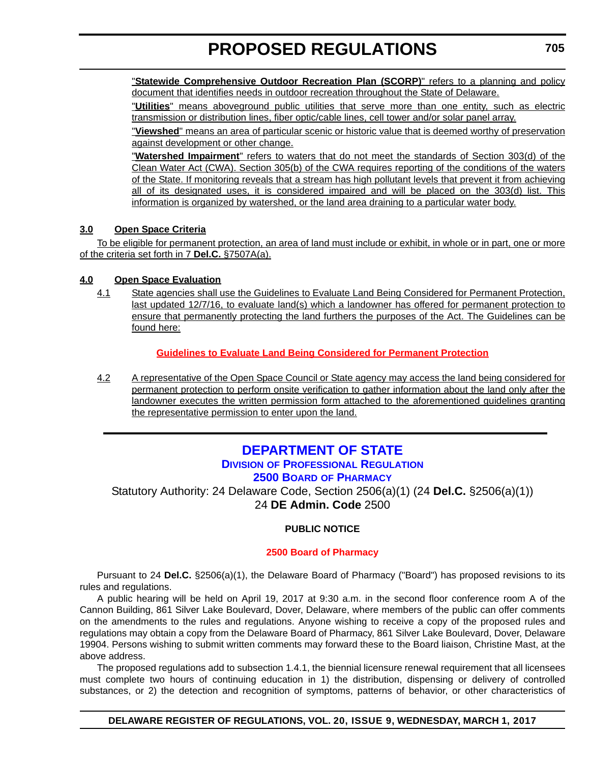<span id="page-38-0"></span>"**Statewide Comprehensive Outdoor Recreation Plan (SCORP)**" refers to a planning and policy document that identifies needs in outdoor recreation throughout the State of Delaware.

"**Utilities**" means aboveground public utilities that serve more than one entity, such as electric transmission or distribution lines, fiber optic/cable lines, cell tower and/or solar panel array.

"**Viewshed**" means an area of particular scenic or historic value that is deemed worthy of preservation against development or other change.

"**Watershed Impairment**" refers to waters that do not meet the standards of Section 303(d) of the Clean Water Act (CWA). Section 305(b) of the CWA requires reporting of the conditions of the waters of the State. If monitoring reveals that a stream has high pollutant levels that prevent it from achieving all of its designated uses, it is considered impaired and will be placed on the 303(d) list. This information is organized by watershed, or the land area draining to a particular water body.

#### **3.0 Open Space Criteria**

To be eligible for permanent protection, an area of land must include or exhibit, in whole or in part, one or more of the criteria set forth in 7 **Del.C.** §7507A(a).

#### **4.0 Open Space Evaluation**

4.1 State agencies shall use the Guidelines to Evaluate Land Being Considered for Permanent Protection, last updated 12/7/16, to evaluate land(s) which a landowner has offered for permanent protection to ensure that permanently protecting the land furthers the purposes of the Act. The Guidelines can be found here:

#### **[Guidelines to Evaluate Land Being Considered for Permanent Protection](http://regulations.delaware.gov/register/march2017/proposed/Guidelines to Evaluate Land.pdf)**

4.2 A representative of the Open Space Council or State agency may access the land being considered for permanent protection to perform onsite verification to gather information about the land only after the landowner executes the written permission form attached to the aforementioned guidelines granting the representative permission to enter upon the land.

### **[DEPARTMENT OF STATE](http://sos.delaware.gov/) DIVISION [OF PROFESSIONAL REGULATION](http://dpr.delaware.gov/) 2500 BOARD [OF PHARMACY](http://dpr.delaware.gov/boards/pharmacy/index.shtml)**

Statutory Authority: 24 Delaware Code, Section 2506(a)(1) (24 **Del.C.** §2506(a)(1)) 24 **DE Admin. Code** 2500

#### **PUBLIC NOTICE**

#### **[2500 Board of Pharmacy](#page-3-0)**

Pursuant to 24 **Del.C.** §2506(a)(1), the Delaware Board of Pharmacy ("Board") has proposed revisions to its rules and regulations.

A public hearing will be held on April 19, 2017 at 9:30 a.m. in the second floor conference room A of the Cannon Building, 861 Silver Lake Boulevard, Dover, Delaware, where members of the public can offer comments on the amendments to the rules and regulations. Anyone wishing to receive a copy of the proposed rules and regulations may obtain a copy from the Delaware Board of Pharmacy, 861 Silver Lake Boulevard, Dover, Delaware 19904. Persons wishing to submit written comments may forward these to the Board liaison, Christine Mast, at the above address.

The proposed regulations add to subsection 1.4.1, the biennial licensure renewal requirement that all licensees must complete two hours of continuing education in 1) the distribution, dispensing or delivery of controlled substances, or 2) the detection and recognition of symptoms, patterns of behavior, or other characteristics of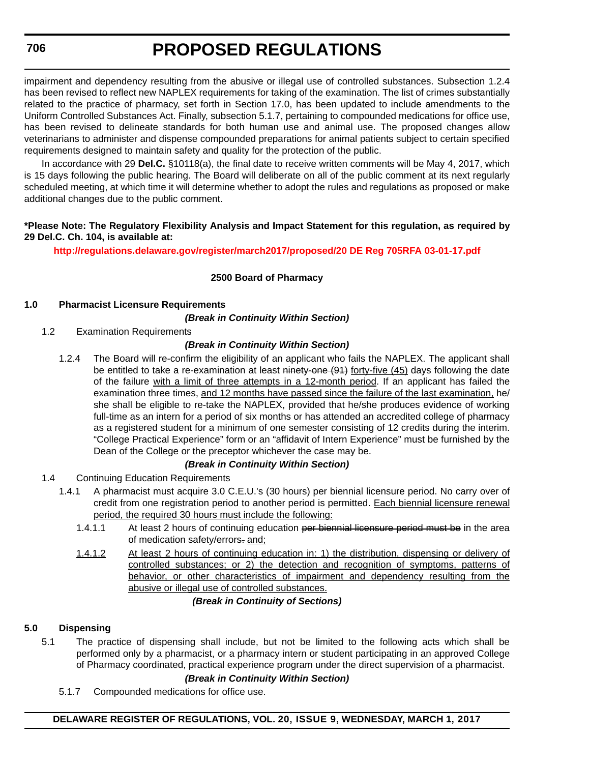impairment and dependency resulting from the abusive or illegal use of controlled substances. Subsection 1.2.4 has been revised to reflect new NAPLEX requirements for taking of the examination. The list of crimes substantially related to the practice of pharmacy, set forth in Section 17.0, has been updated to include amendments to the Uniform Controlled Substances Act. Finally, subsection 5.1.7, pertaining to compounded medications for office use, has been revised to delineate standards for both human use and animal use. The proposed changes allow veterinarians to administer and dispense compounded preparations for animal patients subject to certain specified requirements designed to maintain safety and quality for the protection of the public.

In accordance with 29 **Del.C.** §10118(a), the final date to receive written comments will be May 4, 2017, which is 15 days following the public hearing. The Board will deliberate on all of the public comment at its next regularly scheduled meeting, at which time it will determine whether to adopt the rules and regulations as proposed or make additional changes due to the public comment.

#### **\*Please Note: The Regulatory Flexibility Analysis and Impact Statement for this regulation, as required by 29 Del.C. Ch. 104, is available at:**

**<http://regulations.delaware.gov/register/march2017/proposed/20 DE Reg 705RFA 03-01-17.pdf>**

#### **2500 Board of Pharmacy**

#### **1.0 Pharmacist Licensure Requirements**

#### *(Break in Continuity Within Section)*

1.2 Examination Requirements

#### *(Break in Continuity Within Section)*

1.2.4 The Board will re-confirm the eligibility of an applicant who fails the NAPLEX. The applicant shall be entitled to take a re-examination at least ninety-one (94) forty-five (45) days following the date of the failure with a limit of three attempts in a 12-month period. If an applicant has failed the examination three times, and 12 months have passed since the failure of the last examination, he/ she shall be eligible to re-take the NAPLEX, provided that he/she produces evidence of working full-time as an intern for a period of six months or has attended an accredited college of pharmacy as a registered student for a minimum of one semester consisting of 12 credits during the interim. "College Practical Experience" form or an "affidavit of Intern Experience" must be furnished by the Dean of the College or the preceptor whichever the case may be.

#### *(Break in Continuity Within Section)*

- 1.4 Continuing Education Requirements
	- 1.4.1 A pharmacist must acquire 3.0 C.E.U.'s (30 hours) per biennial licensure period. No carry over of credit from one registration period to another period is permitted. Each biennial licensure renewal period, the required 30 hours must include the following:
		- 1.4.1.1 At least 2 hours of continuing education per biennial licensure period must be in the area of medication safety/errors-and;
		- 1.4.1.2 At least 2 hours of continuing education in: 1) the distribution, dispensing or delivery of controlled substances; or 2) the detection and recognition of symptoms, patterns of behavior, or other characteristics of impairment and dependency resulting from the abusive or illegal use of controlled substances.

#### *(Break in Continuity of Sections)*

#### **5.0 Dispensing**

5.1 The practice of dispensing shall include, but not be limited to the following acts which shall be performed only by a pharmacist, or a pharmacy intern or student participating in an approved College of Pharmacy coordinated, practical experience program under the direct supervision of a pharmacist.

#### *(Break in Continuity Within Section)*

5.1.7 Compounded medications for office use.

#### **DELAWARE REGISTER OF REGULATIONS, VOL. 20, ISSUE 9, WEDNESDAY, MARCH 1, 2017**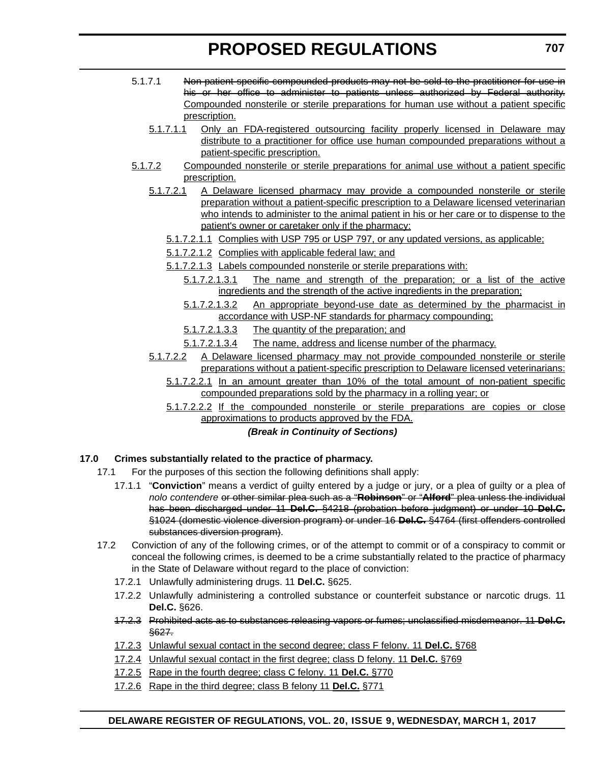- 5.1.7.1 Non-patient specific compounded products may not be sold to the practitioner for use in his or her office to administer to patients unless authorized by Federal authority. Compounded nonsterile or sterile preparations for human use without a patient specific prescription.
	- 5.1.7.1.1 Only an FDA-registered outsourcing facility properly licensed in Delaware may distribute to a practitioner for office use human compounded preparations without a patient-specific prescription.
- 5.1.7.2 Compounded nonsterile or sterile preparations for animal use without a patient specific prescription.
	- 5.1.7.2.1 A Delaware licensed pharmacy may provide a compounded nonsterile or sterile preparation without a patient-specific prescription to a Delaware licensed veterinarian who intends to administer to the animal patient in his or her care or to dispense to the patient's owner or caretaker only if the pharmacy:
		- 5.1.7.2.1.1 Complies with USP 795 or USP 797, or any updated versions, as applicable;
		- 5.1.7.2.1.2 Complies with applicable federal law; and
		- 5.1.7.2.1.3 Labels compounded nonsterile or sterile preparations with:
			- 5.1.7.2.1.3.1 The name and strength of the preparation; or a list of the active ingredients and the strength of the active ingredients in the preparation;
			- 5.1.7.2.1.3.2 An appropriate beyond-use date as determined by the pharmacist in accordance with USP-NF standards for pharmacy compounding;
			- 5.1.7.2.1.3.3 The quantity of the preparation; and
			- 5.1.7.2.1.3.4 The name, address and license number of the pharmacy.
	- 5.1.7.2.2 A Delaware licensed pharmacy may not provide compounded nonsterile or sterile preparations without a patient-specific prescription to Delaware licensed veterinarians:
		- 5.1.7.2.2.1 In an amount greater than 10% of the total amount of non-patient specific compounded preparations sold by the pharmacy in a rolling year; or
		- 5.1.7.2.2.2 If the compounded nonsterile or sterile preparations are copies or close approximations to products approved by the FDA.

#### *(Break in Continuity of Sections)*

#### **17.0 Crimes substantially related to the practice of pharmacy.**

- 17.1 For the purposes of this section the following definitions shall apply:
	- 17.1.1 "**Conviction**" means a verdict of guilty entered by a judge or jury, or a plea of guilty or a plea of *nolo contendere* or other similar plea such as a "**Robinson**" or "**Alford**" plea unless the individual has been discharged under 11 **Del.C.** §4218 (probation before judgment) or under 10 **Del.C.** §1024 (domestic violence diversion program) or under 16 **Del.C.** §4764 (first offenders controlled substances diversion program).
- 17.2 Conviction of any of the following crimes, or of the attempt to commit or of a conspiracy to commit or conceal the following crimes, is deemed to be a crime substantially related to the practice of pharmacy in the State of Delaware without regard to the place of conviction:
	- 17.2.1 Unlawfully administering drugs. 11 **Del.C.** §625.
	- 17.2.2 Unlawfully administering a controlled substance or counterfeit substance or narcotic drugs. 11 **Del.C.** §626.
	- 17.2.3 Prohibited acts as to substances releasing vapors or fumes; unclassified misdemeanor. 11 **Del.C.** §627.
	- 17.2.3 Unlawful sexual contact in the second degree; class F felony. 11 **Del.C.** §768
	- 17.2.4 Unlawful sexual contact in the first degree; class D felony. 11 **Del.C.** §769
	- 17.2.5 Rape in the fourth degree; class C felony. 11 **Del.C.** §770
	- 17.2.6 Rape in the third degree; class B felony 11 **Del.C.** §771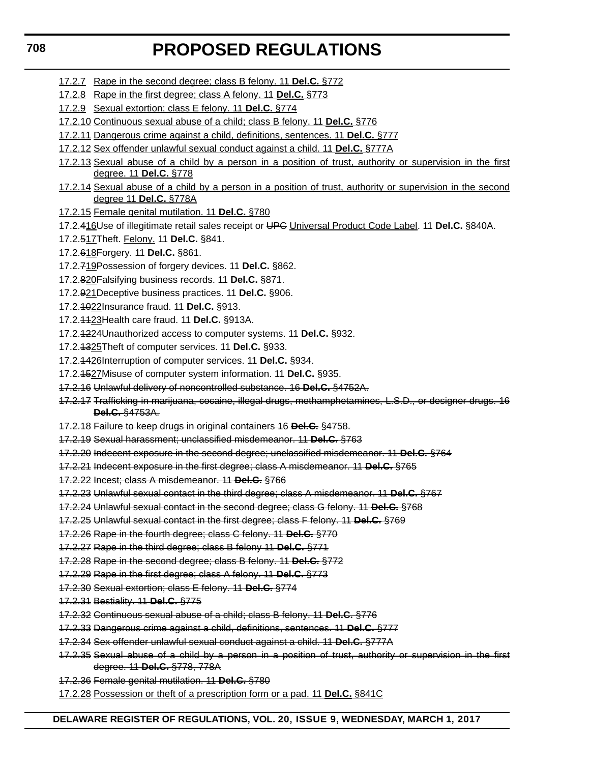- 17.2.7 Rape in the second degree; class B felony. 11 **Del.C.** §772
- 17.2.8 Rape in the first degree; class A felony. 11 **Del.C.** §773
- 17.2.9 Sexual extortion; class E felony. 11 **Del.C.** §774
- 17.2.10 Continuous sexual abuse of a child; class B felony. 11 **Del.C.** §776
- 17.2.11 Dangerous crime against a child, definitions, sentences. 11 **Del.C.** §777
- 17.2.12 Sex offender unlawful sexual conduct against a child. 11 **Del.C.** §777A
- 17.2.13 Sexual abuse of a child by a person in a position of trust, authority or supervision in the first degree. 11 **Del.C.** §778
- 17.2.14 Sexual abuse of a child by a person in a position of trust, authority or supervision in the second degree 11 **Del.C.** §778A
- 17.2.15 Female genital mutilation. 11 **Del.C.** §780
- 17.2.416Use of illegitimate retail sales receipt or UPC Universal Product Code Label. 11 **Del.C.** §840A.
- 17.2.517Theft. Felony. 11 **Del.C.** §841.
- 17.2.618Forgery. 11 **Del.C.** §861.
- 17.2.719Possession of forgery devices. 11 **Del.C.** §862.
- 17.2.820Falsifying business records. 11 **Del.C.** §871.
- 17.2.921Deceptive business practices. 11 **Del.C.** §906.
- 17.2.1022Insurance fraud. 11 **Del.C.** §913.
- 17.2.1123Health care fraud. 11 **Del.C.** §913A.
- 17.2.1224Unauthorized access to computer systems. 11 **Del.C.** §932.
- 17.2.1325Theft of computer services. 11 **Del.C.** §933.
- 17.2.1426Interruption of computer services. 11 **Del.C.** §934.
- 17.2.1527Misuse of computer system information. 11 **Del.C.** §935.
- 17.2.16 Unlawful delivery of noncontrolled substance. 16 **Del.C.** §4752A.
- 17.2.17 Trafficking in marijuana, cocaine, illegal drugs, methamphetamines, L.S.D., or designer drugs. 16 **Del.C.** §4753A.
- 17.2.18 Failure to keep drugs in original containers 16 **Del.C.** §4758.
- 17.2.19 Sexual harassment; unclassified misdemeanor. 11 **Del.C.** §763
- 17.2.20 Indecent exposure in the second degree; unclassified misdemeanor. 11 **Del.C.** §764
- 17.2.21 Indecent exposure in the first degree; class A misdemeanor. 11 **Del.C.** §765
- 17.2.22 Incest; class A misdemeanor. 11 **Del.C.** §766
- 17.2.23 Unlawful sexual contact in the third degree; class A misdemeanor. 11 **Del.C.** §767
- 17.2.24 Unlawful sexual contact in the second degree; class G felony. 11 **Del.C.** §768
- 17.2.25 Unlawful sexual contact in the first degree; class F felony. 11 **Del.C.** §769

17.2.26 Rape in the fourth degree; class C felony. 11 **Del.C.** §770

- 17.2.27 Rape in the third degree; class B felony 11 **Del.C.** §771
- 17.2.28 Rape in the second degree; class B felony. 11 **Del.C.** §772
- 17.2.29 Rape in the first degree; class A felony. 11 **Del.C.** §773
- 17.2.30 Sexual extortion; class E felony. 11 **Del.C.** §774
- 17.2.31 Bestiality. 11 **Del.C.** §775
- 17.2.32 Continuous sexual abuse of a child; class B felony. 11 **Del.C.** §776
- 17.2.33 Dangerous crime against a child, definitions, sentences. 11 **Del.C.** §777
- 17.2.34 Sex offender unlawful sexual conduct against a child. 11 **Del.C.** §777A
- 17.2.35 Sexual abuse of a child by a person in a position of trust, authority or supervision in the first degree. 11 **Del.C.** §778, 778A
- 17.2.36 Female genital mutilation. 11 **Del.C.** §780
- 17.2.28 Possession or theft of a prescription form or a pad. 11 **Del.C.** §841C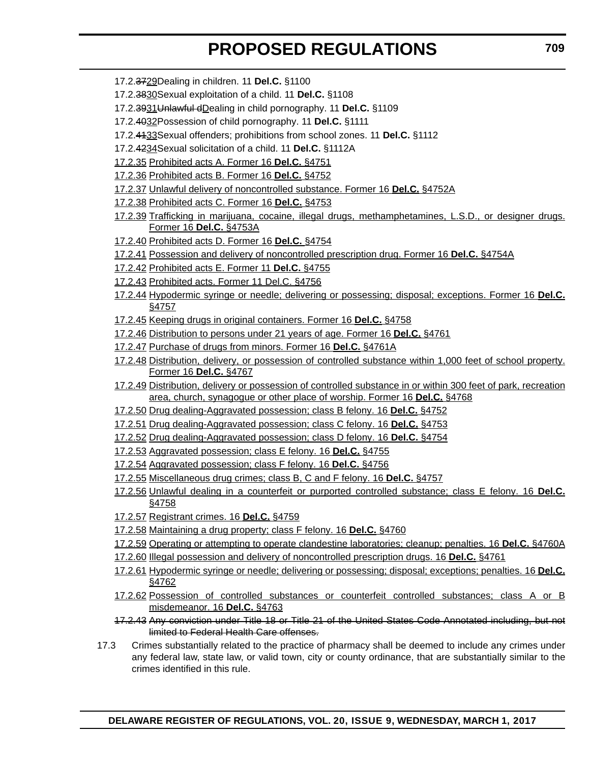- 17.2.3729Dealing in children. 11 **Del.C.** §1100
- 17.2.3830Sexual exploitation of a child. 11 **Del.C.** §1108
- 17.2.3931Unlawful dDealing in child pornography. 11 **Del.C.** §1109
- 17.2.4032Possession of child pornography. 11 **Del.C.** §1111
- 17.2.4133Sexual offenders; prohibitions from school zones. 11 **Del.C.** §1112
- 17.2.4234Sexual solicitation of a child. 11 **Del.C.** §1112A
- 17.2.35 Prohibited acts A. Former 16 **Del.C.** §4751
- 17.2.36 Prohibited acts B. Former 16 **Del.C.** §4752
- 17.2.37 Unlawful delivery of noncontrolled substance. Former 16 **Del.C.** §4752A
- 17.2.38 Prohibited acts C. Former 16 **Del.C.** §4753
- 17.2.39 Trafficking in marijuana, cocaine, illegal drugs, methamphetamines, L.S.D., or designer drugs. Former 16 **Del.C.** §4753A
- 17.2.40 Prohibited acts D. Former 16 **Del.C.** §4754
- 17.2.41 Possession and delivery of noncontrolled prescription drug. Former 16 **Del.C.** §4754A
- 17.2.42 Prohibited acts E. Former 11 **Del.C.** §4755
- 17.2.43 Prohibited acts. Former 11 Del.C. §4756
- 17.2.44 Hypodermic syringe or needle; delivering or possessing; disposal; exceptions. Former 16 **Del.C.** §4757
- 17.2.45 Keeping drugs in original containers. Former 16 **Del.C.** §4758
- 17.2.46 Distribution to persons under 21 years of age. Former 16 **Del.C.** §4761
- 17.2.47 Purchase of drugs from minors. Former 16 **Del.C.** §4761A
- 17.2.48 Distribution, delivery, or possession of controlled substance within 1,000 feet of school property. Former 16 **Del.C.** §4767
- 17.2.49 Distribution, delivery or possession of controlled substance in or within 300 feet of park, recreation area, church, synagogue or other place of worship. Former 16 **Del.C.** §4768
- 17.2.50 Drug dealing-Aggravated possession; class B felony. 16 **Del.C.** §4752
- 17.2.51 Drug dealing-Aggravated possession; class C felony. 16 **Del.C.** §4753
- 17.2.52 Drug dealing-Aggravated possession; class D felony. 16 **Del.C.** §4754
- 17.2.53 Aggravated possession; class E felony. 16 **Del.C.** §4755
- 17.2.54 Aggravated possession; class F felony. 16 **Del.C.** §4756
- 17.2.55 Miscellaneous drug crimes; class B, C and F felony. 16 **Del.C.** §4757
- 17.2.56 Unlawful dealing in a counterfeit or purported controlled substance; class E felony. 16 **Del.C.** §4758
- 17.2.57 Registrant crimes. 16 **Del.C.** §4759
- 17.2.58 Maintaining a drug property; class F felony. 16 **Del.C.** §4760
- 17.2.59 Operating or attempting to operate clandestine laboratories; cleanup; penalties. 16 **Del.C.** §4760A
- 17.2.60 Illegal possession and delivery of noncontrolled prescription drugs. 16 **Del.C.** §4761
- 17.2.61 Hypodermic syringe or needle; delivering or possessing; disposal; exceptions; penalties. 16 **Del.C.** §4762
- 17.2.62 Possession of controlled substances or counterfeit controlled substances; class A or B misdemeanor. 16 **Del.C.** §4763
- 17.2.43 Any conviction under Title 18 or Title 21 of the United States Code Annotated including, but not limited to Federal Health Care offenses.
- 17.3 Crimes substantially related to the practice of pharmacy shall be deemed to include any crimes under any federal law, state law, or valid town, city or county ordinance, that are substantially similar to the crimes identified in this rule.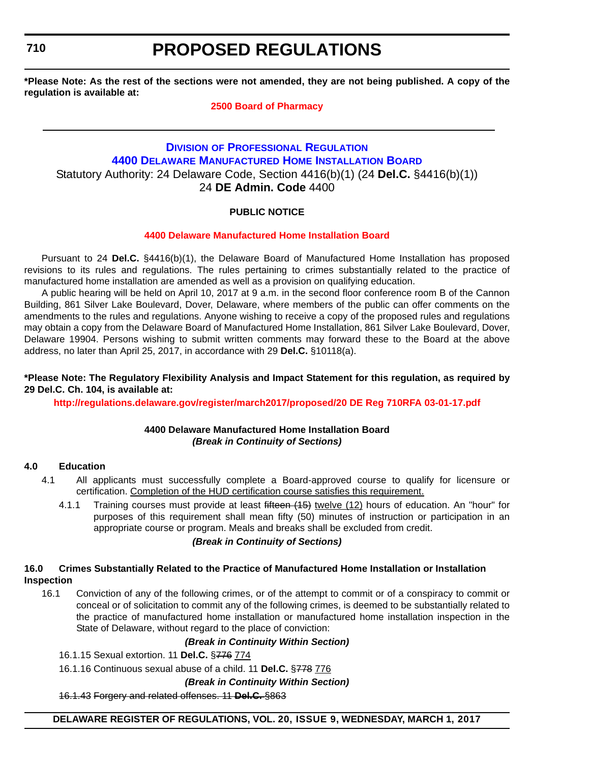<span id="page-43-0"></span>**710**

# **PROPOSED REGULATIONS**

**\*Please Note: As the rest of the sections were not amended, they are not being published. A copy of the regulation is available at:**

#### **[2500 Board of Pharmacy](http://regulations.delaware.gov/register/march2017/proposed/20 DE Reg 705 03-01-17.htm)**

### **DIVISION [OF PROFESSIONAL REGULATION](http://dpr.delaware.gov/) [4400 DELAWARE MANUFACTURED HOME INSTALLATION BOARD](http://dpr.delaware.gov/boards/manufactoredhomes/index.shtml)** Statutory Authority: 24 Delaware Code, Section 4416(b)(1) (24 **Del.C.** §4416(b)(1)) 24 **DE Admin. Code** 4400

### **PUBLIC NOTICE**

#### **[4400 Delaware Manufactured Home Installation Board](#page-3-0)**

Pursuant to 24 **Del.C.** §4416(b)(1), the Delaware Board of Manufactured Home Installation has proposed revisions to its rules and regulations. The rules pertaining to crimes substantially related to the practice of manufactured home installation are amended as well as a provision on qualifying education.

A public hearing will be held on April 10, 2017 at 9 a.m. in the second floor conference room B of the Cannon Building, 861 Silver Lake Boulevard, Dover, Delaware, where members of the public can offer comments on the amendments to the rules and regulations. Anyone wishing to receive a copy of the proposed rules and regulations may obtain a copy from the Delaware Board of Manufactured Home Installation, 861 Silver Lake Boulevard, Dover, Delaware 19904. Persons wishing to submit written comments may forward these to the Board at the above address, no later than April 25, 2017, in accordance with 29 **Del.C.** §10118(a).

#### **\*Please Note: The Regulatory Flexibility Analysis and Impact Statement for this regulation, as required by 29 Del.C. Ch. 104, is available at:**

**<http://regulations.delaware.gov/register/march2017/proposed/20 DE Reg 710RFA 03-01-17.pdf>**

#### **4400 Delaware Manufactured Home Installation Board** *(Break in Continuity of Sections)*

#### **4.0 Education**

- 4.1 All applicants must successfully complete a Board-approved course to qualify for licensure or certification. Completion of the HUD certification course satisfies this requirement.
	- 4.1.1 Training courses must provide at least fifteen (15) twelve (12) hours of education. An "hour" for purposes of this requirement shall mean fifty (50) minutes of instruction or participation in an appropriate course or program. Meals and breaks shall be excluded from credit.

#### *(Break in Continuity of Sections)*

#### **16.0 Crimes Substantially Related to the Practice of Manufactured Home Installation or Installation Inspection**

16.1 Conviction of any of the following crimes, or of the attempt to commit or of a conspiracy to commit or conceal or of solicitation to commit any of the following crimes, is deemed to be substantially related to the practice of manufactured home installation or manufactured home installation inspection in the State of Delaware, without regard to the place of conviction:

#### *(Break in Continuity Within Section)*

16.1.15 Sexual extortion. 11 **Del.C.** §776 774

16.1.16 Continuous sexual abuse of a child. 11 **Del.C.** §778 776

*(Break in Continuity Within Section)*

16.1.43 Forgery and related offenses. 11 **Del.C.** §863

**DELAWARE REGISTER OF REGULATIONS, VOL. 20, ISSUE 9, WEDNESDAY, MARCH 1, 2017**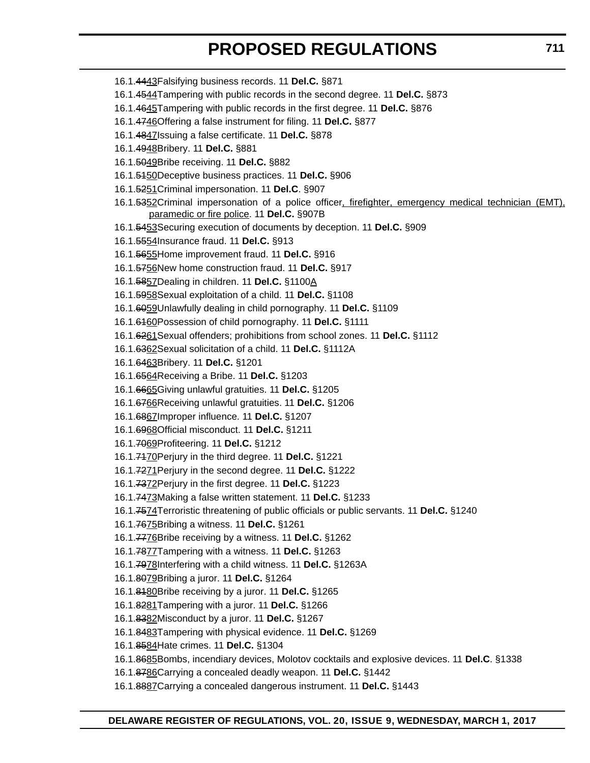| 16.1.4443 Falsifying business records. 11 Del.C. §871                                                                                              |  |
|----------------------------------------------------------------------------------------------------------------------------------------------------|--|
| 16.1.4544 Tampering with public records in the second degree. 11 Del.C. §873                                                                       |  |
| 16.1.4645 Tampering with public records in the first degree. 11 Del.C. §876                                                                        |  |
| 16.1.4746 Offering a false instrument for filing. 11 Del.C. §877                                                                                   |  |
| 16.1.4847 Issuing a false certificate. 11 Del.C. §878                                                                                              |  |
| 16.1.4948Bribery. 11 Del.C. §881                                                                                                                   |  |
| 16.1.5049Bribe receiving. 11 Del.C. §882                                                                                                           |  |
| 16.1.5450Deceptive business practices. 11 Del.C. §906                                                                                              |  |
| 16.1.5251 Criminal impersonation. 11 Del.C. §907                                                                                                   |  |
| 16.1.5352Criminal impersonation of a police officer, firefighter, emergency medical technician (EMT),<br>paramedic or fire police. 11 Del.C. §907B |  |
| 16.1.5453 Securing execution of documents by deception. 11 Del.C. §909                                                                             |  |
| 16.1.5554 Insurance fraud. 11 Del.C. §913                                                                                                          |  |
| 16.1.5655 Home improvement fraud. 11 Del.C. §916                                                                                                   |  |
| 16.1.5756New home construction fraud. 11 Del.C. §917                                                                                               |  |
| 16.1.5857Dealing in children. 11 Del.C. §1100A                                                                                                     |  |
| 16.1.5958 Sexual exploitation of a child. 11 Del.C. §1108                                                                                          |  |
| 16.1.6059 Unlawfully dealing in child pornography. 11 Del.C. §1109                                                                                 |  |
| 16.1.6460Possession of child pornography. 11 Del.C. §1111                                                                                          |  |
| 16.1.6261 Sexual offenders; prohibitions from school zones. 11 Del.C. §1112                                                                        |  |
| 16.1.6362 Sexual solicitation of a child. 11 Del.C. §1112A                                                                                         |  |
| 16.1.6463Bribery. 11 Del.C. §1201                                                                                                                  |  |
| 16.1.6564 Receiving a Bribe. 11 Del.C. §1203                                                                                                       |  |
| 16.1.6665 Giving unlawful gratuities. 11 Del.C. §1205                                                                                              |  |
| 16.1.6766 Receiving unlawful gratuities. 11 Del.C. §1206                                                                                           |  |
| 16.1.6867 Improper influence. 11 Del.C. §1207                                                                                                      |  |
| 16.1.6968 Official misconduct. 11 Del.C. §1211                                                                                                     |  |
| 16.1.7069 Profiteering. 11 Del.C. §1212                                                                                                            |  |
| 16.1.7470 Perjury in the third degree. 11 Del.C. §1221                                                                                             |  |
| 16.1.7271 Perjury in the second degree. 11 Del.C. §1222                                                                                            |  |
| 16.1.7372Perjury in the first degree. 11 Del.C. §1223                                                                                              |  |
| 16.1.7473 Making a false written statement. 11 Del.C. §1233                                                                                        |  |
| 16.1.7574 Terroristic threatening of public officials or public servants. 11 Del.C. §1240                                                          |  |
| 16.1.7675 Bribing a witness. 11 Del.C. §1261                                                                                                       |  |
| 16.1.7776Bribe receiving by a witness. 11 Del.C. §1262                                                                                             |  |
| 16.1.7877 Tampering with a witness. 11 Del.C. §1263                                                                                                |  |
| 16.1.7978 Interfering with a child witness. 11 Del.C. §1263A                                                                                       |  |
| 16.1.8079 Bribing a juror. 11 Del.C. §1264                                                                                                         |  |
| 16.1.8480 Bribe receiving by a juror. 11 Del.C. §1265                                                                                              |  |
| 16.1.8281 Tampering with a juror. 11 Del.C. §1266                                                                                                  |  |
| 16.1.8382Misconduct by a juror. 11 Del.C. §1267                                                                                                    |  |
| 16.1.8483Tampering with physical evidence. 11 Del.C. §1269                                                                                         |  |
| 16.1.8584 Hate crimes. 11 Del.C. §1304                                                                                                             |  |
| 16.1.8685Bombs, incendiary devices, Molotov cocktails and explosive devices. 11 Del.C. §1338                                                       |  |

- 16.1.8786Carrying a concealed deadly weapon. 11 **Del.C.** §1442
- 16.1.8887Carrying a concealed dangerous instrument. 11 **Del.C.** §1443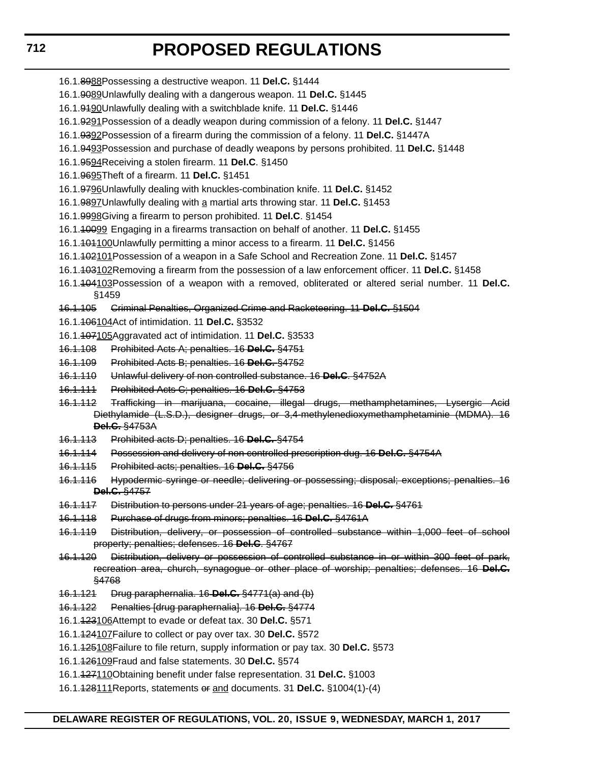### **712**

# **PROPOSED REGULATIONS**

- 16.1.8988Possessing a destructive weapon. 11 **Del.C.** §1444
- 16.1.9089Unlawfully dealing with a dangerous weapon. 11 **Del.C.** §1445
- 16.1.9190Unlawfully dealing with a switchblade knife. 11 **Del.C.** §1446
- 16.1.9291Possession of a deadly weapon during commission of a felony. 11 **Del.C.** §1447
- 16.1.9392Possession of a firearm during the commission of a felony. 11 **Del.C.** §1447A
- 16.1.9493Possession and purchase of deadly weapons by persons prohibited. 11 **Del.C.** §1448
- 16.1.9594Receiving a stolen firearm. 11 **Del.C**. §1450
- 16.1.9695Theft of a firearm. 11 **Del.C.** §1451
- 16.1.9796Unlawfully dealing with knuckles-combination knife. 11 **Del.C.** §1452
- 16.1.9897Unlawfully dealing with a martial arts throwing star. 11 **Del.C.** §1453
- 16.1.9998Giving a firearm to person prohibited. 11 **Del.C**. §1454
- 16.1.10099 Engaging in a firearms transaction on behalf of another. 11 **Del.C.** §1455
- 16.1.101100Unlawfully permitting a minor access to a firearm. 11 **Del.C.** §1456
- 16.1.102101Possession of a weapon in a Safe School and Recreation Zone. 11 **Del.C.** §1457
- 16.1.103102Removing a firearm from the possession of a law enforcement officer. 11 **Del.C.** §1458
- 16.1.104103Possession of a weapon with a removed, obliterated or altered serial number. 11 **Del.C.** §1459
- 16.1.105 Criminal Penalties, Organized Crime and Racketeering. 11 **Del.C.** §1504
- 16.1.106104Act of intimidation. 11 **Del.C.** §3532

16.1.107105Aggravated act of intimidation. 11 **Del.C.** §3533

- 16.1.108 Prohibited Acts A; penalties. 16 **Del.C.** §4751
- 16.1.109 Prohibited Acts B; penalties. 16 **Del.C.** §4752
- 16.1.110 Unlawful delivery of non controlled substance. 16 **Del.C**. §4752A
- 16.1.111 Prohibited Acts C; penalties. 16 **Del.C.** §4753
- 16.1.112 Trafficking in marijuana, cocaine, illegal drugs, methamphetamines, Lysergic Acid Diethylamide (L.S.D.), designer drugs, or 3,4-methylenedioxymethamphetaminie (MDMA). 16 **Del.C.** §4753A
- 16.1.113 Prohibited acts D; penalties. 16 **Del.C.** §4754
- 16.1.114 Possession and delivery of non controlled prescription dug. 16 **Del.C.** §4754A
- 16.1.115 Prohibited acts; penalties. 16 **Del.C.** §4756
- 16.1.116 Hypodermic syringe or needle; delivering or possessing; disposal; exceptions; penalties. 16 **Del.C.** §4757
- 16.1.117 Distribution to persons under 21 years of age; penalties. 16 **Del.C.** §4761
- 16.1.118 Purchase of drugs from minors; penalties. 16 **Del.C.** §4761A
- 16.1.119 Distribution, delivery, or possession of controlled substance within 1,000 feet of school property; penalties; defenses. 16 **Del.C**. §4767
- 16.1.120 Distribution, delivery or possession of controlled substance in or within 300 feet of park, recreation area, church, synagogue or other place of worship; penalties; defenses. 16 **Del.C.** §4768
- 16.1.121 Drug paraphernalia. 16 **Del.C.** §4771(a) and (b)
- 16.1.122 Penalties [drug paraphernalia]. 16 **Del.C.** §4774
- 16.1.123106Attempt to evade or defeat tax. 30 **Del.C.** §571
- 16.1.124107Failure to collect or pay over tax. 30 **Del.C.** §572
- 16.1.125108Failure to file return, supply information or pay tax. 30 **Del.C.** §573
- 16.1.126109Fraud and false statements. 30 **Del.C.** §574
- 16.1.127110Obtaining benefit under false representation. 31 **Del.C.** §1003
- 16.1.128111Reports, statements or and documents. 31 **Del.C.** §1004(1)-(4)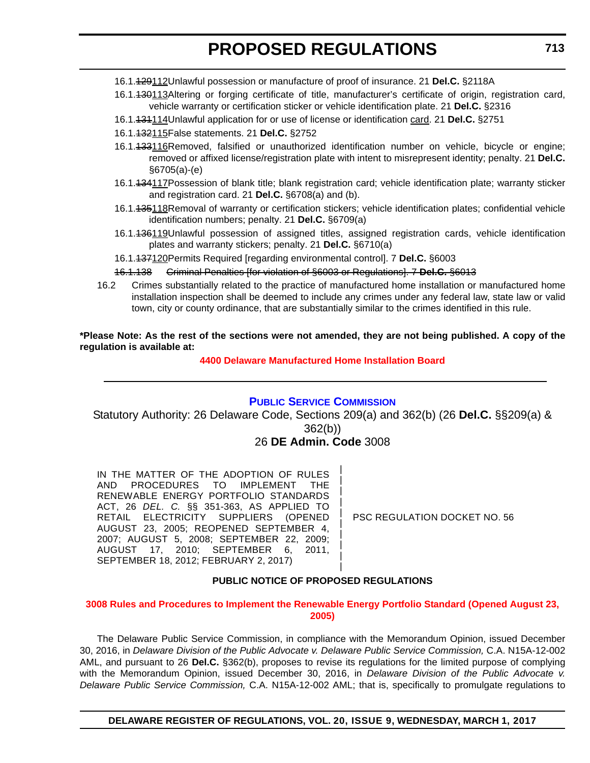- <span id="page-46-0"></span>16.1.129112Unlawful possession or manufacture of proof of insurance. 21 **Del.C.** §2118A
- 16.1.130113Altering or forging certificate of title, manufacturer's certificate of origin, registration card, vehicle warranty or certification sticker or vehicle identification plate. 21 **Del.C.** §2316
- 16.1.131114Unlawful application for or use of license or identification card. 21 **Del.C.** §2751
- 16.1.132115False statements. 21 **Del.C.** §2752
- 16.1.133116Removed, falsified or unauthorized identification number on vehicle, bicycle or engine; removed or affixed license/registration plate with intent to misrepresent identity; penalty. 21 **Del.C.** §6705(a)-(e)
- 16.1.434117Possession of blank title; blank registration card; vehicle identification plate; warranty sticker and registration card. 21 **Del.C.** §6708(a) and (b).
- 16.1.135118Removal of warranty or certification stickers; vehicle identification plates; confidential vehicle identification numbers; penalty. 21 **Del.C.** §6709(a)
- 16.1.<del>136119</del>Unlawful possession of assigned titles, assigned registration cards, vehicle identification plates and warranty stickers; penalty. 21 **Del.C.** §6710(a)
- 16.1.137120Permits Required [regarding environmental control]. 7 **Del.C.** §6003

#### 16.1.138 Criminal Penalties [for violation of §6003 or Regulations]. 7 **Del.C.** §6013

16.2 Crimes substantially related to the practice of manufactured home installation or manufactured home installation inspection shall be deemed to include any crimes under any federal law, state law or valid town, city or county ordinance, that are substantially similar to the crimes identified in this rule.

**\*Please Note: As the rest of the sections were not amended, they are not being published. A copy of the regulation is available at:**

#### **[4400 Delaware Manufactured Home Installation Board](http://regulations.delaware.gov/register/march2017/proposed/20 DE Reg 710 03-01-17.htm)**

#### **[PUBLIC SERVICE COMMISSION](http://depsc.delaware.gov/)**

Statutory Authority: 26 Delaware Code, Sections 209(a) and 362(b) (26 **Del.C.** §§209(a) & 362(b))

### 26 **DE Admin. Code** 3008

| | | | | | | | | |

IN THE MATTER OF THE ADOPTION OF RULES AND PROCEDURES TO IMPLEMENT THE RENEWABLE ENERGY PORTFOLIO STANDARDS ACT, 26 *DEL. C.* §§ 351-363, AS APPLIED TO RETAIL ELECTRICITY SUPPLIERS (OPENED AUGUST 23, 2005; REOPENED SEPTEMBER 4, 2007; AUGUST 5, 2008; SEPTEMBER 22, 2009; AUGUST 17, 2010; SEPTEMBER 6, 2011, SEPTEMBER 18, 2012; FEBRUARY 2, 2017)

PSC REGULATION DOCKET NO. 56

#### **PUBLIC NOTICE OF PROPOSED REGULATIONS**

**[3008 Rules and Procedures to Implement the Renewable Energy Portfolio Standard \(Opened August 23,](#page-3-0)  2005)**

The Delaware Public Service Commission, in compliance with the Memorandum Opinion, issued December 30, 2016, in *Delaware Division of the Public Advocate v. Delaware Public Service Commission,* C.A. N15A-12-002 AML, and pursuant to 26 **Del.C.** §362(b), proposes to revise its regulations for the limited purpose of complying with the Memorandum Opinion, issued December 30, 2016, in *Delaware Division of the Public Advocate v. Delaware Public Service Commission,* C.A. N15A-12-002 AML; that is, specifically to promulgate regulations to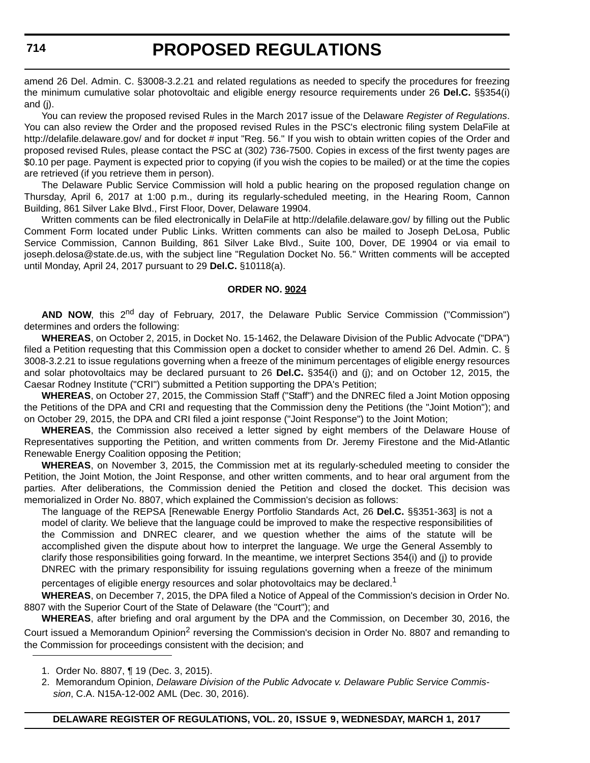amend 26 Del. Admin. C. §3008-3.2.21 and related regulations as needed to specify the procedures for freezing the minimum cumulative solar photovoltaic and eligible energy resource requirements under 26 **Del.C.** §§354(i) and (j).

You can review the proposed revised Rules in the March 2017 issue of the Delaware *Register of Regulations*. You can also review the Order and the proposed revised Rules in the PSC's electronic filing system DelaFile at http://delafile.delaware.gov/ and for docket # input "Reg. 56." If you wish to obtain written copies of the Order and proposed revised Rules, please contact the PSC at (302) 736-7500. Copies in excess of the first twenty pages are \$0.10 per page. Payment is expected prior to copying (if you wish the copies to be mailed) or at the time the copies are retrieved (if you retrieve them in person).

The Delaware Public Service Commission will hold a public hearing on the proposed regulation change on Thursday, April 6, 2017 at 1:00 p.m., during its regularly-scheduled meeting, in the Hearing Room, Cannon Building, 861 Silver Lake Blvd., First Floor, Dover, Delaware 19904.

Written comments can be filed electronically in DelaFile at http://delafile.delaware.gov/ by filling out the Public Comment Form located under Public Links. Written comments can also be mailed to Joseph DeLosa, Public Service Commission, Cannon Building, 861 Silver Lake Blvd., Suite 100, Dover, DE 19904 or via email to joseph.delosa@state.de.us, with the subject line "Regulation Docket No. 56." Written comments will be accepted until Monday, April 24, 2017 pursuant to 29 **Del.C.** §10118(a).

#### **ORDER NO. 9024**

AND NOW, this 2<sup>nd</sup> day of February, 2017, the Delaware Public Service Commission ("Commission") determines and orders the following:

**WHEREAS**, on October 2, 2015, in Docket No. 15-1462, the Delaware Division of the Public Advocate ("DPA") filed a Petition requesting that this Commission open a docket to consider whether to amend 26 Del. Admin. C. § 3008-3.2.21 to issue regulations governing when a freeze of the minimum percentages of eligible energy resources and solar photovoltaics may be declared pursuant to 26 **Del.C.** §354(i) and (j); and on October 12, 2015, the Caesar Rodney Institute ("CRI") submitted a Petition supporting the DPA's Petition;

**WHEREAS**, on October 27, 2015, the Commission Staff ("Staff") and the DNREC filed a Joint Motion opposing the Petitions of the DPA and CRI and requesting that the Commission deny the Petitions (the "Joint Motion"); and on October 29, 2015, the DPA and CRI filed a joint response ("Joint Response") to the Joint Motion;

**WHEREAS**, the Commission also received a letter signed by eight members of the Delaware House of Representatives supporting the Petition, and written comments from Dr. Jeremy Firestone and the Mid-Atlantic Renewable Energy Coalition opposing the Petition;

**WHEREAS**, on November 3, 2015, the Commission met at its regularly-scheduled meeting to consider the Petition, the Joint Motion, the Joint Response, and other written comments, and to hear oral argument from the parties. After deliberations, the Commission denied the Petition and closed the docket. This decision was memorialized in Order No. 8807, which explained the Commission's decision as follows:

The language of the REPSA [Renewable Energy Portfolio Standards Act, 26 **Del.C.** §§351-363] is not a model of clarity. We believe that the language could be improved to make the respective responsibilities of the Commission and DNREC clearer, and we question whether the aims of the statute will be accomplished given the dispute about how to interpret the language. We urge the General Assembly to clarify those responsibilities going forward. In the meantime, we interpret Sections 354(i) and (j) to provide DNREC with the primary responsibility for issuing regulations governing when a freeze of the minimum

percentages of eligible energy resources and solar photovoltaics may be declared.<sup>1</sup>

**WHEREAS**, on December 7, 2015, the DPA filed a Notice of Appeal of the Commission's decision in Order No. 8807 with the Superior Court of the State of Delaware (the "Court"); and

**WHEREAS**, after briefing and oral argument by the DPA and the Commission, on December 30, 2016, the Court issued a Memorandum Opinion<sup>2</sup> reversing the Commission's decision in Order No. 8807 and remanding to the Commission for proceedings consistent with the decision; and

2. Memorandum Opinion, *Delaware Division of the Public Advocate v. Delaware Public Service Commission*, C.A. N15A-12-002 AML (Dec. 30, 2016).

<sup>1.</sup> Order No. 8807, ¶ 19 (Dec. 3, 2015).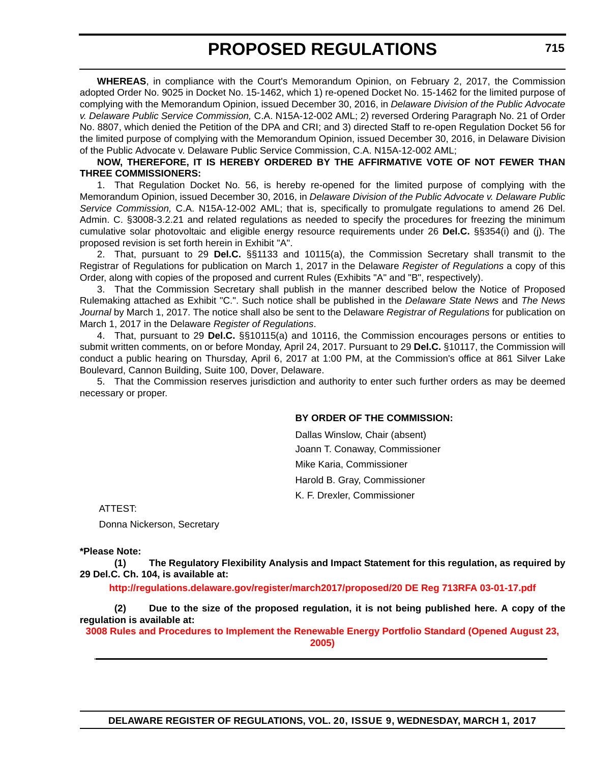**WHEREAS**, in compliance with the Court's Memorandum Opinion, on February 2, 2017, the Commission adopted Order No. 9025 in Docket No. 15-1462, which 1) re-opened Docket No. 15-1462 for the limited purpose of complying with the Memorandum Opinion, issued December 30, 2016, in *Delaware Division of the Public Advocate v. Delaware Public Service Commission,* C.A. N15A-12-002 AML; 2) reversed Ordering Paragraph No. 21 of Order No. 8807, which denied the Petition of the DPA and CRI; and 3) directed Staff to re-open Regulation Docket 56 for the limited purpose of complying with the Memorandum Opinion, issued December 30, 2016, in Delaware Division of the Public Advocate v. Delaware Public Service Commission, C.A. N15A-12-002 AML;

#### **NOW, THEREFORE, IT IS HEREBY ORDERED BY THE AFFIRMATIVE VOTE OF NOT FEWER THAN THREE COMMISSIONERS:**

1. That Regulation Docket No. 56, is hereby re-opened for the limited purpose of complying with the Memorandum Opinion, issued December 30, 2016, in *Delaware Division of the Public Advocate v. Delaware Public Service Commission,* C.A. N15A-12-002 AML; that is, specifically to promulgate regulations to amend 26 Del. Admin. C. §3008-3.2.21 and related regulations as needed to specify the procedures for freezing the minimum cumulative solar photovoltaic and eligible energy resource requirements under 26 **Del.C.** §§354(i) and (j). The proposed revision is set forth herein in Exhibit "A".

2. That, pursuant to 29 **Del.C.** §§1133 and 10115(a), the Commission Secretary shall transmit to the Registrar of Regulations for publication on March 1, 2017 in the Delaware *Register of Regulations* a copy of this Order, along with copies of the proposed and current Rules (Exhibits "A" and "B", respectively).

3. That the Commission Secretary shall publish in the manner described below the Notice of Proposed Rulemaking attached as Exhibit "C.". Such notice shall be published in the *Delaware State News* and *The News Journal* by March 1, 2017. The notice shall also be sent to the Delaware *Registrar of Regulations* for publication on March 1, 2017 in the Delaware *Register of Regulations*.

4. That, pursuant to 29 **Del.C.** §§10115(a) and 10116, the Commission encourages persons or entities to submit written comments, on or before Monday, April 24, 2017. Pursuant to 29 **Del.C.** §10117, the Commission will conduct a public hearing on Thursday, April 6, 2017 at 1:00 PM, at the Commission's office at 861 Silver Lake Boulevard, Cannon Building, Suite 100, Dover, Delaware.

5. That the Commission reserves jurisdiction and authority to enter such further orders as may be deemed necessary or proper.

#### **BY ORDER OF THE COMMISSION:**

Dallas Winslow, Chair (absent) Joann T. Conaway, Commissioner Mike Karia, Commissioner Harold B. Gray, Commissioner K. F. Drexler, Commissioner

ATTEST:

Donna Nickerson, Secretary

#### **\*Please Note:**

**(1) The Regulatory Flexibility Analysis and Impact Statement for this regulation, as required by 29 Del.C. Ch. 104, is available at:**

**<http://regulations.delaware.gov/register/march2017/proposed/20 DE Reg 713RFA 03-01-17.pdf>**

**(2) Due to the size of the proposed regulation, it is not being published here. A copy of the regulation is available at:**

**[3008 Rules and Procedures to Implement the Renewable Energy Portfolio Standard \(Opened August 23,](http://regulations.delaware.gov/register/march2017/proposed/20 DE Reg 713 03-01-17.htm)  2005)**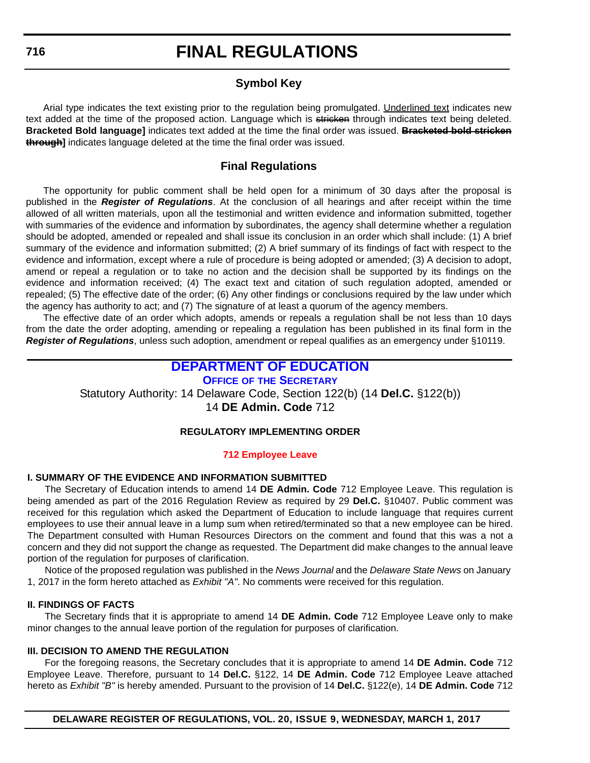### **Symbol Key**

<span id="page-49-0"></span>Arial type indicates the text existing prior to the regulation being promulgated. Underlined text indicates new text added at the time of the proposed action. Language which is stricken through indicates text being deleted. **Bracketed Bold language]** indicates text added at the time the final order was issued. **Bracketed bold stricken through]** indicates language deleted at the time the final order was issued.

### **Final Regulations**

The opportunity for public comment shall be held open for a minimum of 30 days after the proposal is published in the *Register of Regulations*. At the conclusion of all hearings and after receipt within the time allowed of all written materials, upon all the testimonial and written evidence and information submitted, together with summaries of the evidence and information by subordinates, the agency shall determine whether a regulation should be adopted, amended or repealed and shall issue its conclusion in an order which shall include: (1) A brief summary of the evidence and information submitted; (2) A brief summary of its findings of fact with respect to the evidence and information, except where a rule of procedure is being adopted or amended; (3) A decision to adopt, amend or repeal a regulation or to take no action and the decision shall be supported by its findings on the evidence and information received; (4) The exact text and citation of such regulation adopted, amended or repealed; (5) The effective date of the order; (6) Any other findings or conclusions required by the law under which the agency has authority to act; and (7) The signature of at least a quorum of the agency members.

The effective date of an order which adopts, amends or repeals a regulation shall be not less than 10 days from the date the order adopting, amending or repealing a regulation has been published in its final form in the *Register of Regulations*, unless such adoption, amendment or repeal qualifies as an emergency under §10119.

### **[DEPARTMENT OF EDUCATION](http://www.doe.k12.de.us/)**

**OFFICE OF [THE SECRETARY](https://pubapps.doe.k12.de.us/EducationalDirectoryPublic/pages/DDOE/Branches.aspx?page=branches&BID=1)** Statutory Authority: 14 Delaware Code, Section 122(b) (14 **Del.C.** §122(b)) 14 **DE Admin. Code** 712

#### **REGULATORY IMPLEMENTING ORDER**

#### **[712 Employee Leave](#page-4-0)**

#### **I. SUMMARY OF THE EVIDENCE AND INFORMATION SUBMITTED**

The Secretary of Education intends to amend 14 **DE Admin. Code** 712 Employee Leave. This regulation is being amended as part of the 2016 Regulation Review as required by 29 **Del.C.** §10407. Public comment was received for this regulation which asked the Department of Education to include language that requires current employees to use their annual leave in a lump sum when retired/terminated so that a new employee can be hired. The Department consulted with Human Resources Directors on the comment and found that this was a not a concern and they did not support the change as requested. The Department did make changes to the annual leave portion of the regulation for purposes of clarification.

Notice of the proposed regulation was published in the *News Journal* and the *Delaware State News* on January 1, 2017 in the form hereto attached as *Exhibit "A"*. No comments were received for this regulation.

#### **II. FINDINGS OF FACTS**

The Secretary finds that it is appropriate to amend 14 **DE Admin. Code** 712 Employee Leave only to make minor changes to the annual leave portion of the regulation for purposes of clarification.

#### **III. DECISION TO AMEND THE REGULATION**

For the foregoing reasons, the Secretary concludes that it is appropriate to amend 14 **DE Admin. Code** 712 Employee Leave. Therefore, pursuant to 14 **Del.C.** §122, 14 **DE Admin. Code** 712 Employee Leave attached hereto as *Exhibit "B"* is hereby amended. Pursuant to the provision of 14 **Del.C.** §122(e), 14 **DE Admin. Code** 712

**DELAWARE REGISTER OF REGULATIONS, VOL. 20, ISSUE 9, WEDNESDAY, MARCH 1, 2017**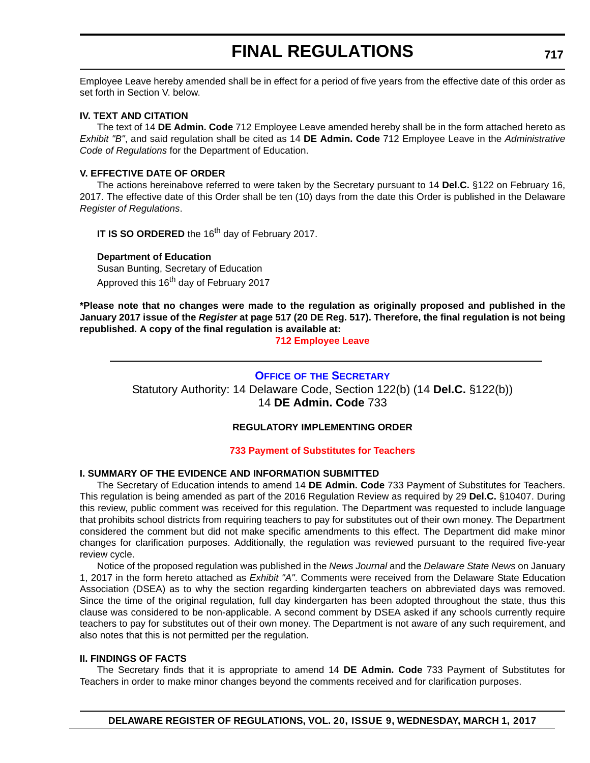<span id="page-50-0"></span>Employee Leave hereby amended shall be in effect for a period of five years from the effective date of this order as set forth in Section V. below.

#### **IV. TEXT AND CITATION**

The text of 14 **DE Admin. Code** 712 Employee Leave amended hereby shall be in the form attached hereto as *Exhibit "B"*, and said regulation shall be cited as 14 **DE Admin. Code** 712 Employee Leave in the *Administrative Code of Regulations* for the Department of Education.

#### **V. EFFECTIVE DATE OF ORDER**

The actions hereinabove referred to were taken by the Secretary pursuant to 14 **Del.C.** §122 on February 16, 2017. The effective date of this Order shall be ten (10) days from the date this Order is published in the Delaware *Register of Regulations*.

**IT IS SO ORDERED** the 16<sup>th</sup> day of February 2017.

#### **Department of Education**

Susan Bunting, Secretary of Education Approved this 16<sup>th</sup> day of February 2017

**\*Please note that no changes were made to the regulation as originally proposed and published in the January 2017 issue of the** *Register* **at page 517 (20 DE Reg. 517). Therefore, the final regulation is not being republished. A copy of the final regulation is available at:**

**[712 Employee Leave](http://regulations.delaware.gov/register/march2017/final/20 DE Reg 716 03-01-17.htm)**

#### **OFFICE OF [THE SECRETARY](https://pubapps.doe.k12.de.us/EducationalDirectoryPublic/pages/DDOE/Branches.aspx?page=branches&BID=1)**

Statutory Authority: 14 Delaware Code, Section 122(b) (14 **Del.C.** §122(b)) 14 **DE Admin. Code** 733

#### **REGULATORY IMPLEMENTING ORDER**

#### **[733 Payment of Substitutes for Teachers](#page-4-0)**

#### **I. SUMMARY OF THE EVIDENCE AND INFORMATION SUBMITTED**

The Secretary of Education intends to amend 14 **DE Admin. Code** 733 Payment of Substitutes for Teachers. This regulation is being amended as part of the 2016 Regulation Review as required by 29 **Del.C.** §10407. During this review, public comment was received for this regulation. The Department was requested to include language that prohibits school districts from requiring teachers to pay for substitutes out of their own money. The Department considered the comment but did not make specific amendments to this effect. The Department did make minor changes for clarification purposes. Additionally, the regulation was reviewed pursuant to the required five-year review cycle.

Notice of the proposed regulation was published in the *News Journal* and the *Delaware State News* on January 1, 2017 in the form hereto attached as *Exhibit "A"*. Comments were received from the Delaware State Education Association (DSEA) as to why the section regarding kindergarten teachers on abbreviated days was removed. Since the time of the original regulation, full day kindergarten has been adopted throughout the state, thus this clause was considered to be non-applicable. A second comment by DSEA asked if any schools currently require teachers to pay for substitutes out of their own money. The Department is not aware of any such requirement, and also notes that this is not permitted per the regulation.

#### **II. FINDINGS OF FACTS**

The Secretary finds that it is appropriate to amend 14 **DE Admin. Code** 733 Payment of Substitutes for Teachers in order to make minor changes beyond the comments received and for clarification purposes.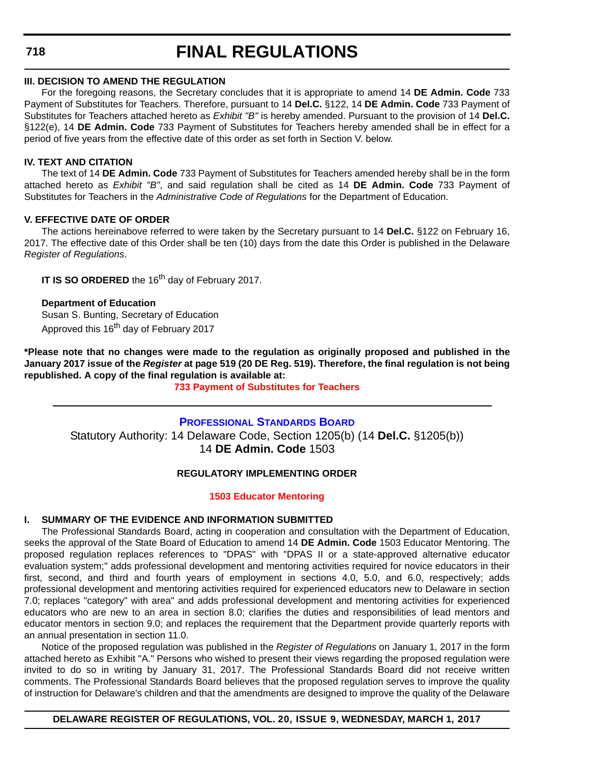<span id="page-51-0"></span>**718**

# **FINAL REGULATIONS**

#### **III. DECISION TO AMEND THE REGULATION**

For the foregoing reasons, the Secretary concludes that it is appropriate to amend 14 **DE Admin. Code** 733 Payment of Substitutes for Teachers. Therefore, pursuant to 14 **Del.C.** §122, 14 **DE Admin. Code** 733 Payment of Substitutes for Teachers attached hereto as *Exhibit "B"* is hereby amended. Pursuant to the provision of 14 **Del.C.** §122(e), 14 **DE Admin. Code** 733 Payment of Substitutes for Teachers hereby amended shall be in effect for a period of five years from the effective date of this order as set forth in Section V. below.

#### **IV. TEXT AND CITATION**

The text of 14 **DE Admin. Code** 733 Payment of Substitutes for Teachers amended hereby shall be in the form attached hereto as *Exhibit "B"*, and said regulation shall be cited as 14 **DE Admin. Code** 733 Payment of Substitutes for Teachers in the *Administrative Code of Regulations* for the Department of Education.

#### **V. EFFECTIVE DATE OF ORDER**

The actions hereinabove referred to were taken by the Secretary pursuant to 14 **Del.C.** §122 on February 16, 2017. The effective date of this Order shall be ten (10) days from the date this Order is published in the Delaware *Register of Regulations*.

**IT IS SO ORDERED** the 16<sup>th</sup> day of February 2017.

**Department of Education** Susan S. Bunting, Secretary of Education Approved this 16<sup>th</sup> day of February 2017

**\*Please note that no changes were made to the regulation as originally proposed and published in the January 2017 issue of the** *Register* **at page 519 (20 DE Reg. 519). Therefore, the final regulation is not being republished. A copy of the final regulation is available at:**

**[733 Payment of Substitutes for Teachers](http://regulations.delaware.gov/register/march2017/final/20 DE Reg 717 03-01-17.htm)**

### **[PROFESSIONAL STANDARDS BOARD](https://pubapps.doe.k12.de.us/EducationalDirectoryPublic/pages/DDOE/WorkGroupStaff.aspx?page=branches&WGID=75&BID=1)** Statutory Authority: 14 Delaware Code, Section 1205(b) (14 **Del.C.** §1205(b)) 14 **DE Admin. Code** 1503

#### **REGULATORY IMPLEMENTING ORDER**

#### **[1503 Educator Mentoring](#page-4-0)**

#### **I. SUMMARY OF THE EVIDENCE AND INFORMATION SUBMITTED**

The Professional Standards Board, acting in cooperation and consultation with the Department of Education, seeks the approval of the State Board of Education to amend 14 **DE Admin. Code** 1503 Educator Mentoring. The proposed regulation replaces references to "DPAS" with "DPAS II or a state-approved alternative educator evaluation system;" adds professional development and mentoring activities required for novice educators in their first, second, and third and fourth years of employment in sections 4.0, 5.0, and 6.0, respectively; adds professional development and mentoring activities required for experienced educators new to Delaware in section 7.0; replaces "category" with area" and adds professional development and mentoring activities for experienced educators who are new to an area in section 8.0; clarifies the duties and responsibilities of lead mentors and educator mentors in section 9.0; and replaces the requirement that the Department provide quarterly reports with an annual presentation in section 11.0.

Notice of the proposed regulation was published in the *Register of Regulations* on January 1, 2017 in the form attached hereto as Exhibit "A." Persons who wished to present their views regarding the proposed regulation were invited to do so in writing by January 31, 2017. The Professional Standards Board did not receive written comments. The Professional Standards Board believes that the proposed regulation serves to improve the quality of instruction for Delaware's children and that the amendments are designed to improve the quality of the Delaware

**DELAWARE REGISTER OF REGULATIONS, VOL. 20, ISSUE 9, WEDNESDAY, MARCH 1, 2017**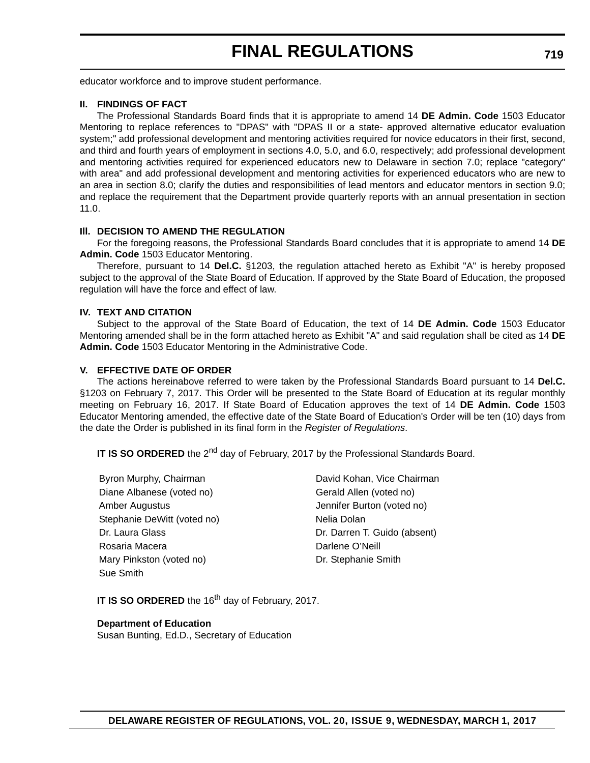educator workforce and to improve student performance.

#### **II. FINDINGS OF FACT**

The Professional Standards Board finds that it is appropriate to amend 14 **DE Admin. Code** 1503 Educator Mentoring to replace references to "DPAS" with "DPAS II or a state- approved alternative educator evaluation system;" add professional development and mentoring activities required for novice educators in their first, second, and third and fourth years of employment in sections 4.0, 5.0, and 6.0, respectively; add professional development and mentoring activities required for experienced educators new to Delaware in section 7.0; replace "category" with area" and add professional development and mentoring activities for experienced educators who are new to an area in section 8.0; clarify the duties and responsibilities of lead mentors and educator mentors in section 9.0; and replace the requirement that the Department provide quarterly reports with an annual presentation in section 11.0.

#### **Ill. DECISION TO AMEND THE REGULATION**

For the foregoing reasons, the Professional Standards Board concludes that it is appropriate to amend 14 **DE Admin. Code** 1503 Educator Mentoring.

Therefore, pursuant to 14 **Del.C.** §1203, the regulation attached hereto as Exhibit "A" is hereby proposed subject to the approval of the State Board of Education. If approved by the State Board of Education, the proposed regulation will have the force and effect of law.

#### **IV. TEXT AND CITATION**

Subject to the approval of the State Board of Education, the text of 14 **DE Admin. Code** 1503 Educator Mentoring amended shall be in the form attached hereto as Exhibit "A" and said regulation shall be cited as 14 **DE Admin. Code** 1503 Educator Mentoring in the Administrative Code.

#### **V. EFFECTIVE DATE OF ORDER**

The actions hereinabove referred to were taken by the Professional Standards Board pursuant to 14 **Del.C.** §1203 on February 7, 2017. This Order will be presented to the State Board of Education at its regular monthly meeting on February 16, 2017. If State Board of Education approves the text of 14 **DE Admin. Code** 1503 Educator Mentoring amended, the effective date of the State Board of Education's Order will be ten (10) days from the date the Order is published in its final form in the *Register of Regulations*.

**IT IS SO ORDERED** the 2<sup>nd</sup> day of February, 2017 by the Professional Standards Board.

Byron Murphy, Chairman **David Kohan, Vice Chairman** Diane Albanese (voted no) Gerald Allen (voted no) Amber Augustus **Amber Augustus** Jennifer Burton (voted no) Stephanie DeWitt (voted no) Nelia Dolan Rosaria Macera **Darlene O'Neill** Mary Pinkston (voted no) Dr. Stephanie Smith Sue Smith

Dr. Laura Glass Dr. Darren T. Guido (absent)

**IT IS SO ORDERED** the 16<sup>th</sup> day of February, 2017.

#### **Department of Education**

Susan Bunting, Ed.D., Secretary of Education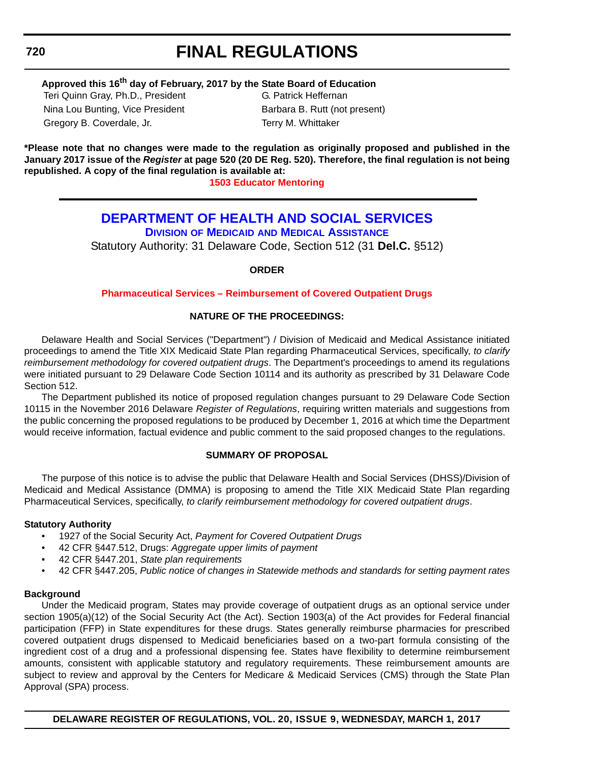#### <span id="page-53-0"></span>**720**

# **FINAL REGULATIONS**

### **Approved this 16th day of February, 2017 by the State Board of Education**

Teri Quinn Gray, Ph.D., President G. Patrick Heffernan Nina Lou Bunting, Vice President Barbara B. Rutt (not present) Gregory B. Coverdale, Jr. Terry M. Whittaker

**\*Please note that no changes were made to the regulation as originally proposed and published in the January 2017 issue of the** *Register* **at page 520 (20 DE Reg. 520). Therefore, the final regulation is not being republished. A copy of the final regulation is available at:**

**[1503 Educator Mentoring](http://regulations.delaware.gov/register/march2017/final/20 DE Reg 718 03-01-17.htm)**

### **[DEPARTMENT OF HEALTH AND SOCIAL SERVICES](http://www.dhss.delaware.gov/dhss/index.html)**

**DIVISION OF MEDICAID [AND MEDICAL ASSISTANCE](http://www.dhss.delaware.gov/dhss/dmma/)**

Statutory Authority: 31 Delaware Code, Section 512 (31 **Del.C.** §512)

**ORDER**

#### **[Pharmaceutical Services – Reimbursement of Covered Outpatient Drugs](#page-4-0)**

#### **NATURE OF THE PROCEEDINGS:**

Delaware Health and Social Services ("Department") / Division of Medicaid and Medical Assistance initiated proceedings to amend the Title XIX Medicaid State Plan regarding Pharmaceutical Services, specifically, *to clarify reimbursement methodology for covered outpatient drugs*. The Department's proceedings to amend its regulations were initiated pursuant to 29 Delaware Code Section 10114 and its authority as prescribed by 31 Delaware Code Section 512.

The Department published its notice of proposed regulation changes pursuant to 29 Delaware Code Section 10115 in the November 2016 Delaware *Register of Regulations*, requiring written materials and suggestions from the public concerning the proposed regulations to be produced by December 1, 2016 at which time the Department would receive information, factual evidence and public comment to the said proposed changes to the regulations.

#### **SUMMARY OF PROPOSAL**

The purpose of this notice is to advise the public that Delaware Health and Social Services (DHSS)/Division of Medicaid and Medical Assistance (DMMA) is proposing to amend the Title XIX Medicaid State Plan regarding Pharmaceutical Services, specifically, *to clarify reimbursement methodology for covered outpatient drugs*.

#### **Statutory Authority**

- 1927 of the Social Security Act, *Payment for Covered Outpatient Drugs*
- 42 CFR §447.512, Drugs: *Aggregate upper limits of payment*
- 42 CFR §447.201, *State plan requirements*
- 42 CFR §447.205, *Public notice of changes in Statewide methods and standards for setting payment rates*

#### **Background**

Under the Medicaid program, States may provide coverage of outpatient drugs as an optional service under section 1905(a)(12) of the Social Security Act (the Act). Section 1903(a) of the Act provides for Federal financial participation (FFP) in State expenditures for these drugs. States generally reimburse pharmacies for prescribed covered outpatient drugs dispensed to Medicaid beneficiaries based on a two-part formula consisting of the ingredient cost of a drug and a professional dispensing fee. States have flexibility to determine reimbursement amounts, consistent with applicable statutory and regulatory requirements. These reimbursement amounts are subject to review and approval by the Centers for Medicare & Medicaid Services (CMS) through the State Plan Approval (SPA) process.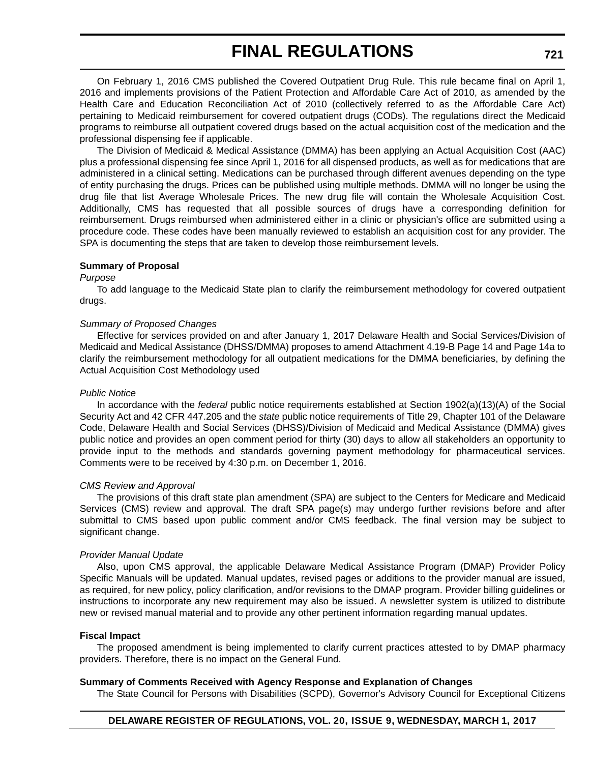On February 1, 2016 CMS published the Covered Outpatient Drug Rule. This rule became final on April 1, 2016 and implements provisions of the Patient Protection and Affordable Care Act of 2010, as amended by the Health Care and Education Reconciliation Act of 2010 (collectively referred to as the Affordable Care Act) pertaining to Medicaid reimbursement for covered outpatient drugs (CODs). The regulations direct the Medicaid programs to reimburse all outpatient covered drugs based on the actual acquisition cost of the medication and the professional dispensing fee if applicable.

The Division of Medicaid & Medical Assistance (DMMA) has been applying an Actual Acquisition Cost (AAC) plus a professional dispensing fee since April 1, 2016 for all dispensed products, as well as for medications that are administered in a clinical setting. Medications can be purchased through different avenues depending on the type of entity purchasing the drugs. Prices can be published using multiple methods. DMMA will no longer be using the drug file that list Average Wholesale Prices. The new drug file will contain the Wholesale Acquisition Cost. Additionally, CMS has requested that all possible sources of drugs have a corresponding definition for reimbursement. Drugs reimbursed when administered either in a clinic or physician's office are submitted using a procedure code. These codes have been manually reviewed to establish an acquisition cost for any provider. The SPA is documenting the steps that are taken to develop those reimbursement levels.

#### **Summary of Proposal**

#### *Purpose*

To add language to the Medicaid State plan to clarify the reimbursement methodology for covered outpatient drugs.

#### *Summary of Proposed Changes*

Effective for services provided on and after January 1, 2017 Delaware Health and Social Services/Division of Medicaid and Medical Assistance (DHSS/DMMA) proposes to amend Attachment 4.19-B Page 14 and Page 14a to clarify the reimbursement methodology for all outpatient medications for the DMMA beneficiaries, by defining the Actual Acquisition Cost Methodology used

#### *Public Notice*

In accordance with the *federal* public notice requirements established at Section 1902(a)(13)(A) of the Social Security Act and 42 CFR 447.205 and the *state* public notice requirements of Title 29, Chapter 101 of the Delaware Code, Delaware Health and Social Services (DHSS)/Division of Medicaid and Medical Assistance (DMMA) gives public notice and provides an open comment period for thirty (30) days to allow all stakeholders an opportunity to provide input to the methods and standards governing payment methodology for pharmaceutical services. Comments were to be received by 4:30 p.m. on December 1, 2016.

#### *CMS Review and Approval*

The provisions of this draft state plan amendment (SPA) are subject to the Centers for Medicare and Medicaid Services (CMS) review and approval. The draft SPA page(s) may undergo further revisions before and after submittal to CMS based upon public comment and/or CMS feedback. The final version may be subject to significant change.

#### *Provider Manual Update*

Also, upon CMS approval, the applicable Delaware Medical Assistance Program (DMAP) Provider Policy Specific Manuals will be updated. Manual updates, revised pages or additions to the provider manual are issued, as required, for new policy, policy clarification, and/or revisions to the DMAP program. Provider billing guidelines or instructions to incorporate any new requirement may also be issued. A newsletter system is utilized to distribute new or revised manual material and to provide any other pertinent information regarding manual updates.

#### **Fiscal Impact**

The proposed amendment is being implemented to clarify current practices attested to by DMAP pharmacy providers. Therefore, there is no impact on the General Fund.

#### **Summary of Comments Received with Agency Response and Explanation of Changes**

The State Council for Persons with Disabilities (SCPD), Governor's Advisory Council for Exceptional Citizens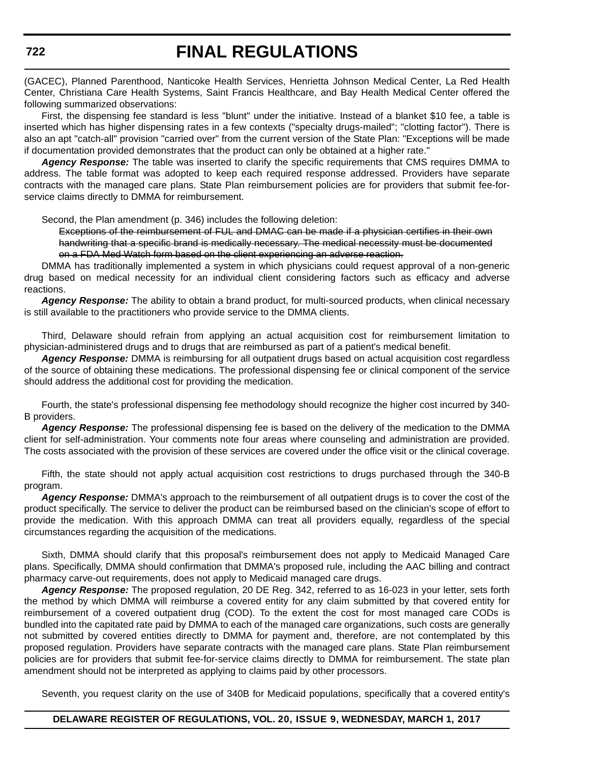(GACEC), Planned Parenthood, Nanticoke Health Services, Henrietta Johnson Medical Center, La Red Health Center, Christiana Care Health Systems, Saint Francis Healthcare, and Bay Health Medical Center offered the following summarized observations:

First, the dispensing fee standard is less "blunt" under the initiative. Instead of a blanket \$10 fee, a table is inserted which has higher dispensing rates in a few contexts ("specialty drugs-mailed"; "clotting factor"). There is also an apt "catch-all" provision "carried over" from the current version of the State Plan: "Exceptions will be made if documentation provided demonstrates that the product can only be obtained at a higher rate."

*Agency Response:* The table was inserted to clarify the specific requirements that CMS requires DMMA to address. The table format was adopted to keep each required response addressed. Providers have separate contracts with the managed care plans. State Plan reimbursement policies are for providers that submit fee-forservice claims directly to DMMA for reimbursement.

Second, the Plan amendment (p. 346) includes the following deletion:

Exceptions of the reimbursement of FUL and DMAC can be made if a physician certifies in their own handwriting that a specific brand is medically necessary. The medical necessity must be documented on a FDA Med Watch form based on the client experiencing an adverse reaction.

DMMA has traditionally implemented a system in which physicians could request approval of a non-generic drug based on medical necessity for an individual client considering factors such as efficacy and adverse reactions.

*Agency Response:* The ability to obtain a brand product, for multi-sourced products, when clinical necessary is still available to the practitioners who provide service to the DMMA clients.

Third, Delaware should refrain from applying an actual acquisition cost for reimbursement limitation to physician-administered drugs and to drugs that are reimbursed as part of a patient's medical benefit.

*Agency Response:* DMMA is reimbursing for all outpatient drugs based on actual acquisition cost regardless of the source of obtaining these medications. The professional dispensing fee or clinical component of the service should address the additional cost for providing the medication.

Fourth, the state's professional dispensing fee methodology should recognize the higher cost incurred by 340- B providers.

*Agency Response:* The professional dispensing fee is based on the delivery of the medication to the DMMA client for self-administration. Your comments note four areas where counseling and administration are provided. The costs associated with the provision of these services are covered under the office visit or the clinical coverage.

Fifth, the state should not apply actual acquisition cost restrictions to drugs purchased through the 340-B program.

*Agency Response:* DMMA's approach to the reimbursement of all outpatient drugs is to cover the cost of the product specifically. The service to deliver the product can be reimbursed based on the clinician's scope of effort to provide the medication. With this approach DMMA can treat all providers equally, regardless of the special circumstances regarding the acquisition of the medications.

Sixth, DMMA should clarify that this proposal's reimbursement does not apply to Medicaid Managed Care plans. Specifically, DMMA should confirmation that DMMA's proposed rule, including the AAC billing and contract pharmacy carve-out requirements, does not apply to Medicaid managed care drugs.

*Agency Response:* The proposed regulation, 20 DE Reg. 342, referred to as 16-023 in your letter, sets forth the method by which DMMA will reimburse a covered entity for any claim submitted by that covered entity for reimbursement of a covered outpatient drug (COD). To the extent the cost for most managed care CODs is bundled into the capitated rate paid by DMMA to each of the managed care organizations, such costs are generally not submitted by covered entities directly to DMMA for payment and, therefore, are not contemplated by this proposed regulation. Providers have separate contracts with the managed care plans. State Plan reimbursement policies are for providers that submit fee-for-service claims directly to DMMA for reimbursement. The state plan amendment should not be interpreted as applying to claims paid by other processors.

Seventh, you request clarity on the use of 340B for Medicaid populations, specifically that a covered entity's

#### **DELAWARE REGISTER OF REGULATIONS, VOL. 20, ISSUE 9, WEDNESDAY, MARCH 1, 2017**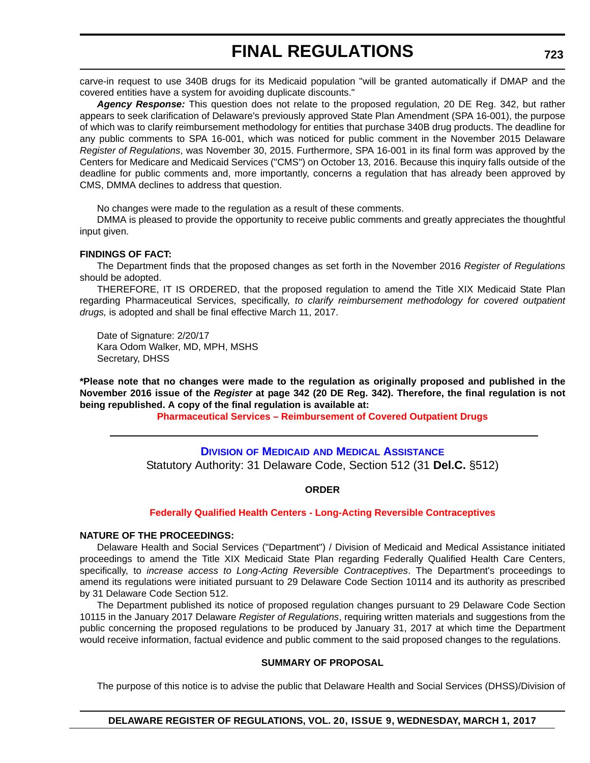<span id="page-56-0"></span>carve-in request to use 340B drugs for its Medicaid population "will be granted automatically if DMAP and the covered entities have a system for avoiding duplicate discounts."

*Agency Response:* This question does not relate to the proposed regulation, 20 DE Reg. 342, but rather appears to seek clarification of Delaware's previously approved State Plan Amendment (SPA 16-001), the purpose of which was to clarify reimbursement methodology for entities that purchase 340B drug products. The deadline for any public comments to SPA 16-001, which was noticed for public comment in the November 2015 Delaware *Register of Regulations*, was November 30, 2015. Furthermore, SPA 16-001 in its final form was approved by the Centers for Medicare and Medicaid Services ("CMS") on October 13, 2016. Because this inquiry falls outside of the deadline for public comments and, more importantly, concerns a regulation that has already been approved by CMS, DMMA declines to address that question.

No changes were made to the regulation as a result of these comments.

DMMA is pleased to provide the opportunity to receive public comments and greatly appreciates the thoughtful input given.

#### **FINDINGS OF FACT:**

The Department finds that the proposed changes as set forth in the November 2016 *Register of Regulations* should be adopted.

THEREFORE, IT IS ORDERED, that the proposed regulation to amend the Title XIX Medicaid State Plan regarding Pharmaceutical Services, specifically, *to clarify reimbursement methodology for covered outpatient drugs,* is adopted and shall be final effective March 11, 2017.

Date of Signature: 2/20/17 Kara Odom Walker, MD, MPH, MSHS Secretary, DHSS

**\*Please note that no changes were made to the regulation as originally proposed and published in the November 2016 issue of the** *Register* **at page 342 (20 DE Reg. 342). Therefore, the final regulation is not being republished. A copy of the final regulation is available at:**

**[Pharmaceutical Services – Reimbursement of Covered Outpatient Drugs](http://regulations.delaware.gov/register/march2017/final/20 DE Reg 720 03-01-17.htm)**

**DIVISION OF MEDICAID [AND MEDICAL ASSISTANCE](http://www.dhss.delaware.gov/dhss/dmma/)** Statutory Authority: 31 Delaware Code, Section 512 (31 **Del.C.** §512)

#### **ORDER**

#### **[Federally Qualified Health Centers - Long-Acting Reversible Contraceptives](#page-4-0)**

#### **NATURE OF THE PROCEEDINGS:**

Delaware Health and Social Services ("Department") / Division of Medicaid and Medical Assistance initiated proceedings to amend the Title XIX Medicaid State Plan regarding Federally Qualified Health Care Centers, specifically, to *increase access to Long-Acting Reversible Contraceptives*. The Department's proceedings to amend its regulations were initiated pursuant to 29 Delaware Code Section 10114 and its authority as prescribed by 31 Delaware Code Section 512.

The Department published its notice of proposed regulation changes pursuant to 29 Delaware Code Section 10115 in the January 2017 Delaware *Register of Regulations*, requiring written materials and suggestions from the public concerning the proposed regulations to be produced by January 31, 2017 at which time the Department would receive information, factual evidence and public comment to the said proposed changes to the regulations.

#### **SUMMARY OF PROPOSAL**

The purpose of this notice is to advise the public that Delaware Health and Social Services (DHSS)/Division of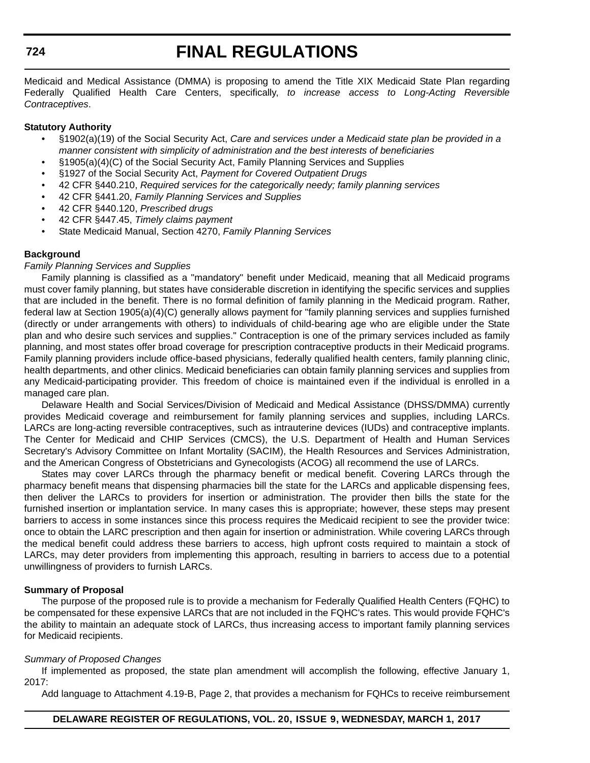#### **724**

# **FINAL REGULATIONS**

Medicaid and Medical Assistance (DMMA) is proposing to amend the Title XIX Medicaid State Plan regarding Federally Qualified Health Care Centers, specifically, *to increase access to Long-Acting Reversible Contraceptives*.

#### **Statutory Authority**

- §1902(a)(19) of the Social Security Act, *Care and services under a Medicaid state plan be provided in a manner consistent with simplicity of administration and the best interests of beneficiaries*
- §1905(a)(4)(C) of the Social Security Act, Family Planning Services and Supplies
- §1927 of the Social Security Act, *Payment for Covered Outpatient Drugs*
- 42 CFR §440.210, *Required services for the categorically needy; family planning services*
- 42 CFR §441.20, *Family Planning Services and Supplies*
- 42 CFR §440.120, *Prescribed drugs*
- 42 CFR §447.45, *Timely claims payment*
- State Medicaid Manual, Section 4270, *Family Planning Services*

#### **Background**

#### *Family Planning Services and Supplies*

Family planning is classified as a "mandatory" benefit under Medicaid, meaning that all Medicaid programs must cover family planning, but states have considerable discretion in identifying the specific services and supplies that are included in the benefit. There is no formal definition of family planning in the Medicaid program. Rather, federal law at Section 1905(a)(4)(C) generally allows payment for "family planning services and supplies furnished (directly or under arrangements with others) to individuals of child-bearing age who are eligible under the State plan and who desire such services and supplies." Contraception is one of the primary services included as family planning, and most states offer broad coverage for prescription contraceptive products in their Medicaid programs. Family planning providers include office-based physicians, federally qualified health centers, family planning clinic, health departments, and other clinics. Medicaid beneficiaries can obtain family planning services and supplies from any Medicaid-participating provider. This freedom of choice is maintained even if the individual is enrolled in a managed care plan.

Delaware Health and Social Services/Division of Medicaid and Medical Assistance (DHSS/DMMA) currently provides Medicaid coverage and reimbursement for family planning services and supplies, including LARCs. LARCs are long-acting reversible contraceptives, such as intrauterine devices (IUDs) and contraceptive implants. The Center for Medicaid and CHIP Services (CMCS), the U.S. Department of Health and Human Services Secretary's Advisory Committee on Infant Mortality (SACIM), the Health Resources and Services Administration, and the American Congress of Obstetricians and Gynecologists (ACOG) all recommend the use of LARCs.

States may cover LARCs through the pharmacy benefit or medical benefit. Covering LARCs through the pharmacy benefit means that dispensing pharmacies bill the state for the LARCs and applicable dispensing fees, then deliver the LARCs to providers for insertion or administration. The provider then bills the state for the furnished insertion or implantation service. In many cases this is appropriate; however, these steps may present barriers to access in some instances since this process requires the Medicaid recipient to see the provider twice: once to obtain the LARC prescription and then again for insertion or administration. While covering LARCs through the medical benefit could address these barriers to access, high upfront costs required to maintain a stock of LARCs, may deter providers from implementing this approach, resulting in barriers to access due to a potential unwillingness of providers to furnish LARCs.

#### **Summary of Proposal**

The purpose of the proposed rule is to provide a mechanism for Federally Qualified Health Centers (FQHC) to be compensated for these expensive LARCs that are not included in the FQHC's rates. This would provide FQHC's the ability to maintain an adequate stock of LARCs, thus increasing access to important family planning services for Medicaid recipients.

#### *Summary of Proposed Changes*

If implemented as proposed, the state plan amendment will accomplish the following, effective January 1, 2017:

Add language to Attachment 4.19-B, Page 2, that provides a mechanism for FQHCs to receive reimbursement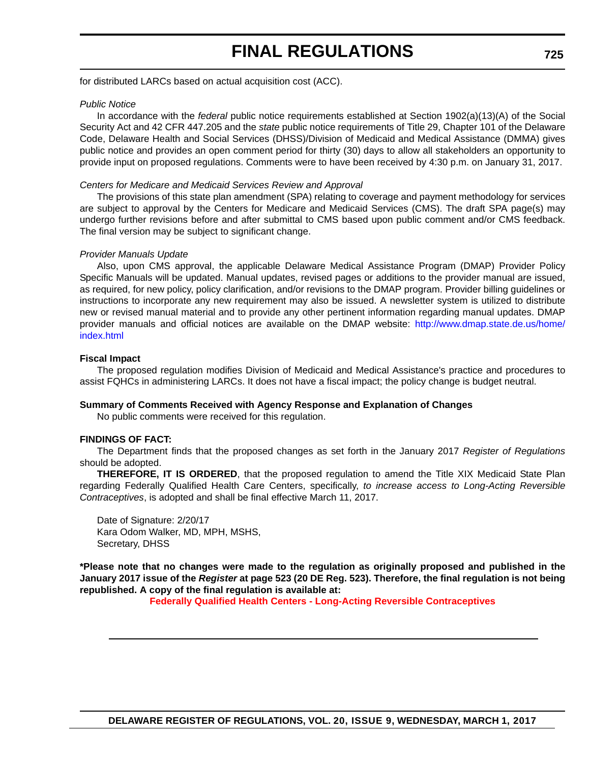for distributed LARCs based on actual acquisition cost (ACC).

#### *Public Notice*

In accordance with the *federal* public notice requirements established at Section 1902(a)(13)(A) of the Social Security Act and 42 CFR 447.205 and the *state* public notice requirements of Title 29, Chapter 101 of the Delaware Code, Delaware Health and Social Services (DHSS)/Division of Medicaid and Medical Assistance (DMMA) gives public notice and provides an open comment period for thirty (30) days to allow all stakeholders an opportunity to provide input on proposed regulations. Comments were to have been received by 4:30 p.m. on January 31, 2017.

#### *Centers for Medicare and Medicaid Services Review and Approval*

The provisions of this state plan amendment (SPA) relating to coverage and payment methodology for services are subject to approval by the Centers for Medicare and Medicaid Services (CMS). The draft SPA page(s) may undergo further revisions before and after submittal to CMS based upon public comment and/or CMS feedback. The final version may be subject to significant change.

#### *Provider Manuals Update*

Also, upon CMS approval, the applicable Delaware Medical Assistance Program (DMAP) Provider Policy Specific Manuals will be updated. Manual updates, revised pages or additions to the provider manual are issued, as required, for new policy, policy clarification, and/or revisions to the DMAP program. Provider billing guidelines or instructions to incorporate any new requirement may also be issued. A newsletter system is utilized to distribute new or revised manual material and to provide any other pertinent information regarding manual updates. DMAP provider manuals and official notices are available on the DMAP website: http://www.dmap.state.de.us/home/ index.html

#### **Fiscal Impact**

The proposed regulation modifies Division of Medicaid and Medical Assistance's practice and procedures to assist FQHCs in administering LARCs. It does not have a fiscal impact; the policy change is budget neutral.

#### **Summary of Comments Received with Agency Response and Explanation of Changes**

No public comments were received for this regulation.

#### **FINDINGS OF FACT:**

The Department finds that the proposed changes as set forth in the January 2017 *Register of Regulations* should be adopted.

**THEREFORE, IT IS ORDERED**, that the proposed regulation to amend the Title XIX Medicaid State Plan regarding Federally Qualified Health Care Centers, specifically, *to increase access to Long-Acting Reversible Contraceptives*, is adopted and shall be final effective March 11, 2017.

Date of Signature: 2/20/17 Kara Odom Walker, MD, MPH, MSHS, Secretary, DHSS

**\*Please note that no changes were made to the regulation as originally proposed and published in the January 2017 issue of the** *Register* **at page 523 (20 DE Reg. 523). Therefore, the final regulation is not being republished. A copy of the final regulation is available at:**

**[Federally Qualified Health Centers - Long-Acting Reversible Contraceptives](http://regulations.delaware.gov/register/march2017/final/20 DE Reg 723 03-01-17.htm)**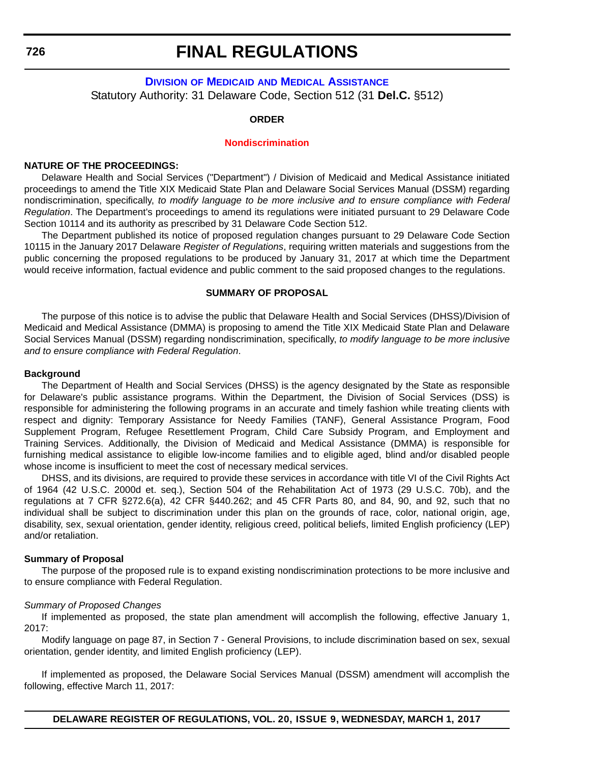<span id="page-59-0"></span>**726**

### **FINAL REGULATIONS**

#### **DIVISION OF MEDICAID [AND MEDICAL ASSISTANCE](http://www.dhss.delaware.gov/dhss/dmma/)** Statutory Authority: 31 Delaware Code, Section 512 (31 **Del.C.** §512)

#### **ORDER**

#### **[Nondiscrimination](#page-4-0)**

#### **NATURE OF THE PROCEEDINGS:**

Delaware Health and Social Services ("Department") / Division of Medicaid and Medical Assistance initiated proceedings to amend the Title XIX Medicaid State Plan and Delaware Social Services Manual (DSSM) regarding nondiscrimination, specifically, *to modify language to be more inclusive and to ensure compliance with Federal Regulation*. The Department's proceedings to amend its regulations were initiated pursuant to 29 Delaware Code Section 10114 and its authority as prescribed by 31 Delaware Code Section 512.

The Department published its notice of proposed regulation changes pursuant to 29 Delaware Code Section 10115 in the January 2017 Delaware *Register of Regulations*, requiring written materials and suggestions from the public concerning the proposed regulations to be produced by January 31, 2017 at which time the Department would receive information, factual evidence and public comment to the said proposed changes to the regulations.

#### **SUMMARY OF PROPOSAL**

The purpose of this notice is to advise the public that Delaware Health and Social Services (DHSS)/Division of Medicaid and Medical Assistance (DMMA) is proposing to amend the Title XIX Medicaid State Plan and Delaware Social Services Manual (DSSM) regarding nondiscrimination, specifically, *to modify language to be more inclusive and to ensure compliance with Federal Regulation*.

#### **Background**

The Department of Health and Social Services (DHSS) is the agency designated by the State as responsible for Delaware's public assistance programs. Within the Department, the Division of Social Services (DSS) is responsible for administering the following programs in an accurate and timely fashion while treating clients with respect and dignity: Temporary Assistance for Needy Families (TANF), General Assistance Program, Food Supplement Program, Refugee Resettlement Program, Child Care Subsidy Program, and Employment and Training Services. Additionally, the Division of Medicaid and Medical Assistance (DMMA) is responsible for furnishing medical assistance to eligible low-income families and to eligible aged, blind and/or disabled people whose income is insufficient to meet the cost of necessary medical services.

DHSS, and its divisions, are required to provide these services in accordance with title VI of the Civil Rights Act of 1964 (42 U.S.C. 2000d et. seq.), Section 504 of the Rehabilitation Act of 1973 (29 U.S.C. 70b), and the regulations at 7 CFR §272.6(a), 42 CFR §440.262; and 45 CFR Parts 80, and 84, 90, and 92, such that no individual shall be subject to discrimination under this plan on the grounds of race, color, national origin, age, disability, sex, sexual orientation, gender identity, religious creed, political beliefs, limited English proficiency (LEP) and/or retaliation.

#### **Summary of Proposal**

The purpose of the proposed rule is to expand existing nondiscrimination protections to be more inclusive and to ensure compliance with Federal Regulation.

#### *Summary of Proposed Changes*

If implemented as proposed, the state plan amendment will accomplish the following, effective January 1, 2017:

Modify language on page 87, in Section 7 - General Provisions, to include discrimination based on sex, sexual orientation, gender identity, and limited English proficiency (LEP).

If implemented as proposed, the Delaware Social Services Manual (DSSM) amendment will accomplish the following, effective March 11, 2017:

**DELAWARE REGISTER OF REGULATIONS, VOL. 20, ISSUE 9, WEDNESDAY, MARCH 1, 2017**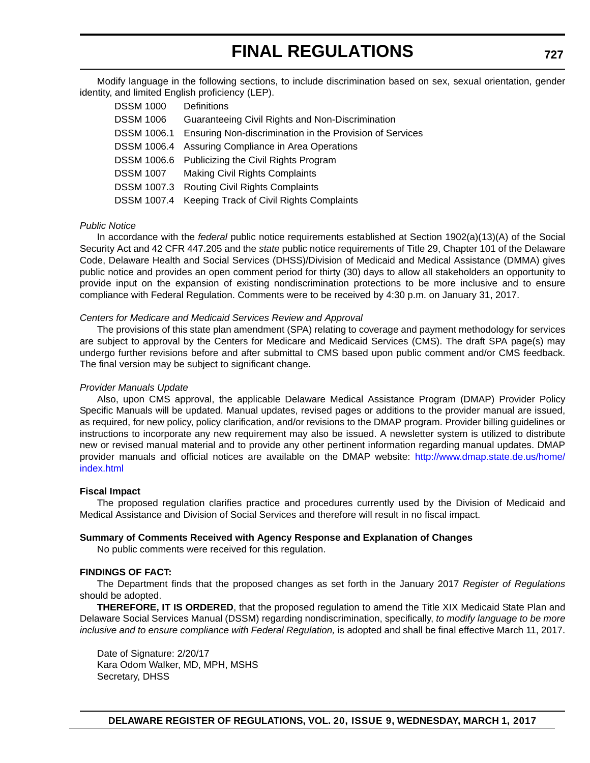Modify language in the following sections, to include discrimination based on sex, sexual orientation, gender identity, and limited English proficiency (LEP).

| <b>DSSM 1000</b>   | Definitions                                              |
|--------------------|----------------------------------------------------------|
| <b>DSSM 1006</b>   | Guaranteeing Civil Rights and Non-Discrimination         |
| <b>DSSM 1006.1</b> | Ensuring Non-discrimination in the Provision of Services |
| <b>DSSM 1006.4</b> | Assuring Compliance in Area Operations                   |
|                    | DSSM 1006.6 Publicizing the Civil Rights Program         |
| <b>DSSM 1007</b>   | <b>Making Civil Rights Complaints</b>                    |
| <b>DSSM 1007.3</b> | <b>Routing Civil Rights Complaints</b>                   |
|                    | DSSM 1007.4 Keeping Track of Civil Rights Complaints     |

#### *Public Notice*

In accordance with the *federal* public notice requirements established at Section 1902(a)(13)(A) of the Social Security Act and 42 CFR 447.205 and the *state* public notice requirements of Title 29, Chapter 101 of the Delaware Code, Delaware Health and Social Services (DHSS)/Division of Medicaid and Medical Assistance (DMMA) gives public notice and provides an open comment period for thirty (30) days to allow all stakeholders an opportunity to provide input on the expansion of existing nondiscrimination protections to be more inclusive and to ensure compliance with Federal Regulation. Comments were to be received by 4:30 p.m. on January 31, 2017.

#### *Centers for Medicare and Medicaid Services Review and Approval*

The provisions of this state plan amendment (SPA) relating to coverage and payment methodology for services are subject to approval by the Centers for Medicare and Medicaid Services (CMS). The draft SPA page(s) may undergo further revisions before and after submittal to CMS based upon public comment and/or CMS feedback. The final version may be subject to significant change.

#### *Provider Manuals Update*

Also, upon CMS approval, the applicable Delaware Medical Assistance Program (DMAP) Provider Policy Specific Manuals will be updated. Manual updates, revised pages or additions to the provider manual are issued, as required, for new policy, policy clarification, and/or revisions to the DMAP program. Provider billing guidelines or instructions to incorporate any new requirement may also be issued. A newsletter system is utilized to distribute new or revised manual material and to provide any other pertinent information regarding manual updates. DMAP provider manuals and official notices are available on the DMAP website: http://www.dmap.state.de.us/home/ index.html

#### **Fiscal Impact**

The proposed regulation clarifies practice and procedures currently used by the Division of Medicaid and Medical Assistance and Division of Social Services and therefore will result in no fiscal impact.

#### **Summary of Comments Received with Agency Response and Explanation of Changes**

No public comments were received for this regulation.

#### **FINDINGS OF FACT:**

The Department finds that the proposed changes as set forth in the January 2017 *Register of Regulations* should be adopted.

**THEREFORE, IT IS ORDERED**, that the proposed regulation to amend the Title XIX Medicaid State Plan and Delaware Social Services Manual (DSSM) regarding nondiscrimination, specifically, *to modify language to be more inclusive and to ensure compliance with Federal Regulation,* is adopted and shall be final effective March 11, 2017.

Date of Signature: 2/20/17 Kara Odom Walker, MD, MPH, MSHS Secretary, DHSS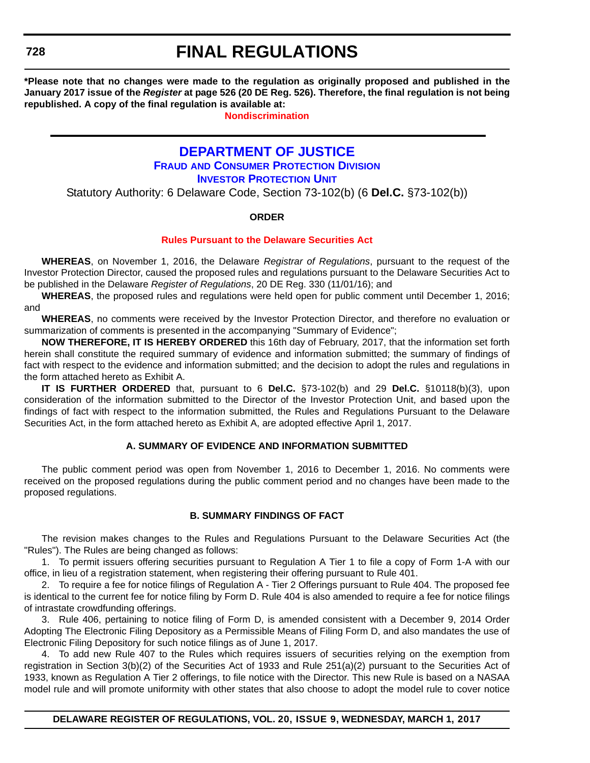<span id="page-61-0"></span>**\*Please note that no changes were made to the regulation as originally proposed and published in the January 2017 issue of the** *Register* **at page 526 (20 DE Reg. 526). Therefore, the final regulation is not being republished. A copy of the final regulation is available at:**

**[Nondiscrimination](http://regulations.delaware.gov/register/march2017/final/20 DE Reg 726 03-01-17.htm)**

### **[DEPARTMENT OF JUSTICE](http://attorneygeneral.delaware.gov/) FRAUD [AND CONSUMER PROTECTION DIVISION](http://attorneygeneral.delaware.gov/fraud/index.shtml) INVESTOR PROTECTION UNIT**

Statutory Authority: 6 Delaware Code, Section 73-102(b) (6 **Del.C.** §73-102(b))

#### **ORDER**

#### **[Rules Pursuant to the Delaware Securities Act](#page-4-0)**

**WHEREAS**, on November 1, 2016, the Delaware *Registrar of Regulations*, pursuant to the request of the Investor Protection Director, caused the proposed rules and regulations pursuant to the Delaware Securities Act to be published in the Delaware *Register of Regulations*, 20 DE Reg. 330 (11/01/16); and

**WHEREAS**, the proposed rules and regulations were held open for public comment until December 1, 2016; and

**WHEREAS**, no comments were received by the Investor Protection Director, and therefore no evaluation or summarization of comments is presented in the accompanying "Summary of Evidence";

**NOW THEREFORE, IT IS HEREBY ORDERED** this 16th day of February, 2017, that the information set forth herein shall constitute the required summary of evidence and information submitted; the summary of findings of fact with respect to the evidence and information submitted; and the decision to adopt the rules and regulations in the form attached hereto as Exhibit A.

**IT IS FURTHER ORDERED** that, pursuant to 6 **Del.C.** §73-102(b) and 29 **Del.C.** §10118(b)(3), upon consideration of the information submitted to the Director of the Investor Protection Unit, and based upon the findings of fact with respect to the information submitted, the Rules and Regulations Pursuant to the Delaware Securities Act, in the form attached hereto as Exhibit A, are adopted effective April 1, 2017.

#### **A. SUMMARY OF EVIDENCE AND INFORMATION SUBMITTED**

The public comment period was open from November 1, 2016 to December 1, 2016. No comments were received on the proposed regulations during the public comment period and no changes have been made to the proposed regulations.

#### **B. SUMMARY FINDINGS OF FACT**

The revision makes changes to the Rules and Regulations Pursuant to the Delaware Securities Act (the "Rules"). The Rules are being changed as follows:

1. To permit issuers offering securities pursuant to Regulation A Tier 1 to file a copy of Form 1-A with our office, in lieu of a registration statement, when registering their offering pursuant to Rule 401.

2. To require a fee for notice filings of Regulation A - Tier 2 Offerings pursuant to Rule 404. The proposed fee is identical to the current fee for notice filing by Form D. Rule 404 is also amended to require a fee for notice filings of intrastate crowdfunding offerings.

3. Rule 406, pertaining to notice filing of Form D, is amended consistent with a December 9, 2014 Order Adopting The Electronic Filing Depository as a Permissible Means of Filing Form D, and also mandates the use of Electronic Filing Depository for such notice filings as of June 1, 2017.

4. To add new Rule 407 to the Rules which requires issuers of securities relying on the exemption from registration in Section 3(b)(2) of the Securities Act of 1933 and Rule 251(a)(2) pursuant to the Securities Act of 1933, known as Regulation A Tier 2 offerings, to file notice with the Director. This new Rule is based on a NASAA model rule and will promote uniformity with other states that also choose to adopt the model rule to cover notice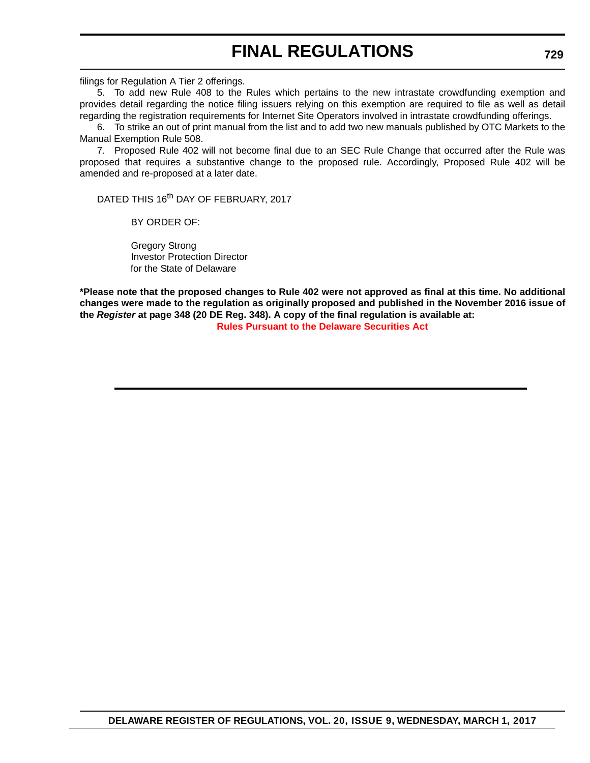filings for Regulation A Tier 2 offerings.

5. To add new Rule 408 to the Rules which pertains to the new intrastate crowdfunding exemption and provides detail regarding the notice filing issuers relying on this exemption are required to file as well as detail regarding the registration requirements for Internet Site Operators involved in intrastate crowdfunding offerings.

6. To strike an out of print manual from the list and to add two new manuals published by OTC Markets to the Manual Exemption Rule 508.

7. Proposed Rule 402 will not become final due to an SEC Rule Change that occurred after the Rule was proposed that requires a substantive change to the proposed rule. Accordingly, Proposed Rule 402 will be amended and re-proposed at a later date.

DATED THIS 16<sup>th</sup> DAY OF FEBRUARY, 2017

BY ORDER OF:

Gregory Strong Investor Protection Director for the State of Delaware

**\*Please note that the proposed changes to Rule 402 were not approved as final at this time. No additional changes were made to the regulation as originally proposed and published in the November 2016 issue of the** *Register* **at page 348 (20 DE Reg. 348). A copy of the final regulation is available at:**

**[Rules Pursuant to the Delaware Securities Act](http://regulations.delaware.gov/)**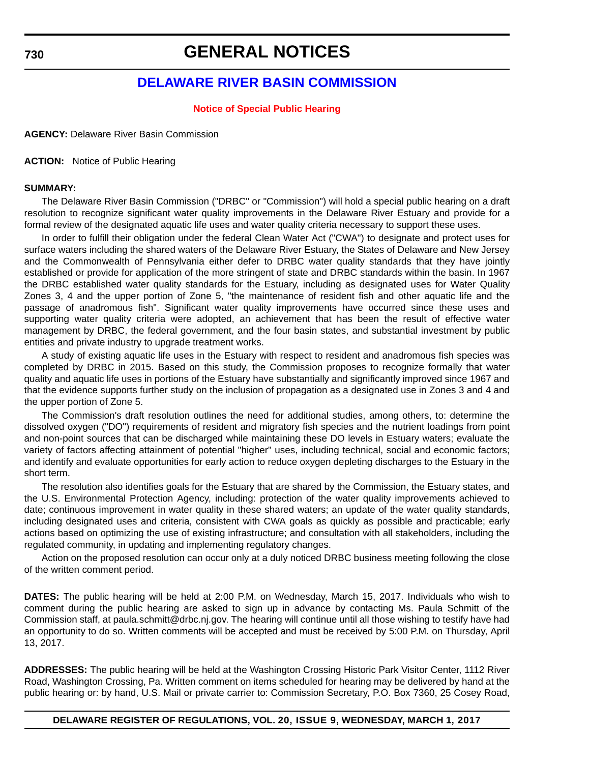### **GENERAL NOTICES**

### **[DELAWARE RIVER BASIN COMMISSION](http://www.state.nj.us/drbc/)**

#### **[Notice of Special Public Hearing](#page-4-0)**

<span id="page-63-0"></span>**AGENCY:** Delaware River Basin Commission

**ACTION:** Notice of Public Hearing

#### **SUMMARY:**

The Delaware River Basin Commission ("DRBC" or "Commission") will hold a special public hearing on a draft resolution to recognize significant water quality improvements in the Delaware River Estuary and provide for a formal review of the designated aquatic life uses and water quality criteria necessary to support these uses.

In order to fulfill their obligation under the federal Clean Water Act ("CWA") to designate and protect uses for surface waters including the shared waters of the Delaware River Estuary, the States of Delaware and New Jersey and the Commonwealth of Pennsylvania either defer to DRBC water quality standards that they have jointly established or provide for application of the more stringent of state and DRBC standards within the basin. In 1967 the DRBC established water quality standards for the Estuary, including as designated uses for Water Quality Zones 3, 4 and the upper portion of Zone 5, "the maintenance of resident fish and other aquatic life and the passage of anadromous fish". Significant water quality improvements have occurred since these uses and supporting water quality criteria were adopted, an achievement that has been the result of effective water management by DRBC, the federal government, and the four basin states, and substantial investment by public entities and private industry to upgrade treatment works.

A study of existing aquatic life uses in the Estuary with respect to resident and anadromous fish species was completed by DRBC in 2015. Based on this study, the Commission proposes to recognize formally that water quality and aquatic life uses in portions of the Estuary have substantially and significantly improved since 1967 and that the evidence supports further study on the inclusion of propagation as a designated use in Zones 3 and 4 and the upper portion of Zone 5.

The Commission's draft resolution outlines the need for additional studies, among others, to: determine the dissolved oxygen ("DO") requirements of resident and migratory fish species and the nutrient loadings from point and non-point sources that can be discharged while maintaining these DO levels in Estuary waters; evaluate the variety of factors affecting attainment of potential "higher" uses, including technical, social and economic factors; and identify and evaluate opportunities for early action to reduce oxygen depleting discharges to the Estuary in the short term.

The resolution also identifies goals for the Estuary that are shared by the Commission, the Estuary states, and the U.S. Environmental Protection Agency, including: protection of the water quality improvements achieved to date; continuous improvement in water quality in these shared waters; an update of the water quality standards, including designated uses and criteria, consistent with CWA goals as quickly as possible and practicable; early actions based on optimizing the use of existing infrastructure; and consultation with all stakeholders, including the regulated community, in updating and implementing regulatory changes.

Action on the proposed resolution can occur only at a duly noticed DRBC business meeting following the close of the written comment period.

**DATES:** The public hearing will be held at 2:00 P.M. on Wednesday, March 15, 2017. Individuals who wish to comment during the public hearing are asked to sign up in advance by contacting Ms. Paula Schmitt of the Commission staff, at paula.schmitt@drbc.nj.gov. The hearing will continue until all those wishing to testify have had an opportunity to do so. Written comments will be accepted and must be received by 5:00 P.M. on Thursday, April 13, 2017.

**ADDRESSES:** The public hearing will be held at the Washington Crossing Historic Park Visitor Center, 1112 River Road, Washington Crossing, Pa. Written comment on items scheduled for hearing may be delivered by hand at the public hearing or: by hand, U.S. Mail or private carrier to: Commission Secretary, P.O. Box 7360, 25 Cosey Road,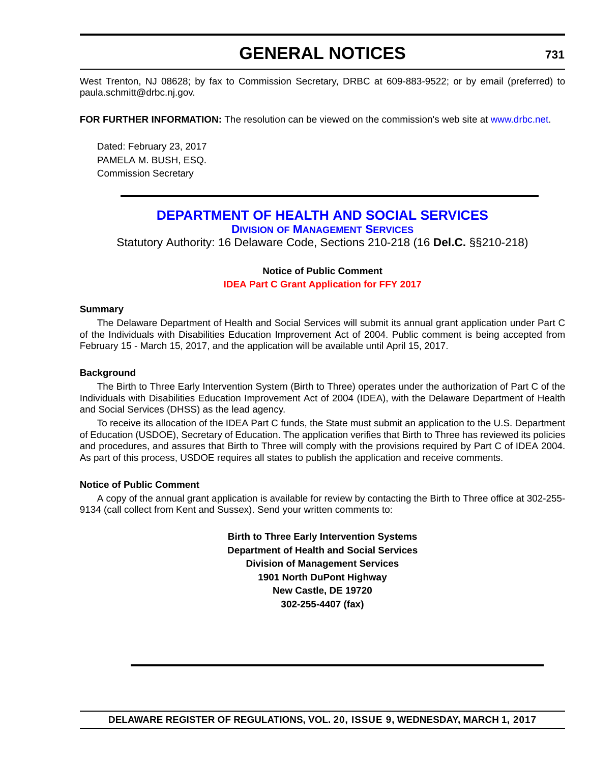# **GENERAL NOTICES**

<span id="page-64-0"></span>West Trenton, NJ 08628; by fax to Commission Secretary, DRBC at 609-883-9522; or by email (preferred) to paula.schmitt@drbc.nj.gov.

**FOR FURTHER INFORMATION:** The resolution can be viewed on the commission's web site at<www.drbc.net>.

Dated: February 23, 2017 PAMELA M. BUSH, ESQ. Commission Secretary

### **[DEPARTMENT OF HEALTH AND SOCIAL SERVICES](http://www.dhss.delaware.gov/dhss/index.html) DIVISION [OF MANAGEMENT SERVICES](http://www.dhss.delaware.gov/dhss/dms/)**

Statutory Authority: 16 Delaware Code, Sections 210-218 (16 **Del.C.** §§210-218)

#### **Notice of Public Comment [IDEA Part C Grant Application for FFY 2017](#page-4-0)**

#### **Summary**

The Delaware Department of Health and Social Services will submit its annual grant application under Part C of the Individuals with Disabilities Education Improvement Act of 2004. Public comment is being accepted from February 15 - March 15, 2017, and the application will be available until April 15, 2017.

#### **Background**

The Birth to Three Early Intervention System (Birth to Three) operates under the authorization of Part C of the Individuals with Disabilities Education Improvement Act of 2004 (IDEA), with the Delaware Department of Health and Social Services (DHSS) as the lead agency.

To receive its allocation of the IDEA Part C funds, the State must submit an application to the U.S. Department of Education (USDOE), Secretary of Education. The application verifies that Birth to Three has reviewed its policies and procedures, and assures that Birth to Three will comply with the provisions required by Part C of IDEA 2004. As part of this process, USDOE requires all states to publish the application and receive comments.

#### **Notice of Public Comment**

A copy of the annual grant application is available for review by contacting the Birth to Three office at 302-255- 9134 (call collect from Kent and Sussex). Send your written comments to:

> **Birth to Three Early Intervention Systems Department of Health and Social Services Division of Management Services 1901 North DuPont Highway New Castle, DE 19720 302-255-4407 (fax)**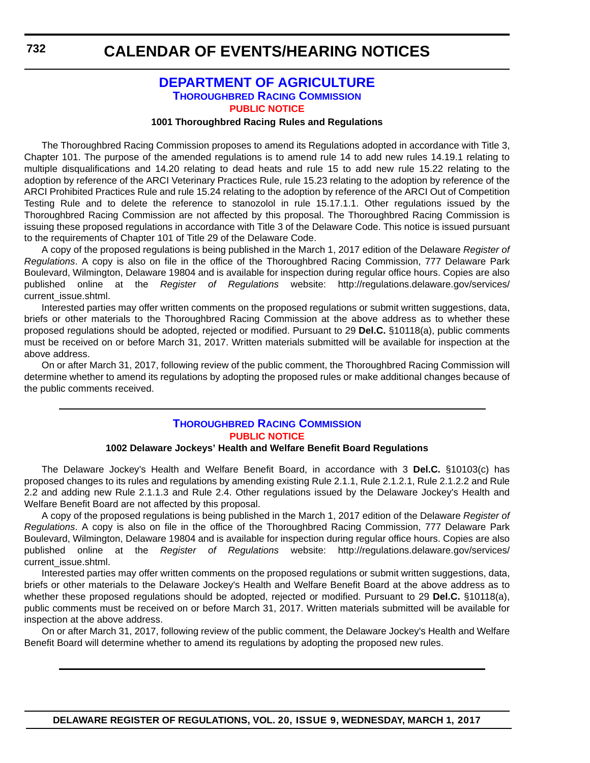#### **[DEPARTMENT OF AGRICULTURE](http://dda.delaware.gov/) [THOROUGHBRED RACING COMMISSION](http://dda.delaware.gov/thoroughbred/index.shtml) [PUBLIC NOTICE](#page-4-0)**

#### **1001 Thoroughbred Racing Rules and Regulations**

<span id="page-65-0"></span>The Thoroughbred Racing Commission proposes to amend its Regulations adopted in accordance with Title 3, Chapter 101. The purpose of the amended regulations is to amend rule 14 to add new rules 14.19.1 relating to multiple disqualifications and 14.20 relating to dead heats and rule 15 to add new rule 15.22 relating to the adoption by reference of the ARCI Veterinary Practices Rule, rule 15.23 relating to the adoption by reference of the ARCI Prohibited Practices Rule and rule 15.24 relating to the adoption by reference of the ARCI Out of Competition Testing Rule and to delete the reference to stanozolol in rule 15.17.1.1. Other regulations issued by the Thoroughbred Racing Commission are not affected by this proposal. The Thoroughbred Racing Commission is issuing these proposed regulations in accordance with Title 3 of the Delaware Code. This notice is issued pursuant to the requirements of Chapter 101 of Title 29 of the Delaware Code.

A copy of the proposed regulations is being published in the March 1, 2017 edition of the Delaware *Register of Regulations*. A copy is also on file in the office of the Thoroughbred Racing Commission, 777 Delaware Park Boulevard, Wilmington, Delaware 19804 and is available for inspection during regular office hours. Copies are also published online at the *Register of Regulations* website: http://regulations.delaware.gov/services/ current\_issue.shtml.

Interested parties may offer written comments on the proposed regulations or submit written suggestions, data, briefs or other materials to the Thoroughbred Racing Commission at the above address as to whether these proposed regulations should be adopted, rejected or modified. Pursuant to 29 **Del.C.** §10118(a), public comments must be received on or before March 31, 2017. Written materials submitted will be available for inspection at the above address.

On or after March 31, 2017, following review of the public comment, the Thoroughbred Racing Commission will determine whether to amend its regulations by adopting the proposed rules or make additional changes because of the public comments received.

### **[THOROUGHBRED RACING COMMISSION](http://dda.delaware.gov/thoroughbred/index.shtml) [PUBLIC NOTICE](#page-4-0)**

#### **1002 Delaware Jockeys' Health and Welfare Benefit Board Regulations**

The Delaware Jockey's Health and Welfare Benefit Board, in accordance with 3 **Del.C.** §10103(c) has proposed changes to its rules and regulations by amending existing Rule 2.1.1, Rule 2.1.2.1, Rule 2.1.2.2 and Rule 2.2 and adding new Rule 2.1.1.3 and Rule 2.4. Other regulations issued by the Delaware Jockey's Health and Welfare Benefit Board are not affected by this proposal.

A copy of the proposed regulations is being published in the March 1, 2017 edition of the Delaware *Register of Regulations*. A copy is also on file in the office of the Thoroughbred Racing Commission, 777 Delaware Park Boulevard, Wilmington, Delaware 19804 and is available for inspection during regular office hours. Copies are also published online at the *Register of Regulations* website: http://regulations.delaware.gov/services/ current\_issue.shtml.

Interested parties may offer written comments on the proposed regulations or submit written suggestions, data, briefs or other materials to the Delaware Jockey's Health and Welfare Benefit Board at the above address as to whether these proposed regulations should be adopted, rejected or modified. Pursuant to 29 **Del.C.** §10118(a), public comments must be received on or before March 31, 2017. Written materials submitted will be available for inspection at the above address.

On or after March 31, 2017, following review of the public comment, the Delaware Jockey's Health and Welfare Benefit Board will determine whether to amend its regulations by adopting the proposed new rules.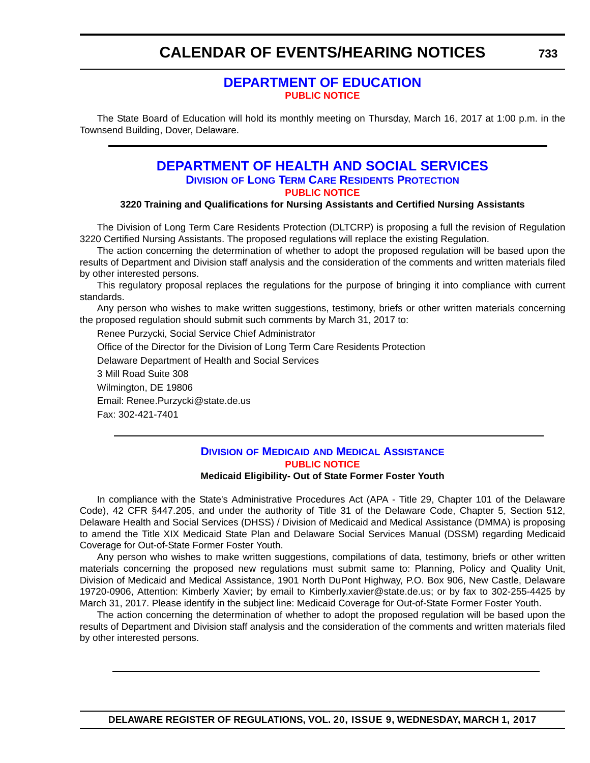### **[DEPARTMENT OF EDUCATION](http://www.doe.k12.de.us/) [PUBLIC NOTICE](#page-4-0)**

<span id="page-66-0"></span>The State Board of Education will hold its monthly meeting on Thursday, March 16, 2017 at 1:00 p.m. in the Townsend Building, Dover, Delaware.

### **[DEPARTMENT OF HEALTH AND SOCIAL SERVICES](http://www.dhss.delaware.gov/dhss/index.html) DIVISION [OF LONG TERM CARE RESIDENTS PROTECTION](http://www.dhss.delaware.gov/dhss/dltcrp/) [PUBLIC NOTICE](#page-4-0)**

#### **3220 Training and Qualifications for Nursing Assistants and Certified Nursing Assistants**

The Division of Long Term Care Residents Protection (DLTCRP) is proposing a full the revision of Regulation 3220 Certified Nursing Assistants. The proposed regulations will replace the existing Regulation.

The action concerning the determination of whether to adopt the proposed regulation will be based upon the results of Department and Division staff analysis and the consideration of the comments and written materials filed by other interested persons.

This regulatory proposal replaces the regulations for the purpose of bringing it into compliance with current standards.

Any person who wishes to make written suggestions, testimony, briefs or other written materials concerning the proposed regulation should submit such comments by March 31, 2017 to:

Renee Purzycki, Social Service Chief Administrator

Office of the Director for the Division of Long Term Care Residents Protection

Delaware Department of Health and Social Services

3 Mill Road Suite 308

Wilmington, DE 19806

Email: Renee.Purzycki@state.de.us

Fax: 302-421-7401

### **DIVISION OF MEDICAID [AND MEDICAL ASSISTANCE](http://www.dhss.delaware.gov/dhss/dmma/) [PUBLIC NOTICE](#page-4-0)**

#### **Medicaid Eligibility- Out of State Former Foster Youth**

In compliance with the State's Administrative Procedures Act (APA - Title 29, Chapter 101 of the Delaware Code), 42 CFR §447.205, and under the authority of Title 31 of the Delaware Code, Chapter 5, Section 512, Delaware Health and Social Services (DHSS) / Division of Medicaid and Medical Assistance (DMMA) is proposing to amend the Title XIX Medicaid State Plan and Delaware Social Services Manual (DSSM) regarding Medicaid Coverage for Out-of-State Former Foster Youth.

Any person who wishes to make written suggestions, compilations of data, testimony, briefs or other written materials concerning the proposed new regulations must submit same to: Planning, Policy and Quality Unit, Division of Medicaid and Medical Assistance, 1901 North DuPont Highway, P.O. Box 906, New Castle, Delaware 19720-0906, Attention: Kimberly Xavier; by email to Kimberly.xavier@state.de.us; or by fax to 302-255-4425 by March 31, 2017. Please identify in the subject line: Medicaid Coverage for Out-of-State Former Foster Youth.

The action concerning the determination of whether to adopt the proposed regulation will be based upon the results of Department and Division staff analysis and the consideration of the comments and written materials filed by other interested persons.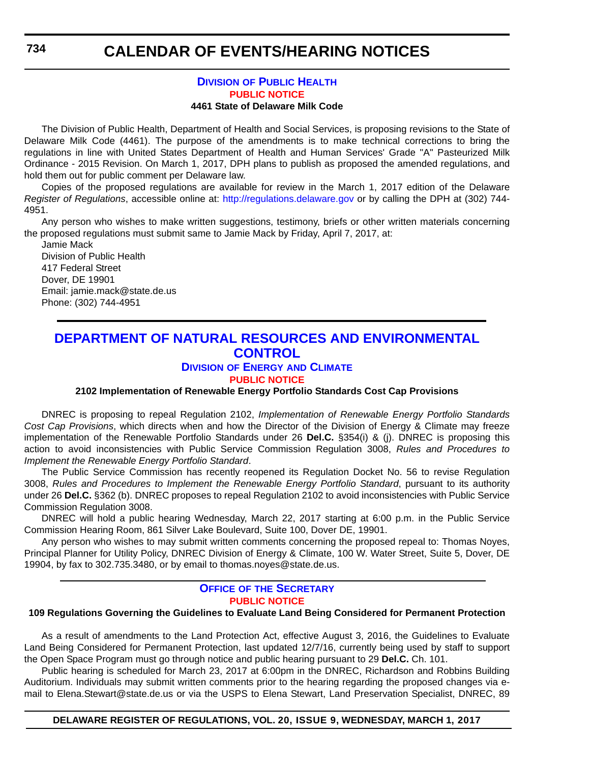### **DIVISION [OF PUBLIC HEALTH](http://www.dhss.delaware.gov/dhss/dph/index.html) [PUBLIC NOTICE](#page-4-0)**

#### **4461 State of Delaware Milk Code**

<span id="page-67-0"></span>The Division of Public Health, Department of Health and Social Services, is proposing revisions to the State of Delaware Milk Code (4461). The purpose of the amendments is to make technical corrections to bring the regulations in line with United States Department of Health and Human Services' Grade "A" Pasteurized Milk Ordinance - 2015 Revision. On March 1, 2017, DPH plans to publish as proposed the amended regulations, and hold them out for public comment per Delaware law.

Copies of the proposed regulations are available for review in the March 1, 2017 edition of the Delaware *Register of Regulations*, accessible online at: http://regulations.delaware.gov or by calling the DPH at (302) 744- 4951.

Any person who wishes to make written suggestions, testimony, briefs or other written materials concerning the proposed regulations must submit same to Jamie Mack by Friday, April 7, 2017, at:

Jamie Mack Division of Public Health 417 Federal Street Dover, DE 19901 Email: jamie.mack@state.de.us Phone: (302) 744-4951

### **[DEPARTMENT OF NATURAL RESOURCES AND ENVIRONMENTAL](http://www.dnrec.delaware.gov/Pages/Portal.aspx)  CONTROL**

#### **DIVISION OF ENERGY [AND CLIMATE](http://www.dnrec.delaware.gov/energy/Pages/portal.aspx)**

**[PUBLIC NOTICE](#page-4-0)**

#### **2102 Implementation of Renewable Energy Portfolio Standards Cost Cap Provisions**

DNREC is proposing to repeal Regulation 2102, *Implementation of Renewable Energy Portfolio Standards Cost Cap Provisions*, which directs when and how the Director of the Division of Energy & Climate may freeze implementation of the Renewable Portfolio Standards under 26 **Del.C.** §354(i) & (j). DNREC is proposing this action to avoid inconsistencies with Public Service Commission Regulation 3008, *Rules and Procedures to Implement the Renewable Energy Portfolio Standard*.

The Public Service Commission has recently reopened its Regulation Docket No. 56 to revise Regulation 3008, *Rules and Procedures to Implement the Renewable Energy Portfolio Standard*, pursuant to its authority under 26 **Del.C.** §362 (b). DNREC proposes to repeal Regulation 2102 to avoid inconsistencies with Public Service Commission Regulation 3008.

DNREC will hold a public hearing Wednesday, March 22, 2017 starting at 6:00 p.m. in the Public Service Commission Hearing Room, 861 Silver Lake Boulevard, Suite 100, Dover DE, 19901.

Any person who wishes to may submit written comments concerning the proposed repeal to: Thomas Noyes, Principal Planner for Utility Policy, DNREC Division of Energy & Climate, 100 W. Water Street, Suite 5, Dover, DE 19904, by fax to 302.735.3480, or by email to thomas.noyes@state.de.us.

#### **OFFICE OF [THE SECRETARY](http://www.dnrec.delaware.gov/Admin/Pages/ots.aspx) [PUBLIC NOTICE](#page-4-0)**

#### **109 Regulations Governing the Guidelines to Evaluate Land Being Considered for Permanent Protection**

As a result of amendments to the Land Protection Act, effective August 3, 2016, the Guidelines to Evaluate Land Being Considered for Permanent Protection, last updated 12/7/16, currently being used by staff to support the Open Space Program must go through notice and public hearing pursuant to 29 **Del.C.** Ch. 101.

Public hearing is scheduled for March 23, 2017 at 6:00pm in the DNREC, Richardson and Robbins Building Auditorium. Individuals may submit written comments prior to the hearing regarding the proposed changes via email to Elena.Stewart@state.de.us or via the USPS to Elena Stewart, Land Preservation Specialist, DNREC, 89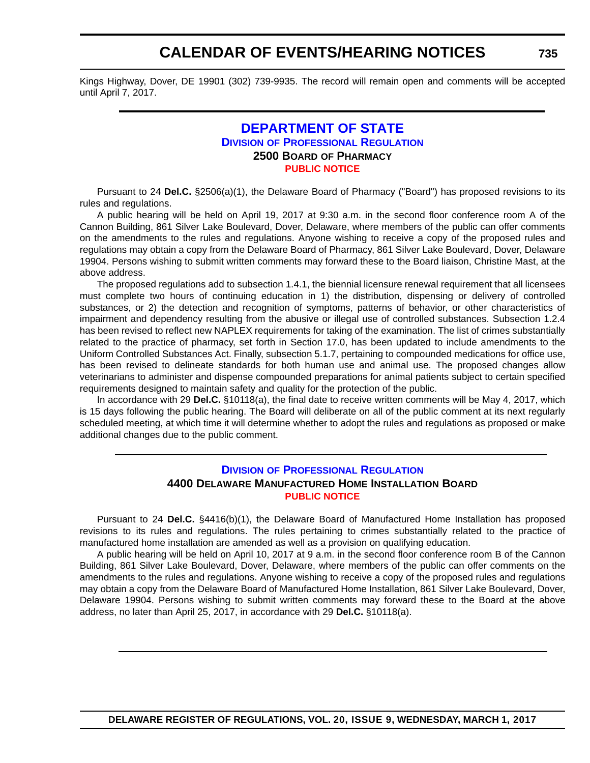<span id="page-68-0"></span>Kings Highway, Dover, DE 19901 (302) 739-9935. The record will remain open and comments will be accepted until April 7, 2017.

#### **[DEPARTMENT OF STATE](http://sos.delaware.gov/) DIVISION [OF PROFESSIONAL REGULATION](http://dpr.delaware.gov/) 2500 BOARD OF PHARMACY [PUBLIC NOTICE](#page-4-0)**

Pursuant to 24 **Del.C.** §2506(a)(1), the Delaware Board of Pharmacy ("Board") has proposed revisions to its rules and regulations.

A public hearing will be held on April 19, 2017 at 9:30 a.m. in the second floor conference room A of the Cannon Building, 861 Silver Lake Boulevard, Dover, Delaware, where members of the public can offer comments on the amendments to the rules and regulations. Anyone wishing to receive a copy of the proposed rules and regulations may obtain a copy from the Delaware Board of Pharmacy, 861 Silver Lake Boulevard, Dover, Delaware 19904. Persons wishing to submit written comments may forward these to the Board liaison, Christine Mast, at the above address.

The proposed regulations add to subsection 1.4.1, the biennial licensure renewal requirement that all licensees must complete two hours of continuing education in 1) the distribution, dispensing or delivery of controlled substances, or 2) the detection and recognition of symptoms, patterns of behavior, or other characteristics of impairment and dependency resulting from the abusive or illegal use of controlled substances. Subsection 1.2.4 has been revised to reflect new NAPLEX requirements for taking of the examination. The list of crimes substantially related to the practice of pharmacy, set forth in Section 17.0, has been updated to include amendments to the Uniform Controlled Substances Act. Finally, subsection 5.1.7, pertaining to compounded medications for office use, has been revised to delineate standards for both human use and animal use. The proposed changes allow veterinarians to administer and dispense compounded preparations for animal patients subject to certain specified requirements designed to maintain safety and quality for the protection of the public.

In accordance with 29 **Del.C.** §10118(a), the final date to receive written comments will be May 4, 2017, which is 15 days following the public hearing. The Board will deliberate on all of the public comment at its next regularly scheduled meeting, at which time it will determine whether to adopt the rules and regulations as proposed or make additional changes due to the public comment.

#### **DIVISION [OF PROFESSIONAL REGULATION](http://dpr.delaware.gov/) 4400 DELAWARE MANUFACTURED HOME INSTALLATION BOARD [PUBLIC NOTICE](#page-4-0)**

Pursuant to 24 **Del.C.** §4416(b)(1), the Delaware Board of Manufactured Home Installation has proposed revisions to its rules and regulations. The rules pertaining to crimes substantially related to the practice of manufactured home installation are amended as well as a provision on qualifying education.

A public hearing will be held on April 10, 2017 at 9 a.m. in the second floor conference room B of the Cannon Building, 861 Silver Lake Boulevard, Dover, Delaware, where members of the public can offer comments on the amendments to the rules and regulations. Anyone wishing to receive a copy of the proposed rules and regulations may obtain a copy from the Delaware Board of Manufactured Home Installation, 861 Silver Lake Boulevard, Dover, Delaware 19904. Persons wishing to submit written comments may forward these to the Board at the above address, no later than April 25, 2017, in accordance with 29 **Del.C.** §10118(a).